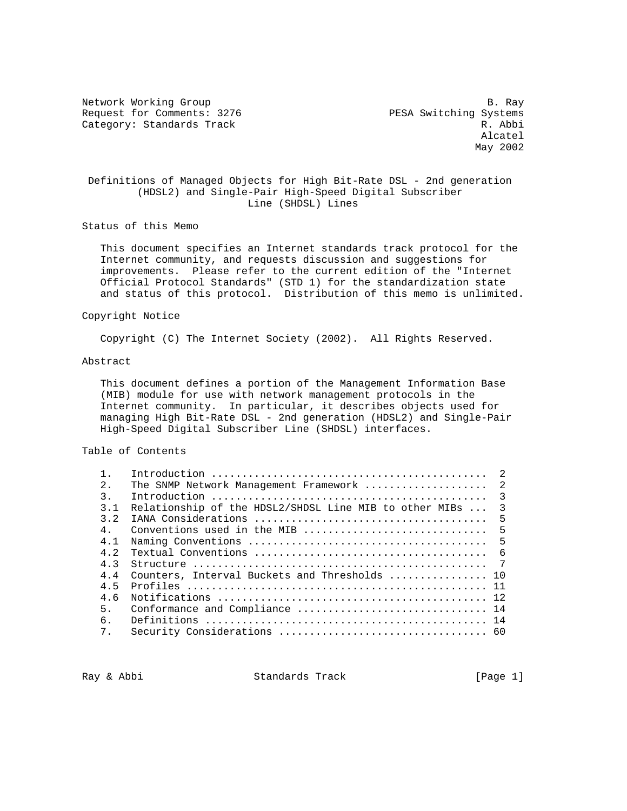Network Working Group and the set of the set of the set of the set of the set of the set of the set of the set of the set of the set of the set of the set of the set of the set of the set of the set of the set of the set o Request for Comments: 3276 PESA Switching Systems Category: Standards Track R. Abbi

 Alcatel May 2002

# Definitions of Managed Objects for High Bit-Rate DSL - 2nd generation (HDSL2) and Single-Pair High-Speed Digital Subscriber Line (SHDSL) Lines

Status of this Memo

 This document specifies an Internet standards track protocol for the Internet community, and requests discussion and suggestions for improvements. Please refer to the current edition of the "Internet Official Protocol Standards" (STD 1) for the standardization state and status of this protocol. Distribution of this memo is unlimited.

## Copyright Notice

Copyright (C) The Internet Society (2002). All Rights Reserved.

#### Abstract

 This document defines a portion of the Management Information Base (MIB) module for use with network management protocols in the Internet community. In particular, it describes objects used for managing High Bit-Rate DSL - 2nd generation (HDSL2) and Single-Pair High-Speed Digital Subscriber Line (SHDSL) interfaces.

## Table of Contents

|                                                        | $\overline{2}$ |
|--------------------------------------------------------|----------------|
| The SNMP Network Management Framework  2               |                |
|                                                        | $\mathcal{R}$  |
| Relationship of the HDSL2/SHDSL Line MIB to other MIBs | $\overline{3}$ |
|                                                        | 5              |
| Conventions used in the MIB                            | $-5$           |
|                                                        | -5             |
|                                                        |                |
|                                                        | $\overline{7}$ |
| Counters, Interval Buckets and Thresholds  10          |                |
|                                                        |                |
|                                                        |                |
|                                                        |                |
|                                                        |                |
|                                                        |                |
|                                                        |                |

Ray & Abbi Standards Track [Page 1]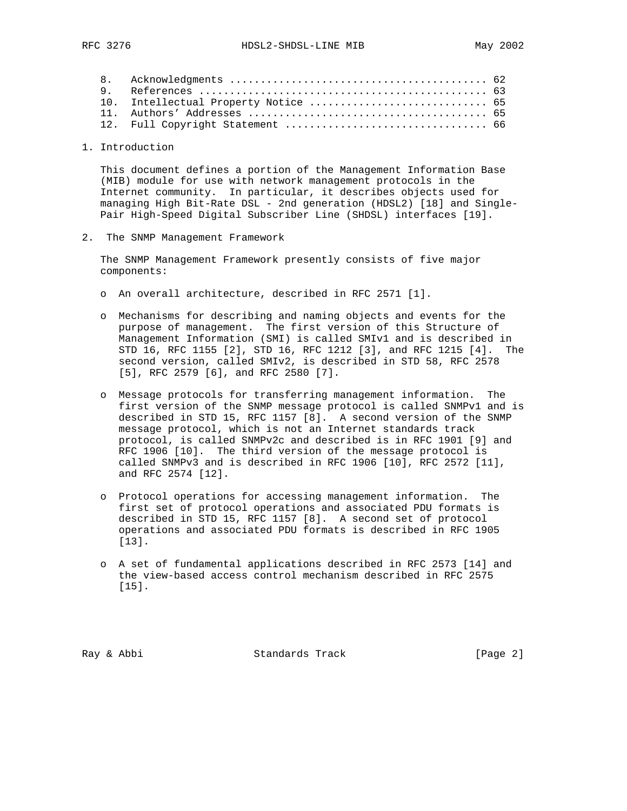|  | 10. Intellectual Property Notice  65 |  |
|--|--------------------------------------|--|
|  |                                      |  |
|  |                                      |  |
|  |                                      |  |

1. Introduction

 This document defines a portion of the Management Information Base (MIB) module for use with network management protocols in the Internet community. In particular, it describes objects used for managing High Bit-Rate DSL - 2nd generation (HDSL2) [18] and Single- Pair High-Speed Digital Subscriber Line (SHDSL) interfaces [19].

2. The SNMP Management Framework

 The SNMP Management Framework presently consists of five major components:

- o An overall architecture, described in RFC 2571 [1].
- o Mechanisms for describing and naming objects and events for the purpose of management. The first version of this Structure of Management Information (SMI) is called SMIv1 and is described in STD 16, RFC 1155 [2], STD 16, RFC 1212 [3], and RFC 1215 [4]. The second version, called SMIv2, is described in STD 58, RFC 2578 [5], RFC 2579 [6], and RFC 2580 [7].
- o Message protocols for transferring management information. The first version of the SNMP message protocol is called SNMPv1 and is described in STD 15, RFC 1157 [8]. A second version of the SNMP message protocol, which is not an Internet standards track protocol, is called SNMPv2c and described is in RFC 1901 [9] and RFC 1906 [10]. The third version of the message protocol is called SNMPv3 and is described in RFC 1906 [10], RFC 2572 [11], and RFC 2574 [12].
- o Protocol operations for accessing management information. The first set of protocol operations and associated PDU formats is described in STD 15, RFC 1157 [8]. A second set of protocol operations and associated PDU formats is described in RFC 1905 [13].
- o A set of fundamental applications described in RFC 2573 [14] and the view-based access control mechanism described in RFC 2575 [15].

Ray & Abbi Standards Track [Page 2]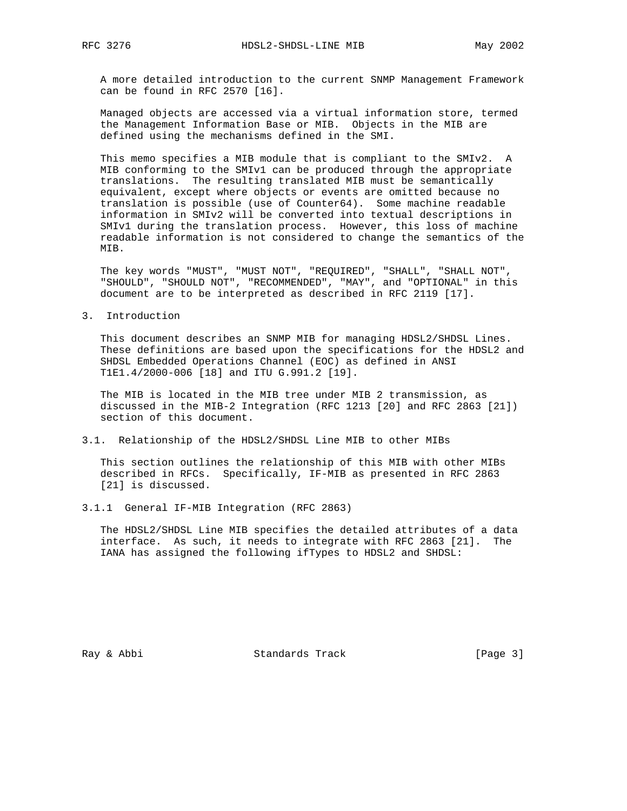A more detailed introduction to the current SNMP Management Framework can be found in RFC 2570 [16].

 Managed objects are accessed via a virtual information store, termed the Management Information Base or MIB. Objects in the MIB are defined using the mechanisms defined in the SMI.

 This memo specifies a MIB module that is compliant to the SMIv2. A MIB conforming to the SMIv1 can be produced through the appropriate translations. The resulting translated MIB must be semantically equivalent, except where objects or events are omitted because no translation is possible (use of Counter64). Some machine readable information in SMIv2 will be converted into textual descriptions in SMIv1 during the translation process. However, this loss of machine readable information is not considered to change the semantics of the MIB.

 The key words "MUST", "MUST NOT", "REQUIRED", "SHALL", "SHALL NOT", "SHOULD", "SHOULD NOT", "RECOMMENDED", "MAY", and "OPTIONAL" in this document are to be interpreted as described in RFC 2119 [17].

3. Introduction

 This document describes an SNMP MIB for managing HDSL2/SHDSL Lines. These definitions are based upon the specifications for the HDSL2 and SHDSL Embedded Operations Channel (EOC) as defined in ANSI T1E1.4/2000-006 [18] and ITU G.991.2 [19].

 The MIB is located in the MIB tree under MIB 2 transmission, as discussed in the MIB-2 Integration (RFC 1213 [20] and RFC 2863 [21]) section of this document.

3.1. Relationship of the HDSL2/SHDSL Line MIB to other MIBs

 This section outlines the relationship of this MIB with other MIBs described in RFCs. Specifically, IF-MIB as presented in RFC 2863 [21] is discussed.

3.1.1 General IF-MIB Integration (RFC 2863)

 The HDSL2/SHDSL Line MIB specifies the detailed attributes of a data interface. As such, it needs to integrate with RFC 2863 [21]. The IANA has assigned the following ifTypes to HDSL2 and SHDSL:

Ray & Abbi Standards Track [Page 3]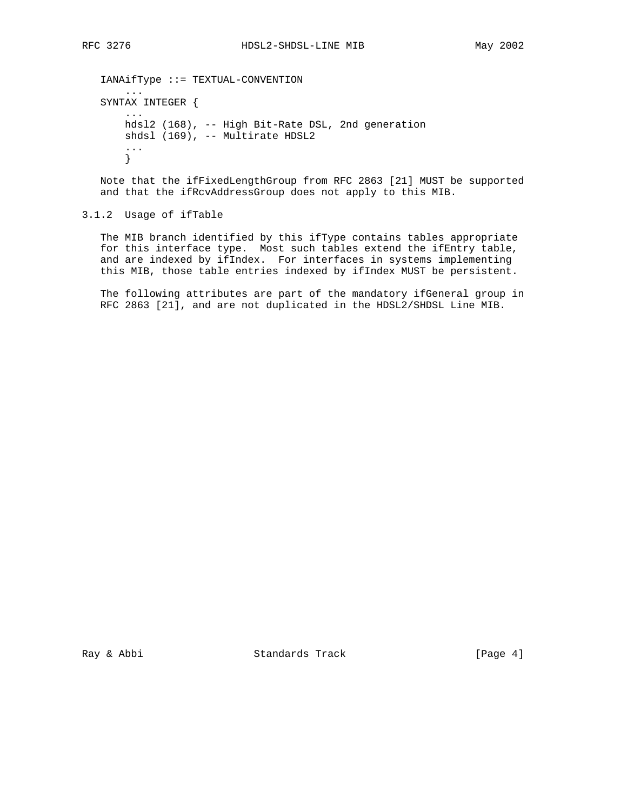```
 IANAifType ::= TEXTUAL-CONVENTION
     ...
 SYNTAX INTEGER {
     ...
     hdsl2 (168), -- High Bit-Rate DSL, 2nd generation
    shdsl (169), -- Multirate HDSL2
     ...
     }
```
 Note that the ifFixedLengthGroup from RFC 2863 [21] MUST be supported and that the ifRcvAddressGroup does not apply to this MIB.

3.1.2 Usage of ifTable

 The MIB branch identified by this ifType contains tables appropriate for this interface type. Most such tables extend the ifEntry table, and are indexed by ifIndex. For interfaces in systems implementing this MIB, those table entries indexed by ifIndex MUST be persistent.

 The following attributes are part of the mandatory ifGeneral group in RFC 2863 [21], and are not duplicated in the HDSL2/SHDSL Line MIB.

Ray & Abbi Standards Track [Page 4]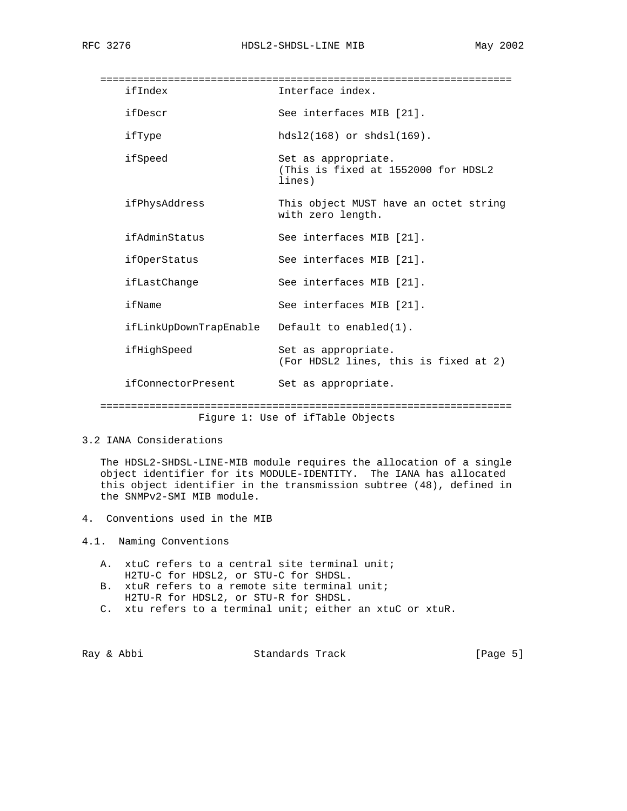===================================================================

| ifIndex                | Interface index.                                                     |
|------------------------|----------------------------------------------------------------------|
| ifDescr                | See interfaces MIB [21].                                             |
| ifType                 | $hds12(168)$ or $shds1(169)$ .                                       |
| ifSpeed                | Set as appropriate.<br>(This is fixed at 1552000 for HDSL2<br>lines) |
| ifPhysAddress          | This object MUST have an octet string<br>with zero length.           |
| ifAdminStatus          | See interfaces MIB [21].                                             |
| ifOperStatus           | See interfaces MIB [21].                                             |
| ifLastChange           | See interfaces MIB [21].                                             |
| ifName                 | See interfaces MIB [21].                                             |
| ifLinkUpDownTrapEnable | Default to enabled $(1)$ .                                           |
| ifHighSpeed            | Set as appropriate.<br>(For HDSL2 lines, this is fixed at 2)         |
| ifConnectorPresent     | Set as appropriate.                                                  |
|                        |                                                                      |

Figure 1: Use of ifTable Objects

3.2 IANA Considerations

 The HDSL2-SHDSL-LINE-MIB module requires the allocation of a single object identifier for its MODULE-IDENTITY. The IANA has allocated this object identifier in the transmission subtree (48), defined in the SNMPv2-SMI MIB module.

- 4. Conventions used in the MIB
- 4.1. Naming Conventions
	- A. xtuC refers to a central site terminal unit; H2TU-C for HDSL2, or STU-C for SHDSL.
	- B. xtuR refers to a remote site terminal unit; H2TU-R for HDSL2, or STU-R for SHDSL.
	- C. xtu refers to a terminal unit; either an xtuC or xtuR.

Ray & Abbi Standards Track [Page 5]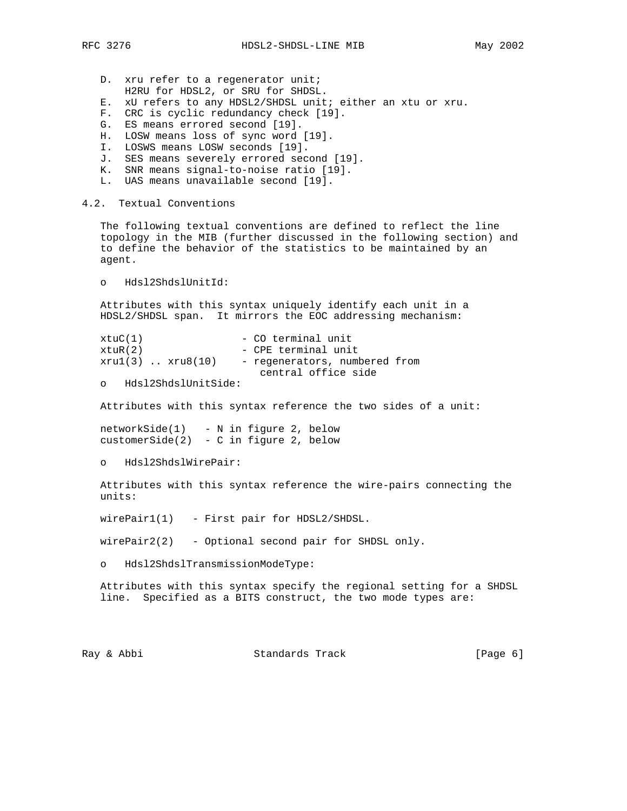- D. xru refer to a regenerator unit; H2RU for HDSL2, or SRU for SHDSL.
- E. xU refers to any HDSL2/SHDSL unit; either an xtu or xru.
- F. CRC is cyclic redundancy check [19].
- G. ES means errored second [19].
- H. LOSW means loss of sync word [19].
- I. LOSWS means LOSW seconds [19].
- J. SES means severely errored second [19].
- K. SNR means signal-to-noise ratio [19].
- L. UAS means unavailable second [19].
- 4.2. Textual Conventions

 The following textual conventions are defined to reflect the line topology in the MIB (further discussed in the following section) and to define the behavior of the statistics to be maintained by an agent.

o Hdsl2ShdslUnitId:

 Attributes with this syntax uniquely identify each unit in a HDSL2/SHDSL span. It mirrors the EOC addressing mechanism:

| xtuC(1)              | - CO terminal unit            |
|----------------------|-------------------------------|
| xtuR(2)              | - CPE terminal unit           |
| $xru1(3)$ $xru8(10)$ | - regenerators, numbered from |
|                      | central office side           |

o Hdsl2ShdslUnitSide:

Attributes with this syntax reference the two sides of a unit:

 networkSide(1) - N in figure 2, below customerSide(2) - C in figure 2, below

o Hdsl2ShdslWirePair:

 Attributes with this syntax reference the wire-pairs connecting the units:

wirePair1(1) - First pair for HDSL2/SHDSL.

 $wirePair2(2)$  - Optional second pair for SHDSL only.

o Hdsl2ShdslTransmissionModeType:

 Attributes with this syntax specify the regional setting for a SHDSL line. Specified as a BITS construct, the two mode types are:

Ray & Abbi Standards Track [Page 6]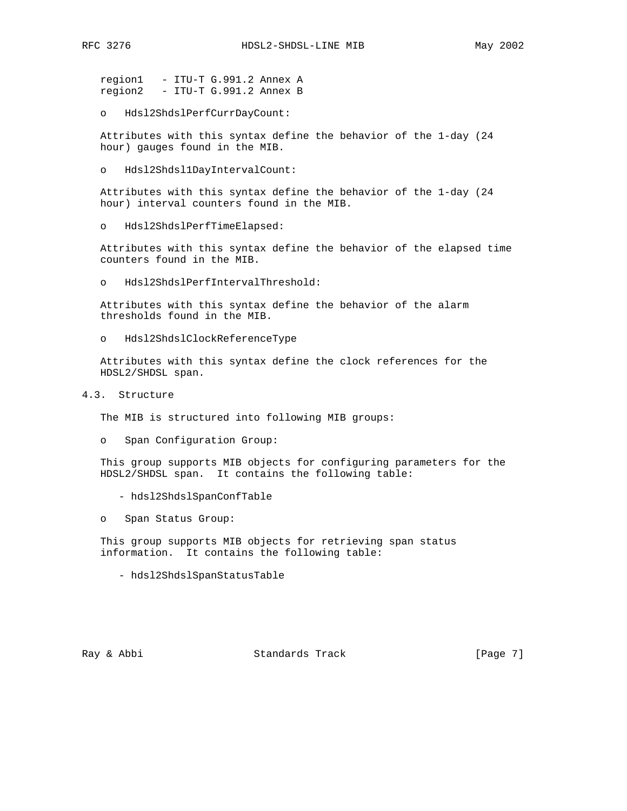region1 - ITU-T G.991.2 Annex A region2 - ITU-T G.991.2 Annex B

o Hdsl2ShdslPerfCurrDayCount:

 Attributes with this syntax define the behavior of the 1-day (24 hour) gauges found in the MIB.

o Hdsl2Shdsl1DayIntervalCount:

 Attributes with this syntax define the behavior of the 1-day (24 hour) interval counters found in the MIB.

o Hdsl2ShdslPerfTimeElapsed:

 Attributes with this syntax define the behavior of the elapsed time counters found in the MIB.

o Hdsl2ShdslPerfIntervalThreshold:

 Attributes with this syntax define the behavior of the alarm thresholds found in the MIB.

o Hdsl2ShdslClockReferenceType

 Attributes with this syntax define the clock references for the HDSL2/SHDSL span.

4.3. Structure

The MIB is structured into following MIB groups:

o Span Configuration Group:

 This group supports MIB objects for configuring parameters for the HDSL2/SHDSL span. It contains the following table:

- hdsl2ShdslSpanConfTable

o Span Status Group:

 This group supports MIB objects for retrieving span status information. It contains the following table:

- hdsl2ShdslSpanStatusTable

Ray & Abbi Standards Track [Page 7]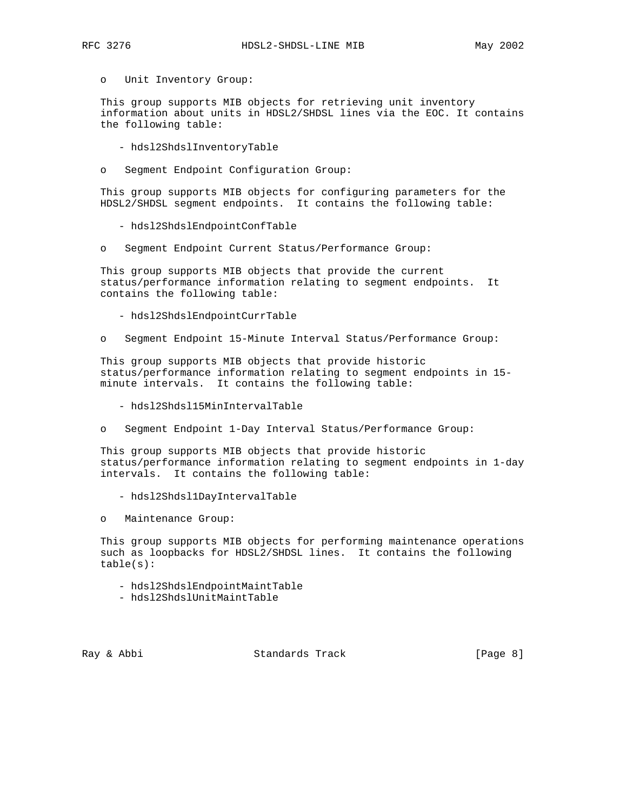o Unit Inventory Group:

 This group supports MIB objects for retrieving unit inventory information about units in HDSL2/SHDSL lines via the EOC. It contains the following table:

- hdsl2ShdslInventoryTable
- o Segment Endpoint Configuration Group:

 This group supports MIB objects for configuring parameters for the HDSL2/SHDSL segment endpoints. It contains the following table:

- hdsl2ShdslEndpointConfTable
- o Segment Endpoint Current Status/Performance Group:

 This group supports MIB objects that provide the current status/performance information relating to segment endpoints. It contains the following table:

- hdsl2ShdslEndpointCurrTable
- o Segment Endpoint 15-Minute Interval Status/Performance Group:

 This group supports MIB objects that provide historic status/performance information relating to segment endpoints in 15 minute intervals. It contains the following table:

- hdsl2Shdsl15MinIntervalTable

o Segment Endpoint 1-Day Interval Status/Performance Group:

 This group supports MIB objects that provide historic status/performance information relating to segment endpoints in 1-day intervals. It contains the following table:

- hdsl2Shdsl1DayIntervalTable
- o Maintenance Group:

 This group supports MIB objects for performing maintenance operations such as loopbacks for HDSL2/SHDSL lines. It contains the following table(s):

- hdsl2ShdslEndpointMaintTable
- hdsl2ShdslUnitMaintTable

Ray & Abbi Standards Track [Page 8]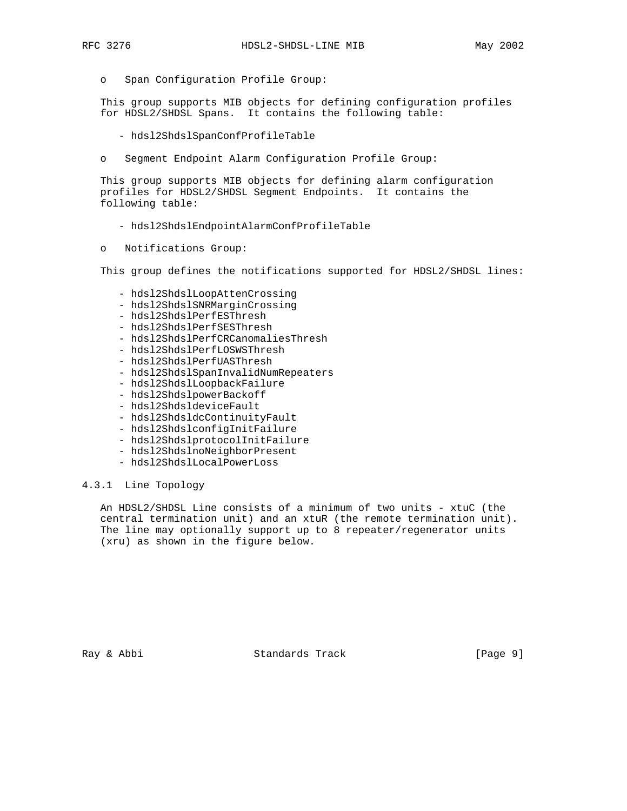o Span Configuration Profile Group:

 This group supports MIB objects for defining configuration profiles for HDSL2/SHDSL Spans. It contains the following table:

- hdsl2ShdslSpanConfProfileTable
- o Segment Endpoint Alarm Configuration Profile Group:

 This group supports MIB objects for defining alarm configuration profiles for HDSL2/SHDSL Segment Endpoints. It contains the following table:

- hdsl2ShdslEndpointAlarmConfProfileTable
- o Notifications Group:

This group defines the notifications supported for HDSL2/SHDSL lines:

- hdsl2ShdslLoopAttenCrossing
- hdsl2ShdslSNRMarginCrossing
- hdsl2ShdslPerfESThresh
- hdsl2ShdslPerfSESThresh
- hdsl2ShdslPerfCRCanomaliesThresh
- hdsl2ShdslPerfLOSWSThresh
- hdsl2ShdslPerfUASThresh
- hdsl2ShdslSpanInvalidNumRepeaters
- hdsl2ShdslLoopbackFailure
- hdsl2ShdslpowerBackoff
- hdsl2ShdsldeviceFault
- hdsl2ShdsldcContinuityFault
- hdsl2ShdslconfigInitFailure
- hdsl2ShdslprotocolInitFailure
- hdsl2ShdslnoNeighborPresent
- hdsl2ShdslLocalPowerLoss

#### 4.3.1 Line Topology

 An HDSL2/SHDSL Line consists of a minimum of two units - xtuC (the central termination unit) and an xtuR (the remote termination unit). The line may optionally support up to 8 repeater/regenerator units (xru) as shown in the figure below.

Ray & Abbi Standards Track [Page 9]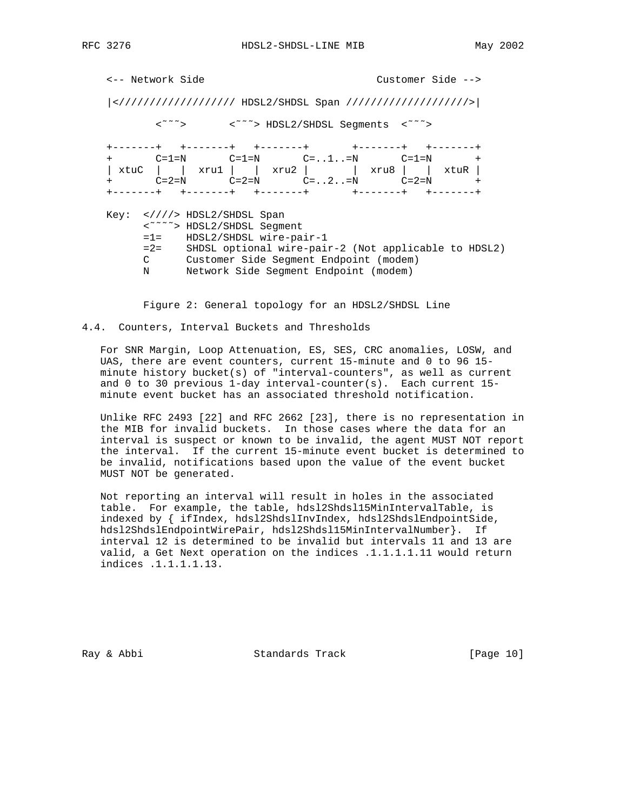<-- Network Side Customer Side -->

 |</////////////////// HDSL2/SHDSL Span ////////////////////>| <˜˜˜> <˜˜˜> HDSL2/SHDSL Segments <˜˜˜> +-------+ +-------+ +-------+ +-------+ +-------+ + C=1=N C=1=N C=..1..=N C=1=N + | xtuC | | xru1 | | xru2 | | xru8 | | xtuR | + C=2=N C=2=N C=..2..=N C=2=N + +-------+ +-------+ +-------+ +-------+ +-------+ Key: <////> HDSL2/SHDSL Span <˜˜˜˜> HDSL2/SHDSL Segment =1= HDSL2/SHDSL wire-pair-1 =2= SHDSL optional wire-pair-2 (Not applicable to HDSL2) C Customer Side Segment Endpoint (modem) N Network Side Segment Endpoint (modem)

Figure 2: General topology for an HDSL2/SHDSL Line

4.4. Counters, Interval Buckets and Thresholds

 For SNR Margin, Loop Attenuation, ES, SES, CRC anomalies, LOSW, and UAS, there are event counters, current 15-minute and 0 to 96 15 minute history bucket(s) of "interval-counters", as well as current and 0 to 30 previous 1-day interval-counter(s). Each current 15 minute event bucket has an associated threshold notification.

 Unlike RFC 2493 [22] and RFC 2662 [23], there is no representation in the MIB for invalid buckets. In those cases where the data for an interval is suspect or known to be invalid, the agent MUST NOT report the interval. If the current 15-minute event bucket is determined to be invalid, notifications based upon the value of the event bucket MUST NOT be generated.

 Not reporting an interval will result in holes in the associated table. For example, the table, hdsl2Shdsl15MinIntervalTable, is indexed by { ifIndex, hdsl2ShdslInvIndex, hdsl2ShdslEndpointSide, hdsl2ShdslEndpointWirePair, hdsl2Shdsl15MinIntervalNumber}. If interval 12 is determined to be invalid but intervals 11 and 13 are valid, a Get Next operation on the indices .1.1.1.1.11 would return indices .1.1.1.1.13.

Ray & Abbi Standards Track [Page 10]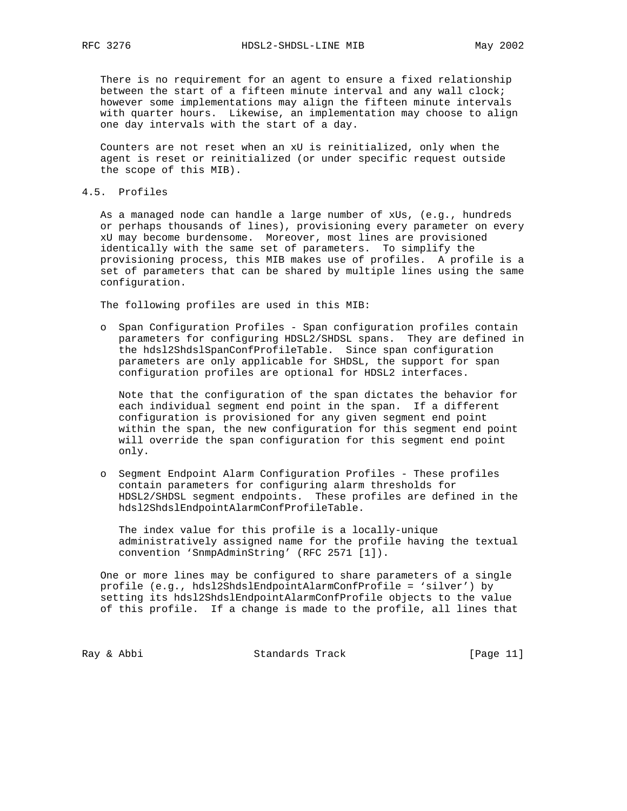There is no requirement for an agent to ensure a fixed relationship between the start of a fifteen minute interval and any wall clock; however some implementations may align the fifteen minute intervals with quarter hours. Likewise, an implementation may choose to align one day intervals with the start of a day.

 Counters are not reset when an xU is reinitialized, only when the agent is reset or reinitialized (or under specific request outside the scope of this MIB).

4.5. Profiles

 As a managed node can handle a large number of xUs, (e.g., hundreds or perhaps thousands of lines), provisioning every parameter on every xU may become burdensome. Moreover, most lines are provisioned identically with the same set of parameters. To simplify the provisioning process, this MIB makes use of profiles. A profile is a set of parameters that can be shared by multiple lines using the same configuration.

The following profiles are used in this MIB:

 o Span Configuration Profiles - Span configuration profiles contain parameters for configuring HDSL2/SHDSL spans. They are defined in the hdsl2ShdslSpanConfProfileTable. Since span configuration parameters are only applicable for SHDSL, the support for span configuration profiles are optional for HDSL2 interfaces.

 Note that the configuration of the span dictates the behavior for each individual segment end point in the span. If a different configuration is provisioned for any given segment end point within the span, the new configuration for this segment end point will override the span configuration for this segment end point only.

 o Segment Endpoint Alarm Configuration Profiles - These profiles contain parameters for configuring alarm thresholds for HDSL2/SHDSL segment endpoints. These profiles are defined in the hdsl2ShdslEndpointAlarmConfProfileTable.

 The index value for this profile is a locally-unique administratively assigned name for the profile having the textual convention 'SnmpAdminString' (RFC 2571 [1]).

 One or more lines may be configured to share parameters of a single profile (e.g., hdsl2ShdslEndpointAlarmConfProfile = 'silver') by setting its hdsl2ShdslEndpointAlarmConfProfile objects to the value of this profile. If a change is made to the profile, all lines that

Ray & Abbi Standards Track [Page 11]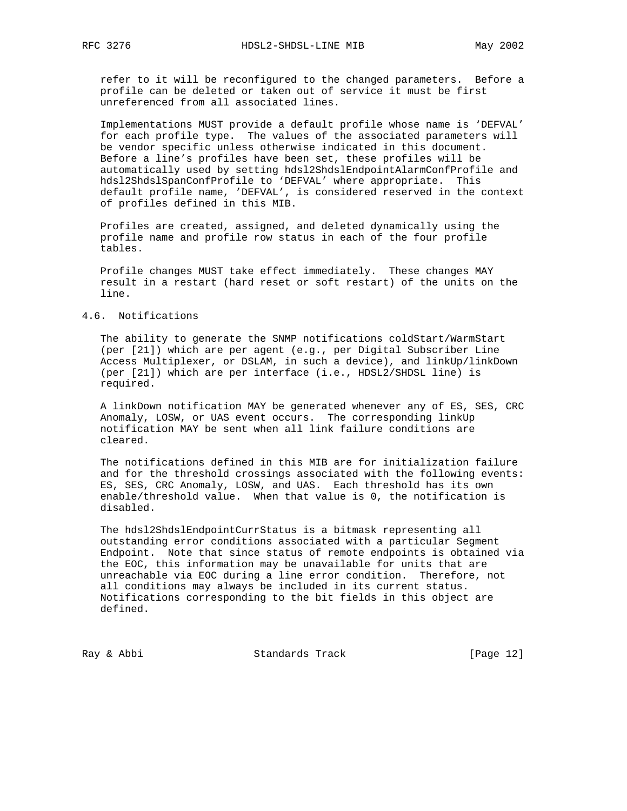refer to it will be reconfigured to the changed parameters. Before a profile can be deleted or taken out of service it must be first unreferenced from all associated lines.

 Implementations MUST provide a default profile whose name is 'DEFVAL' for each profile type. The values of the associated parameters will be vendor specific unless otherwise indicated in this document. Before a line's profiles have been set, these profiles will be automatically used by setting hdsl2ShdslEndpointAlarmConfProfile and hdsl2ShdslSpanConfProfile to 'DEFVAL' where appropriate. This default profile name, 'DEFVAL', is considered reserved in the context of profiles defined in this MIB.

 Profiles are created, assigned, and deleted dynamically using the profile name and profile row status in each of the four profile tables.

 Profile changes MUST take effect immediately. These changes MAY result in a restart (hard reset or soft restart) of the units on the line.

## 4.6. Notifications

The ability to generate the SNMP notifications coldStart/WarmStart (per [21]) which are per agent (e.g., per Digital Subscriber Line Access Multiplexer, or DSLAM, in such a device), and linkUp/linkDown (per [21]) which are per interface (i.e., HDSL2/SHDSL line) is required.

 A linkDown notification MAY be generated whenever any of ES, SES, CRC Anomaly, LOSW, or UAS event occurs. The corresponding linkUp notification MAY be sent when all link failure conditions are cleared.

 The notifications defined in this MIB are for initialization failure and for the threshold crossings associated with the following events: ES, SES, CRC Anomaly, LOSW, and UAS. Each threshold has its own enable/threshold value. When that value is 0, the notification is disabled.

 The hdsl2ShdslEndpointCurrStatus is a bitmask representing all outstanding error conditions associated with a particular Segment Endpoint. Note that since status of remote endpoints is obtained via the EOC, this information may be unavailable for units that are unreachable via EOC during a line error condition. Therefore, not all conditions may always be included in its current status. Notifications corresponding to the bit fields in this object are defined.

Ray & Abbi Standards Track [Page 12]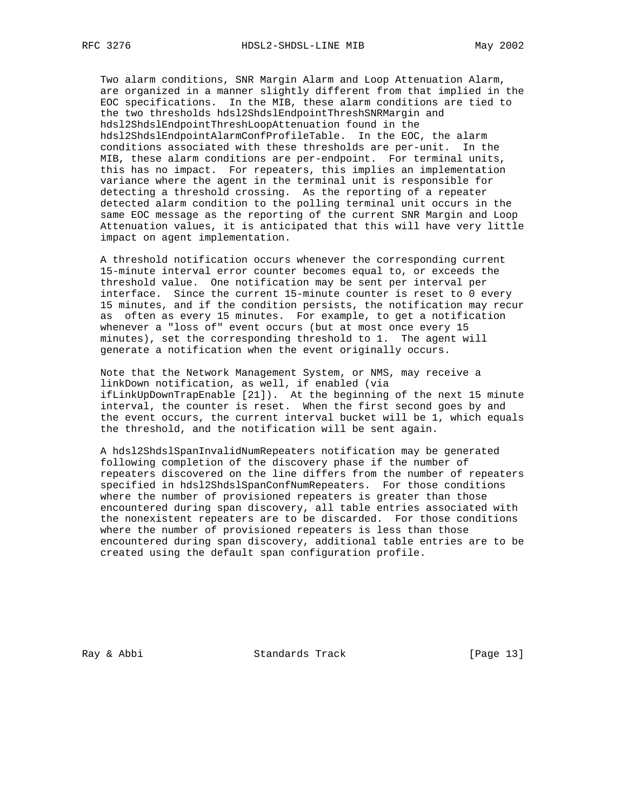Two alarm conditions, SNR Margin Alarm and Loop Attenuation Alarm, are organized in a manner slightly different from that implied in the EOC specifications. In the MIB, these alarm conditions are tied to the two thresholds hdsl2ShdslEndpointThreshSNRMargin and hdsl2ShdslEndpointThreshLoopAttenuation found in the hdsl2ShdslEndpointAlarmConfProfileTable. In the EOC, the alarm conditions associated with these thresholds are per-unit. In the MIB, these alarm conditions are per-endpoint. For terminal units, this has no impact. For repeaters, this implies an implementation variance where the agent in the terminal unit is responsible for detecting a threshold crossing. As the reporting of a repeater detected alarm condition to the polling terminal unit occurs in the same EOC message as the reporting of the current SNR Margin and Loop Attenuation values, it is anticipated that this will have very little impact on agent implementation.

 A threshold notification occurs whenever the corresponding current 15-minute interval error counter becomes equal to, or exceeds the threshold value. One notification may be sent per interval per interface. Since the current 15-minute counter is reset to 0 every 15 minutes, and if the condition persists, the notification may recur as often as every 15 minutes. For example, to get a notification whenever a "loss of" event occurs (but at most once every 15 minutes), set the corresponding threshold to 1. The agent will generate a notification when the event originally occurs.

 Note that the Network Management System, or NMS, may receive a linkDown notification, as well, if enabled (via ifLinkUpDownTrapEnable [21]). At the beginning of the next 15 minute interval, the counter is reset. When the first second goes by and the event occurs, the current interval bucket will be 1, which equals the threshold, and the notification will be sent again.

 A hdsl2ShdslSpanInvalidNumRepeaters notification may be generated following completion of the discovery phase if the number of repeaters discovered on the line differs from the number of repeaters specified in hdsl2ShdslSpanConfNumRepeaters. For those conditions where the number of provisioned repeaters is greater than those encountered during span discovery, all table entries associated with the nonexistent repeaters are to be discarded. For those conditions where the number of provisioned repeaters is less than those encountered during span discovery, additional table entries are to be created using the default span configuration profile.

Ray & Abbi Standards Track [Page 13]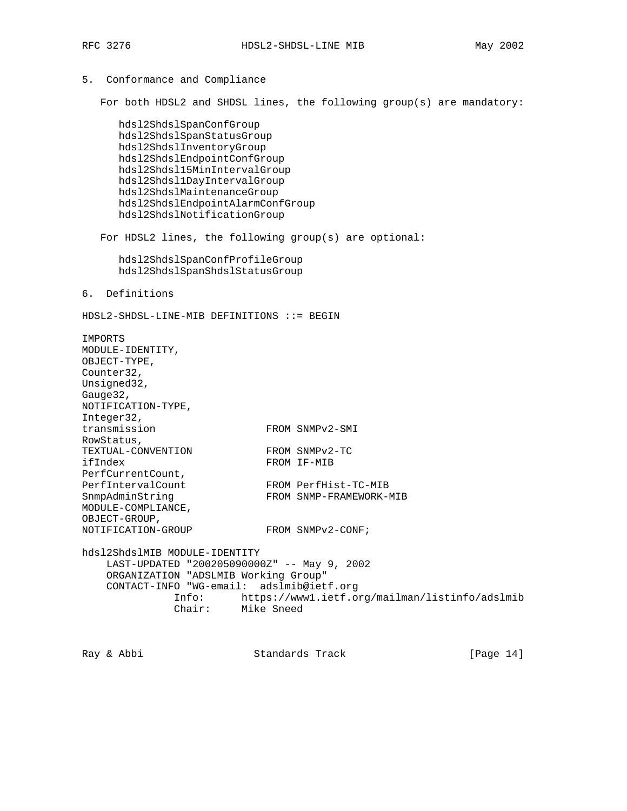## 5. Conformance and Compliance

For both HDSL2 and SHDSL lines, the following group(s) are mandatory:

 hdsl2ShdslSpanConfGroup hdsl2ShdslSpanStatusGroup hdsl2ShdslInventoryGroup hdsl2ShdslEndpointConfGroup hdsl2Shdsl15MinIntervalGroup hdsl2Shdsl1DayIntervalGroup hdsl2ShdslMaintenanceGroup hdsl2ShdslEndpointAlarmConfGroup hdsl2ShdslNotificationGroup

For HDSL2 lines, the following group(s) are optional:

 hdsl2ShdslSpanConfProfileGroup hdsl2ShdslSpanShdslStatusGroup

6. Definitions

HDSL2-SHDSL-LINE-MIB DEFINITIONS ::= BEGIN

IMPORTS MODULE-IDENTITY, OBJECT-TYPE, Counter32, Unsigned32, Gauge32, NOTIFICATION-TYPE, Integer32, transmission FROM SNMPv2-SMI RowStatus,<br>TEXTUAL-CONVENTION TEXTUAL-CONVENTION FROM SNMPv2-TC ifIndex FROM IF-MIB PerfCurrentCount, PerfIntervalCount FROM PerfHist-TC-MIB SnmpAdminString FROM SNMP-FRAMEWORK-MIB MODULE-COMPLIANCE, OBJECT-GROUP, NOTIFICATION-GROUP FROM SNMPv2-CONF; hdsl2ShdslMIB MODULE-IDENTITY LAST-UPDATED "200205090000Z" -- May 9, 2002 ORGANIZATION "ADSLMIB Working Group" CONTACT-INFO "WG-email: adslmib@ietf.org Info: https://www1.ietf.org/mailman/listinfo/adslmib Chair: Mike Sneed

Ray & Abbi Standards Track [Page 14]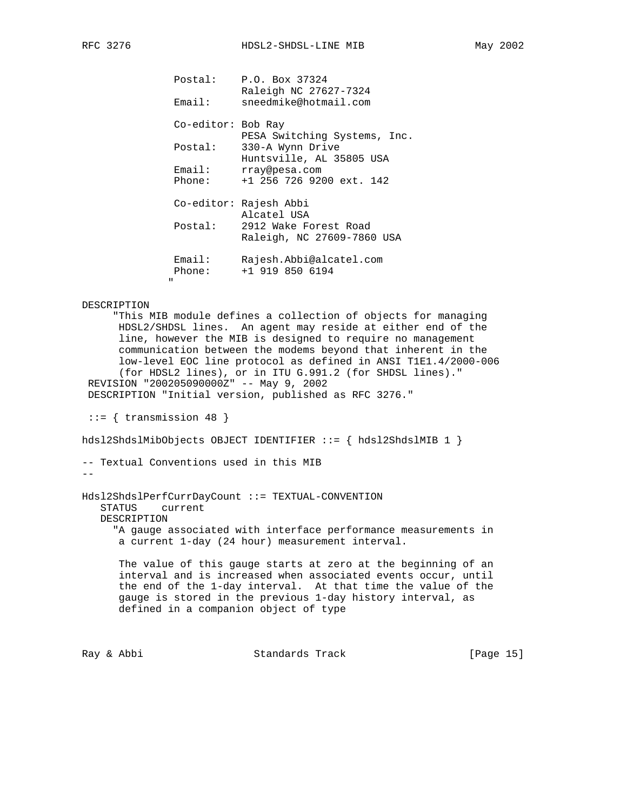| Postal:<br>Email:  | P.O. Box 37324<br>Raleigh NC 27627-7324<br>sneedmike@hotmail.com |
|--------------------|------------------------------------------------------------------|
| Co-editor: Bob Ray | PESA Switching Systems, Inc.                                     |
| Postal:            | 330-A Wynn Drive<br>Huntsville, AL 35805 USA                     |
| Email:<br>Phone:   | rray@pesa.com<br>+1 256 726 9200 ext. 142                        |
|                    | Co-editor: Rajesh Abbi<br>Alcatel USA                            |
|                    | Postal: 2912 Wake Forest Road<br>Raleigh, NC 27609-7860 USA      |
| Email:<br>Phone:   | Rajesh.Abbi@alcatel.com<br>$+1$ 919 850 6194                     |

#### DESCRIPTION

" "The Contract of the Contract of the Contract of the Contract of the Contract of the Contract of the Contract of the Contract of the Contract of the Contract of the Contract of the Contract of the Contract of the Contrac

 "This MIB module defines a collection of objects for managing HDSL2/SHDSL lines. An agent may reside at either end of the line, however the MIB is designed to require no management communication between the modems beyond that inherent in the low-level EOC line protocol as defined in ANSI T1E1.4/2000-006 (for HDSL2 lines), or in ITU G.991.2 (for SHDSL lines)." REVISION "200205090000Z" -- May 9, 2002 DESCRIPTION "Initial version, published as RFC 3276."

 $::=$  { transmission 48 }

hdsl2ShdslMibObjects OBJECT IDENTIFIER ::= { hdsl2ShdslMIB 1 }

```
-- Textual Conventions used in this MIB
```

```
--
```
Hdsl2ShdslPerfCurrDayCount ::= TEXTUAL-CONVENTION STATUS current DESCRIPTION "A gauge associated with interface performance measurements in a current 1-day (24 hour) measurement interval.

 The value of this gauge starts at zero at the beginning of an interval and is increased when associated events occur, until the end of the 1-day interval. At that time the value of the gauge is stored in the previous 1-day history interval, as defined in a companion object of type

Ray & Abbi Standards Track [Page 15]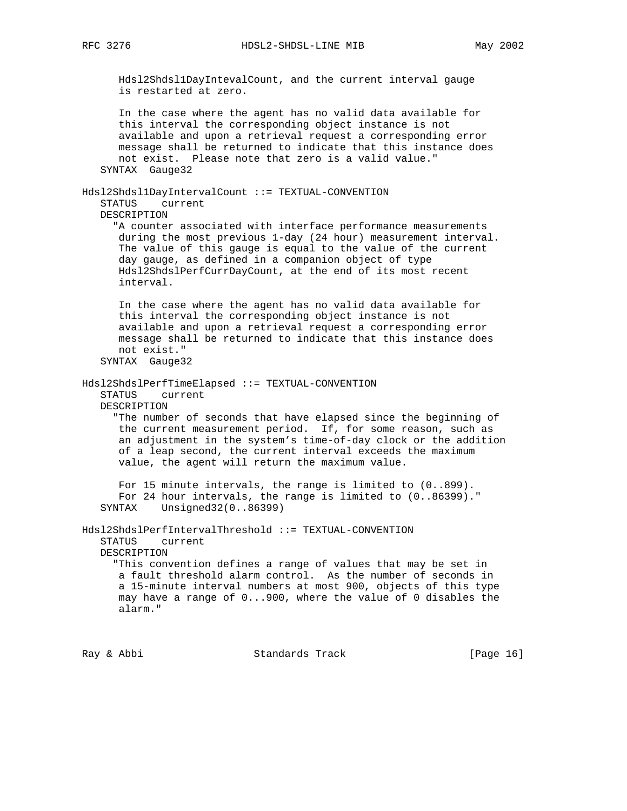RFC 3276 HDSL2-SHDSL-LINE MIB May 2002

 Hdsl2Shdsl1DayIntevalCount, and the current interval gauge is restarted at zero. In the case where the agent has no valid data available for this interval the corresponding object instance is not available and upon a retrieval request a corresponding error message shall be returned to indicate that this instance does not exist. Please note that zero is a valid value." SYNTAX Gauge32 Hdsl2Shdsl1DayIntervalCount ::= TEXTUAL-CONVENTION STATUS current DESCRIPTION "A counter associated with interface performance measurements during the most previous 1-day (24 hour) measurement interval. The value of this gauge is equal to the value of the current day gauge, as defined in a companion object of type Hdsl2ShdslPerfCurrDayCount, at the end of its most recent interval. In the case where the agent has no valid data available for this interval the corresponding object instance is not available and upon a retrieval request a corresponding error message shall be returned to indicate that this instance does not exist." SYNTAX Gauge32 Hdsl2ShdslPerfTimeElapsed ::= TEXTUAL-CONVENTION STATUS current DESCRIPTION "The number of seconds that have elapsed since the beginning of the current measurement period. If, for some reason, such as an adjustment in the system's time-of-day clock or the addition of a leap second, the current interval exceeds the maximum value, the agent will return the maximum value. For 15 minute intervals, the range is limited to (0..899). For 24 hour intervals, the range is limited to (0..86399)." SYNTAX Unsigned32(0..86399) Hdsl2ShdslPerfIntervalThreshold ::= TEXTUAL-CONVENTION STATUS current DESCRIPTION "This convention defines a range of values that may be set in a fault threshold alarm control. As the number of seconds in a 15-minute interval numbers at most 900, objects of this type may have a range of 0...900, where the value of 0 disables the alarm."

Ray & Abbi Standards Track [Page 16]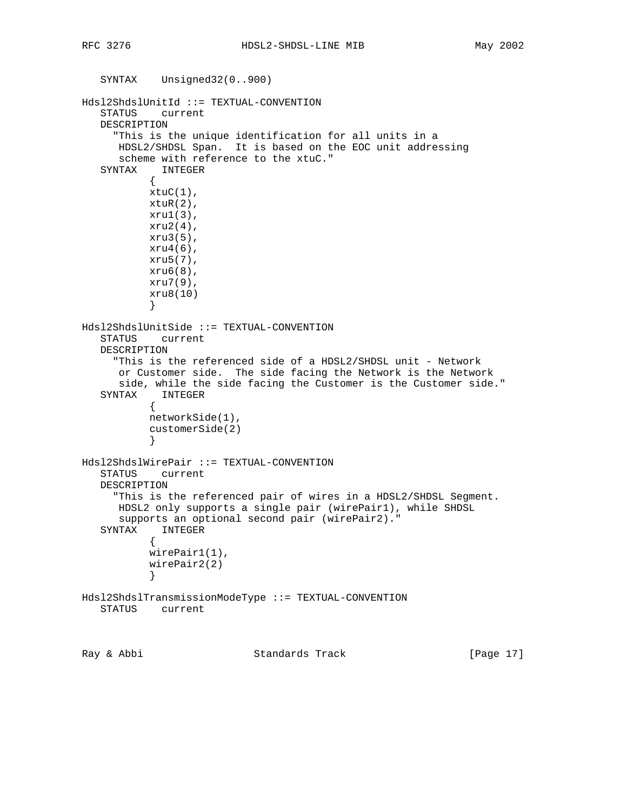```
 SYNTAX Unsigned32(0..900)
Hdsl2ShdslUnitId ::= TEXTUAL-CONVENTION
    STATUS current
   DESCRIPTION
      "This is the unique identification for all units in a
      HDSL2/SHDSL Span. It is based on the EOC unit addressing
      scheme with reference to the xtuC."
    SYNTAX INTEGER
           {
          xtuC(1),
          xtuR(2),
          xru1(3),
          xru2(4),
           xru3(5),
          xru4(6),
           xru5(7),
           xru6(8),
           xru7(9),
           xru8(10)
 }
Hdsl2ShdslUnitSide ::= TEXTUAL-CONVENTION
   STATUS current
   DESCRIPTION
      "This is the referenced side of a HDSL2/SHDSL unit - Network
      or Customer side. The side facing the Network is the Network
      side, while the side facing the Customer is the Customer side."
   SYNTAX INTEGER
\{ networkSide(1),
           customerSide(2)
 }
Hdsl2ShdslWirePair ::= TEXTUAL-CONVENTION
   STATUS current
   DESCRIPTION
      "This is the referenced pair of wires in a HDSL2/SHDSL Segment.
      HDSL2 only supports a single pair (wirePair1), while SHDSL
      supports an optional second pair (wirePair2)."
   SYNTAX INTEGER
\{ wirePair1(1),
           wirePair2(2)
 }
Hdsl2ShdslTransmissionModeType ::= TEXTUAL-CONVENTION
   STATUS current
Ray & Abbi                       Standards Track                 [Page 17]
```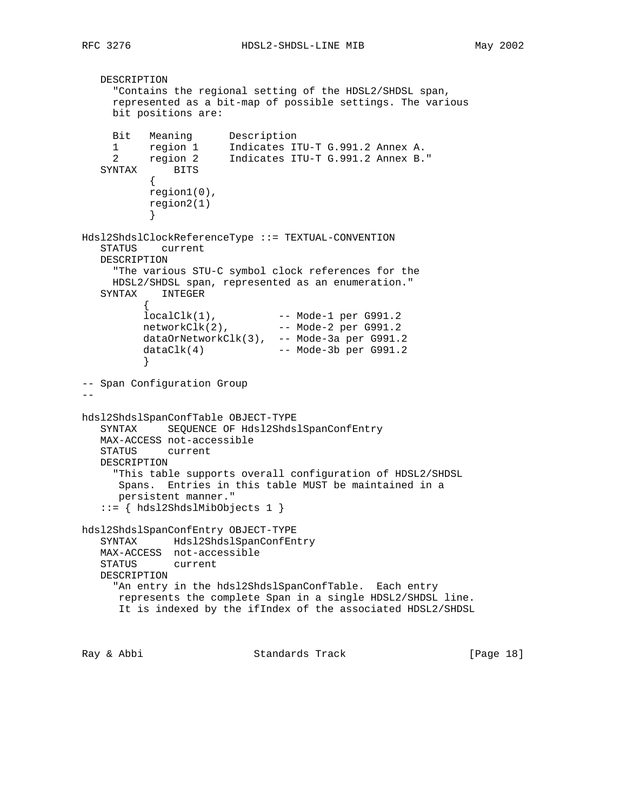```
 DESCRIPTION
     "Contains the regional setting of the HDSL2/SHDSL span,
     represented as a bit-map of possible settings. The various
     bit positions are:
 Bit Meaning Description
 1 region 1 Indicates ITU-T G.991.2 Annex A.
 2 region 2 Indicates ITU-T G.991.2 Annex B."
   SYNTAX BITS
           {
           region1(0),
           region2(1)
 }
Hdsl2ShdslClockReferenceType ::= TEXTUAL-CONVENTION
   STATUS current
   DESCRIPTION
     "The various STU-C symbol clock references for the
     HDSL2/SHDSL span, represented as an enumeration."
   SYNTAX INTEGER
\{ localClk(1), -- Mode-1 per G991.2
 networkClk(2), -- Mode-2 per G991.2
 dataOrNetworkClk(3), -- Mode-3a per G991.2
          dataClk(4) -- Mode-3b per G991.2
 }
-- Span Configuration Group
- -hdsl2ShdslSpanConfTable OBJECT-TYPE
   SYNTAX SEQUENCE OF Hdsl2ShdslSpanConfEntry
   MAX-ACCESS not-accessible
   STATUS current
   DESCRIPTION
     "This table supports overall configuration of HDSL2/SHDSL
      Spans. Entries in this table MUST be maintained in a
      persistent manner."
   ::= { hdsl2ShdslMibObjects 1 }
hdsl2ShdslSpanConfEntry OBJECT-TYPE
   SYNTAX Hdsl2ShdslSpanConfEntry
   MAX-ACCESS not-accessible
   STATUS current
   DESCRIPTION
    "An entry in the hdsl2ShdslSpanConfTable. Each entry
      represents the complete Span in a single HDSL2/SHDSL line.
      It is indexed by the ifIndex of the associated HDSL2/SHDSL
Ray & Abbi                       Standards Track                 [Page 18]
```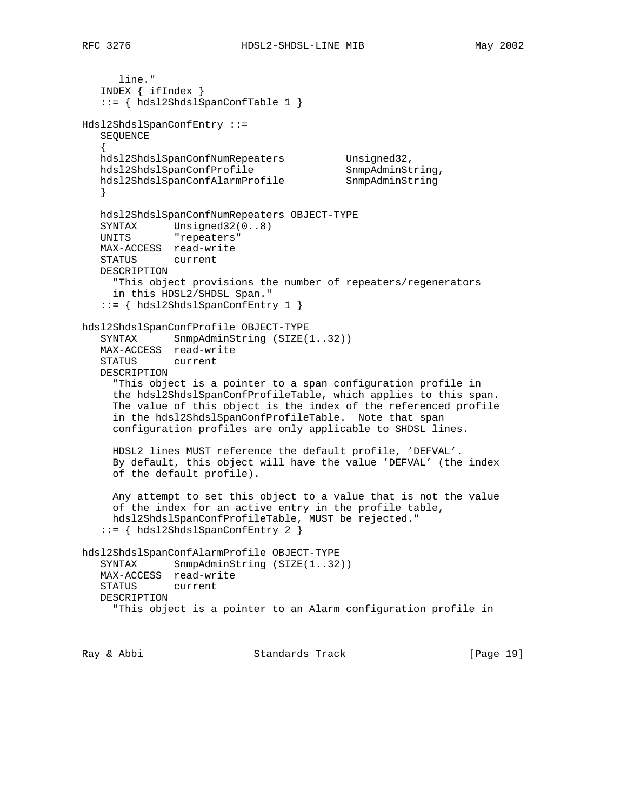```
 line."
    INDEX { ifIndex }
    ::= { hdsl2ShdslSpanConfTable 1 }
Hdsl2ShdslSpanConfEntry ::=
   SEQUENCE
    {
  hdsl2ShdslSpanConfNumRepeaters Unsigned32,
hdsl2ShdslSpanConfProfile SnmpAdminString,
 hdsl2ShdslSpanConfAlarmProfile SnmpAdminString
 }
   hdsl2ShdslSpanConfNumRepeaters OBJECT-TYPE
 SYNTAX Unsigned32(0..8)
 UNITS "repeaters"
   MAX-ACCESS read-write
   STATUS current
   DESCRIPTION
     "This object provisions the number of repeaters/regenerators
     in this HDSL2/SHDSL Span."
    ::= { hdsl2ShdslSpanConfEntry 1 }
hdsl2ShdslSpanConfProfile OBJECT-TYPE
   SYNTAX SnmpAdminString (SIZE(1..32))
   MAX-ACCESS read-write
   STATUS current
   DESCRIPTION
      "This object is a pointer to a span configuration profile in
      the hdsl2ShdslSpanConfProfileTable, which applies to this span.
     The value of this object is the index of the referenced profile
      in the hdsl2ShdslSpanConfProfileTable. Note that span
     configuration profiles are only applicable to SHDSL lines.
     HDSL2 lines MUST reference the default profile, 'DEFVAL'.
     By default, this object will have the value 'DEFVAL' (the index
     of the default profile).
     Any attempt to set this object to a value that is not the value
     of the index for an active entry in the profile table,
     hdsl2ShdslSpanConfProfileTable, MUST be rejected."
    ::= { hdsl2ShdslSpanConfEntry 2 }
hdsl2ShdslSpanConfAlarmProfile OBJECT-TYPE
   SYNTAX SnmpAdminString (SIZE(1..32))
   MAX-ACCESS read-write
   STATUS current
   DESCRIPTION
      "This object is a pointer to an Alarm configuration profile in
```
Ray & Abbi Standards Track [Page 19]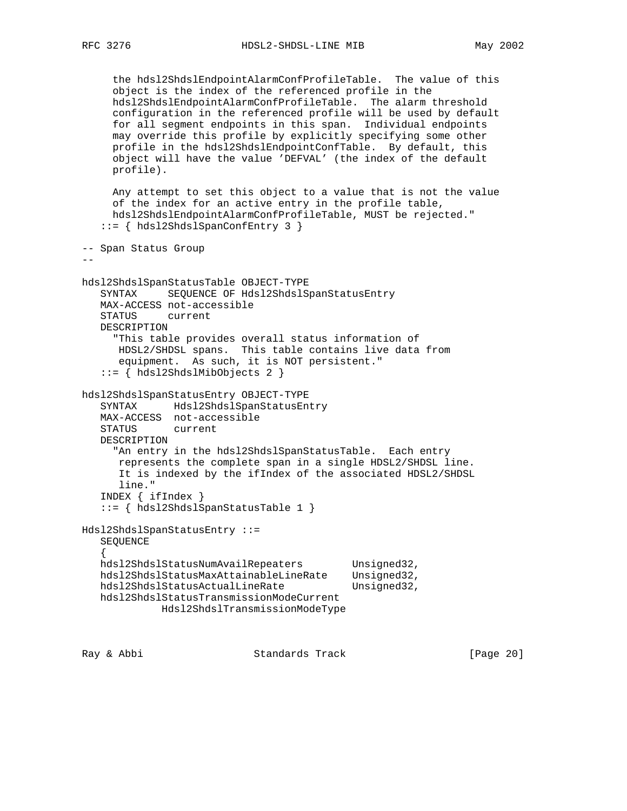```
 the hdsl2ShdslEndpointAlarmConfProfileTable. The value of this
      object is the index of the referenced profile in the
      hdsl2ShdslEndpointAlarmConfProfileTable. The alarm threshold
      configuration in the referenced profile will be used by default
      for all segment endpoints in this span. Individual endpoints
      may override this profile by explicitly specifying some other
      profile in the hdsl2ShdslEndpointConfTable. By default, this
      object will have the value 'DEFVAL' (the index of the default
      profile).
      Any attempt to set this object to a value that is not the value
      of the index for an active entry in the profile table,
      hdsl2ShdslEndpointAlarmConfProfileTable, MUST be rejected."
    ::= { hdsl2ShdslSpanConfEntry 3 }
-- Span Status Group
- -hdsl2ShdslSpanStatusTable OBJECT-TYPE
    SYNTAX SEQUENCE OF Hdsl2ShdslSpanStatusEntry
    MAX-ACCESS not-accessible
    STATUS current
    DESCRIPTION
      "This table provides overall status information of
      HDSL2/SHDSL spans. This table contains live data from
       equipment. As such, it is NOT persistent."
    ::= { hdsl2ShdslMibObjects 2 }
hdsl2ShdslSpanStatusEntry OBJECT-TYPE
    SYNTAX Hdsl2ShdslSpanStatusEntry
    MAX-ACCESS not-accessible
    STATUS current
    DESCRIPTION
      "An entry in the hdsl2ShdslSpanStatusTable. Each entry
       represents the complete span in a single HDSL2/SHDSL line.
       It is indexed by the ifIndex of the associated HDSL2/SHDSL
       line."
    INDEX { ifIndex }
    ::= { hdsl2ShdslSpanStatusTable 1 }
Hdsl2ShdslSpanStatusEntry ::=
    SEQUENCE
\{ \cdot \cdot \cdot \cdot \cdot \cdot \cdot \cdot \cdot \cdot \cdot \cdot \cdot \cdot \cdot \cdot \cdot \cdot \cdot \cdot \cdot \cdot \cdot \cdot \cdot \cdot \cdot \cdot \cdot \cdot \cdot \cdot \cdot \cdot \cdot \cdot 
   hdsl2ShdslStatusNumAvailRepeaters Unsigned32,
    hdsl2ShdslStatusMaxAttainableLineRate Unsigned32,
   hdsl2ShdslStatusActualLineRate Unsigned32,
    hdsl2ShdslStatusTransmissionModeCurrent
               Hdsl2ShdslTransmissionModeType
```
Ray & Abbi Standards Track [Page 20]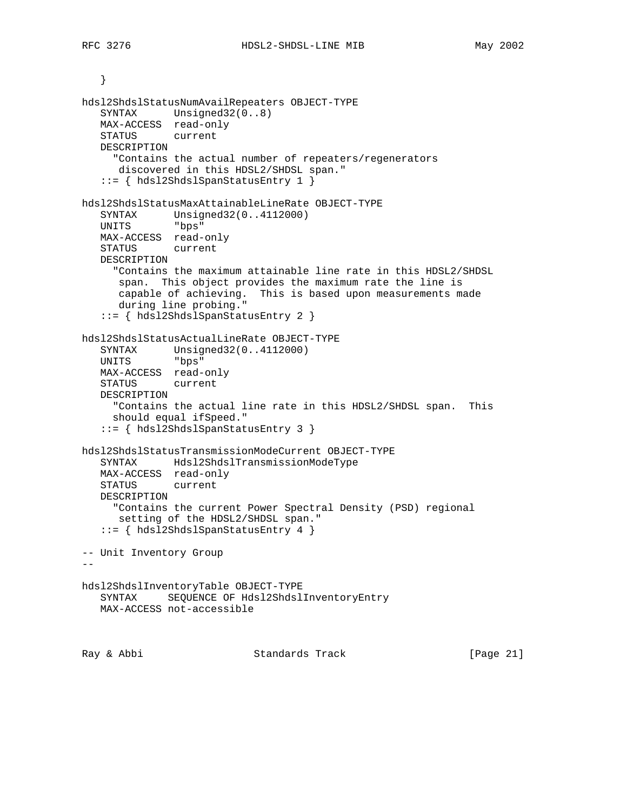```
 }
hdsl2ShdslStatusNumAvailRepeaters OBJECT-TYPE
    SYNTAX Unsigned32(0..8)
   MAX-ACCESS read-only
   STATUS current
   DESCRIPTION
     "Contains the actual number of repeaters/regenerators
      discovered in this HDSL2/SHDSL span."
    ::= { hdsl2ShdslSpanStatusEntry 1 }
hdsl2ShdslStatusMaxAttainableLineRate OBJECT-TYPE
 SYNTAX Unsigned32(0..4112000)
 UNITS "bps"
   MAX-ACCESS read-only
   STATUS current
   DESCRIPTION
      "Contains the maximum attainable line rate in this HDSL2/SHDSL
      span. This object provides the maximum rate the line is
      capable of achieving. This is based upon measurements made
      during line probing."
    ::= { hdsl2ShdslSpanStatusEntry 2 }
hdsl2ShdslStatusActualLineRate OBJECT-TYPE
 SYNTAX Unsigned32(0..4112000)
 UNITS "bps"
   MAX-ACCESS read-only
   STATUS current
   DESCRIPTION
     "Contains the actual line rate in this HDSL2/SHDSL span. This
     should equal ifSpeed."
    ::= { hdsl2ShdslSpanStatusEntry 3 }
hdsl2ShdslStatusTransmissionModeCurrent OBJECT-TYPE
   SYNTAX Hdsl2ShdslTransmissionModeType
   MAX-ACCESS read-only
   STATUS current
   DESCRIPTION
     "Contains the current Power Spectral Density (PSD) regional
      setting of the HDSL2/SHDSL span."
    ::= { hdsl2ShdslSpanStatusEntry 4 }
-- Unit Inventory Group
--hdsl2ShdslInventoryTable OBJECT-TYPE
   SYNTAX SEQUENCE OF Hdsl2ShdslInventoryEntry
   MAX-ACCESS not-accessible
Ray & Abbi                       Standards Track                 [Page 21]
```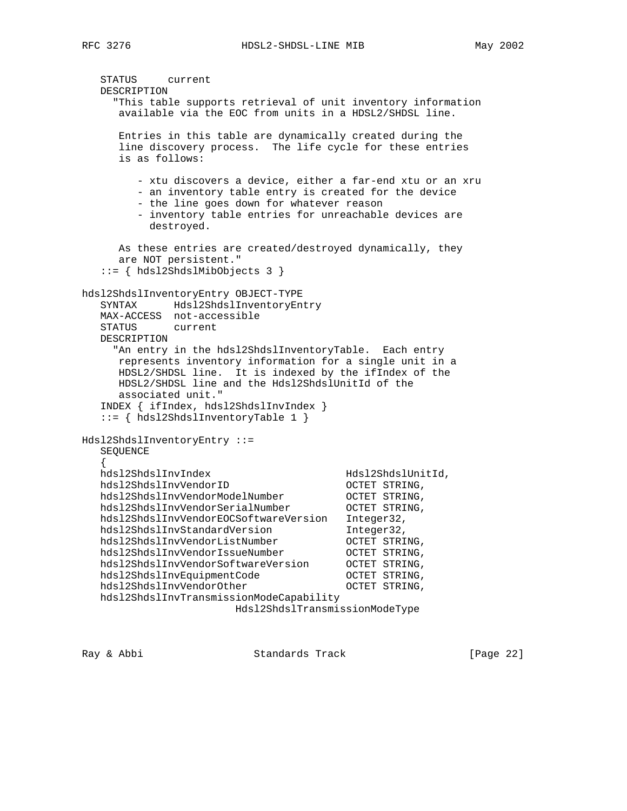```
 STATUS current
    DESCRIPTION
      "This table supports retrieval of unit inventory information
       available via the EOC from units in a HDSL2/SHDSL line.
       Entries in this table are dynamically created during the
       line discovery process. The life cycle for these entries
       is as follows:
           - xtu discovers a device, either a far-end xtu or an xru
           - an inventory table entry is created for the device
           - the line goes down for whatever reason
           - inventory table entries for unreachable devices are
             destroyed.
       As these entries are created/destroyed dynamically, they
       are NOT persistent."
    ::= { hdsl2ShdslMibObjects 3 }
hdsl2ShdslInventoryEntry OBJECT-TYPE
    SYNTAX Hdsl2ShdslInventoryEntry
    MAX-ACCESS not-accessible
    STATUS current
    DESCRIPTION
      "An entry in the hdsl2ShdslInventoryTable. Each entry
       represents inventory information for a single unit in a
       HDSL2/SHDSL line. It is indexed by the ifIndex of the
       HDSL2/SHDSL line and the Hdsl2ShdslUnitId of the
       associated unit."
    INDEX { ifIndex, hdsl2ShdslInvIndex }
    ::= { hdsl2ShdslInventoryTable 1 }
Hdsl2ShdslInventoryEntry ::=
    SEQUENCE
\{ \cdot \cdot \cdot \cdot \cdot \cdot \cdot \cdot \cdot \cdot \cdot \cdot \cdot \cdot \cdot \cdot \cdot \cdot \cdot \cdot \cdot \cdot \cdot \cdot \cdot \cdot \cdot \cdot \cdot \cdot \cdot \cdot \cdot \cdot \cdot \cdot 
   hdsl2ShdslInvIndex Hdsl2ShdslUnitId,<br>hdsl2ShdslInvVendorID OCTET STRING
 hdsl2ShdslInvVendorID OCTET STRING,
 hdsl2ShdslInvVendorModelNumber OCTET STRING,
 hdsl2ShdslInvVendorSerialNumber OCTET STRING,
    hdsl2ShdslInvVendorEOCSoftwareVersion Integer32,
   hdsl2ShdslInvStandardVersion Integer32,<br>hdsl2ShdslInvVendorListNumber OCTET STRING,
 hdsl2ShdslInvVendorListNumber OCTET STRING,
 hdsl2ShdslInvVendorIssueNumber OCTET STRING,
 hdsl2ShdslInvVendorSoftwareVersion OCTET STRING,
hdsl2ShdslInvEquipmentCode OCTET STRING,
hdsl2ShdslInvVendorOther COCTET STRING,
    hdsl2ShdslInvTransmissionModeCapability
                            Hdsl2ShdslTransmissionModeType
```
Ray & Abbi Standards Track [Page 22]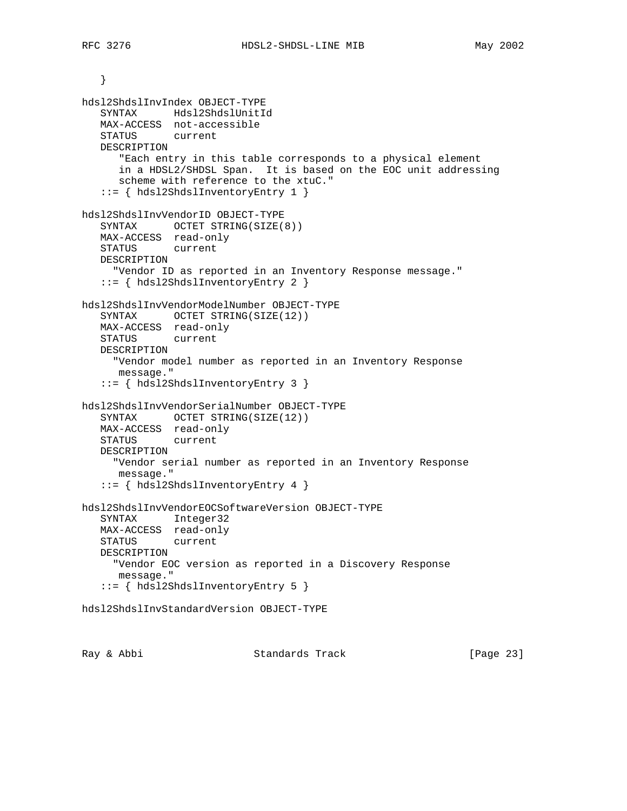```
 }
hdsl2ShdslInvIndex OBJECT-TYPE
    SYNTAX Hdsl2ShdslUnitId
   MAX-ACCESS not-accessible
   STATUS current
   DESCRIPTION
      "Each entry in this table corresponds to a physical element
      in a HDSL2/SHDSL Span. It is based on the EOC unit addressing
      scheme with reference to the xtuC."
    ::= { hdsl2ShdslInventoryEntry 1 }
hdsl2ShdslInvVendorID OBJECT-TYPE
   SYNTAX OCTET STRING(SIZE(8))
   MAX-ACCESS read-only
   STATUS current
   DESCRIPTION
     "Vendor ID as reported in an Inventory Response message."
    ::= { hdsl2ShdslInventoryEntry 2 }
hdsl2ShdslInvVendorModelNumber OBJECT-TYPE
   SYNTAX OCTET STRING(SIZE(12))
   MAX-ACCESS read-only
   STATUS current
   DESCRIPTION
     "Vendor model number as reported in an Inventory Response
      message."
    ::= { hdsl2ShdslInventoryEntry 3 }
hdsl2ShdslInvVendorSerialNumber OBJECT-TYPE
  SYNTAX OCTET STRING(SIZE(12))
   MAX-ACCESS read-only
   STATUS current
   DESCRIPTION
      "Vendor serial number as reported in an Inventory Response
      message."
    ::= { hdsl2ShdslInventoryEntry 4 }
hdsl2ShdslInvVendorEOCSoftwareVersion OBJECT-TYPE
   SYNTAX Integer32
   MAX-ACCESS read-only
   STATUS current
   DESCRIPTION
     "Vendor EOC version as reported in a Discovery Response
      message."
    ::= { hdsl2ShdslInventoryEntry 5 }
hdsl2ShdslInvStandardVersion OBJECT-TYPE
```
Ray & Abbi Standards Track [Page 23]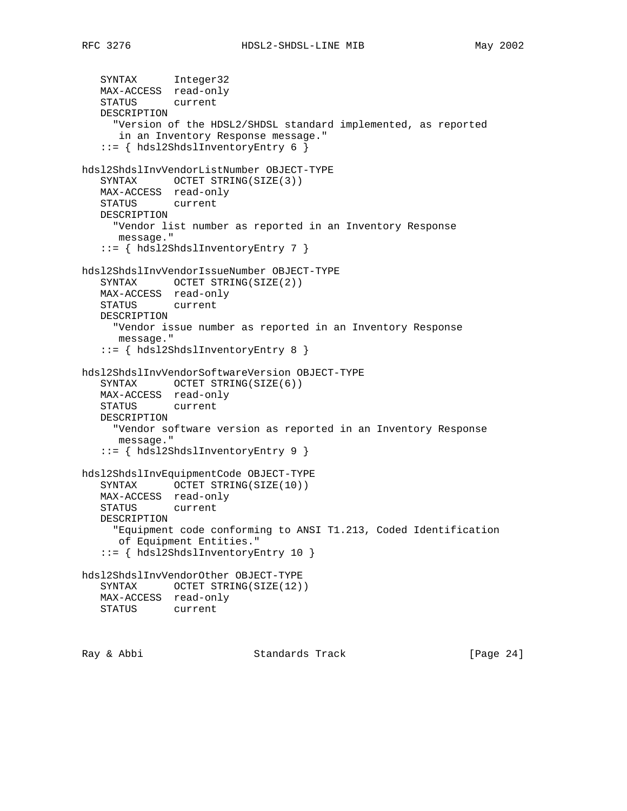```
 SYNTAX Integer32
   MAX-ACCESS read-only
   STATUS current
   DESCRIPTION
      "Version of the HDSL2/SHDSL standard implemented, as reported
      in an Inventory Response message."
    ::= { hdsl2ShdslInventoryEntry 6 }
hdsl2ShdslInvVendorListNumber OBJECT-TYPE
   SYNTAX OCTET STRING(SIZE(3))
   MAX-ACCESS read-only
   STATUS current
   DESCRIPTION
     "Vendor list number as reported in an Inventory Response
      message."
    ::= { hdsl2ShdslInventoryEntry 7 }
hdsl2ShdslInvVendorIssueNumber OBJECT-TYPE
  SYNTAX OCTET STRING(SIZE(2))
   MAX-ACCESS read-only
   STATUS current
   DESCRIPTION
      "Vendor issue number as reported in an Inventory Response
      message."
    ::= { hdsl2ShdslInventoryEntry 8 }
hdsl2ShdslInvVendorSoftwareVersion OBJECT-TYPE
   SYNTAX OCTET STRING(SIZE(6))
   MAX-ACCESS read-only
   STATUS current
   DESCRIPTION
     "Vendor software version as reported in an Inventory Response
     message."
    ::= { hdsl2ShdslInventoryEntry 9 }
hdsl2ShdslInvEquipmentCode OBJECT-TYPE
   SYNTAX OCTET STRING(SIZE(10))
   MAX-ACCESS read-only
   STATUS current
   DESCRIPTION
     "Equipment code conforming to ANSI T1.213, Coded Identification
      of Equipment Entities."
    ::= { hdsl2ShdslInventoryEntry 10 }
hdsl2ShdslInvVendorOther OBJECT-TYPE
  SYNTAX OCTET STRING(SIZE(12))
   MAX-ACCESS read-only
   STATUS current
```
Ray & Abbi Standards Track [Page 24]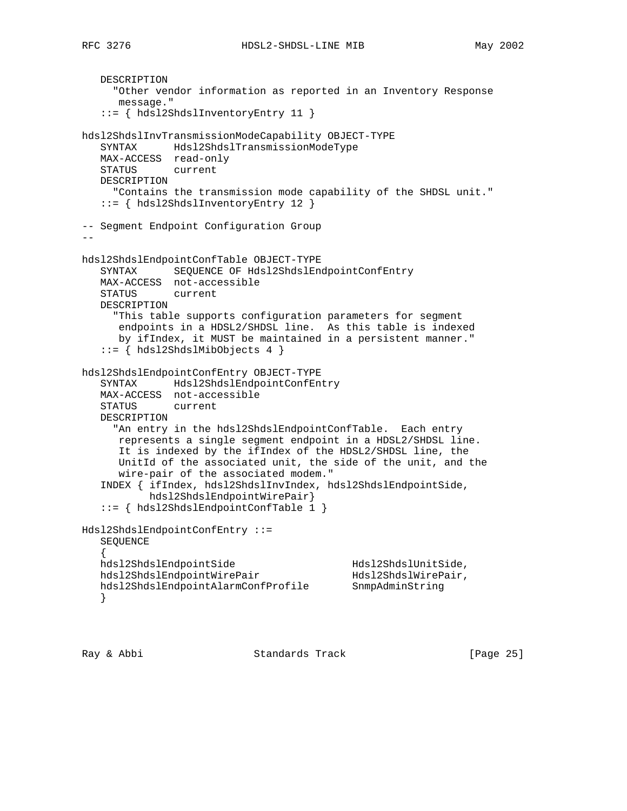DESCRIPTION "Other vendor information as reported in an Inventory Response message." ::= { hdsl2ShdslInventoryEntry 11 } hdsl2ShdslInvTransmissionModeCapability OBJECT-TYPE SYNTAX Hdsl2ShdslTransmissionModeType MAX-ACCESS read-only STATUS current DESCRIPTION "Contains the transmission mode capability of the SHDSL unit." ::= { hdsl2ShdslInventoryEntry 12 } -- Segment Endpoint Configuration Group - hdsl2ShdslEndpointConfTable OBJECT-TYPE SYNTAX SEQUENCE OF Hdsl2ShdslEndpointConfEntry MAX-ACCESS not-accessible STATUS current DESCRIPTION "This table supports configuration parameters for segment endpoints in a HDSL2/SHDSL line. As this table is indexed by ifIndex, it MUST be maintained in a persistent manner." ::= { hdsl2ShdslMibObjects 4 } hdsl2ShdslEndpointConfEntry OBJECT-TYPE SYNTAX Hdsl2ShdslEndpointConfEntry MAX-ACCESS not-accessible STATUS current DESCRIPTION "An entry in the hdsl2ShdslEndpointConfTable. Each entry represents a single segment endpoint in a HDSL2/SHDSL line. It is indexed by the ifIndex of the HDSL2/SHDSL line, the UnitId of the associated unit, the side of the unit, and the wire-pair of the associated modem." INDEX { ifIndex, hdsl2ShdslInvIndex, hdsl2ShdslEndpointSide, hdsl2ShdslEndpointWirePair} ::= { hdsl2ShdslEndpointConfTable 1 } Hdsl2ShdslEndpointConfEntry ::= SEQUENCE  $\{$  \cdot \cdot \cdot \cdot \cdot \cdot \cdot \cdot \cdot \cdot \cdot \cdot \cdot \cdot \cdot \cdot \cdot \cdot \cdot \cdot \cdot \cdot \cdot \cdot \cdot \cdot \cdot \cdot \cdot \cdot \cdot \cdot \cdot \cdot \cdot \cdot hdsl2ShdslEndpointSide Hdsl2ShdslUnitSide, hdsl2ShdslEndpointWirePair Hdsl2ShdslWirePair, hdsl2ShdslEndpointAlarmConfProfile SnmpAdminString }

Ray & Abbi Standards Track [Page 25]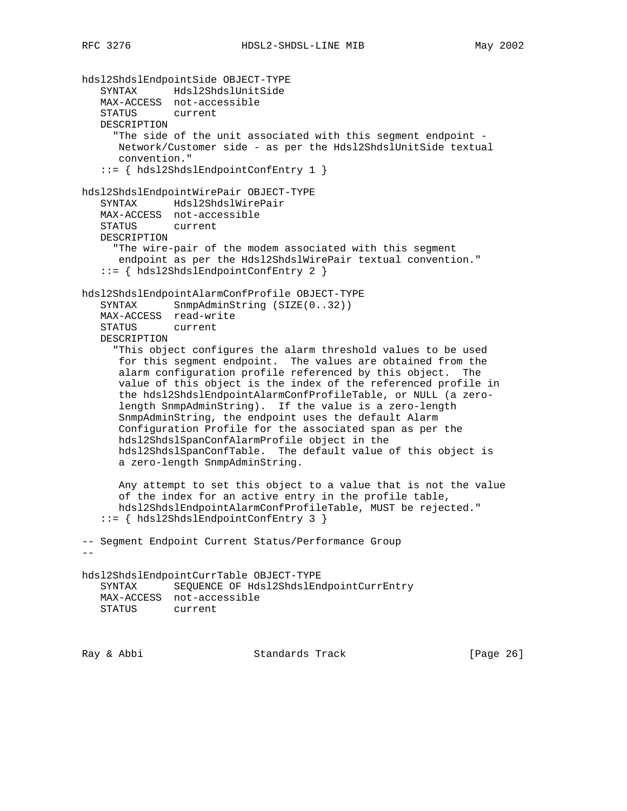```
hdsl2ShdslEndpointSide OBJECT-TYPE
 SYNTAX Hdsl2ShdslUnitSide
 MAX-ACCESS not-accessible
    STATUS current
   DESCRIPTION
      "The side of the unit associated with this segment endpoint -
      Network/Customer side - as per the Hdsl2ShdslUnitSide textual
      convention."
    ::= { hdsl2ShdslEndpointConfEntry 1 }
hdsl2ShdslEndpointWirePair OBJECT-TYPE
    SYNTAX Hdsl2ShdslWirePair
   MAX-ACCESS not-accessible
    STATUS current
   DESCRIPTION
      "The wire-pair of the modem associated with this segment
      endpoint as per the Hdsl2ShdslWirePair textual convention."
    ::= { hdsl2ShdslEndpointConfEntry 2 }
hdsl2ShdslEndpointAlarmConfProfile OBJECT-TYPE
   SYNTAX SnmpAdminString (SIZE(0..32))
   MAX-ACCESS read-write
   STATUS current
   DESCRIPTION
      "This object configures the alarm threshold values to be used
 for this segment endpoint. The values are obtained from the
 alarm configuration profile referenced by this object. The
      value of this object is the index of the referenced profile in
       the hdsl2ShdslEndpointAlarmConfProfileTable, or NULL (a zero-
       length SnmpAdminString). If the value is a zero-length
       SnmpAdminString, the endpoint uses the default Alarm
      Configuration Profile for the associated span as per the
      hdsl2ShdslSpanConfAlarmProfile object in the
      hdsl2ShdslSpanConfTable. The default value of this object is
      a zero-length SnmpAdminString.
      Any attempt to set this object to a value that is not the value
       of the index for an active entry in the profile table,
      hdsl2ShdslEndpointAlarmConfProfileTable, MUST be rejected."
    ::= { hdsl2ShdslEndpointConfEntry 3 }
-- Segment Endpoint Current Status/Performance Group
--
hdsl2ShdslEndpointCurrTable OBJECT-TYPE
    SYNTAX SEQUENCE OF Hdsl2ShdslEndpointCurrEntry
   MAX-ACCESS not-accessible
   STATUS current
```
Ray & Abbi Standards Track [Page 26]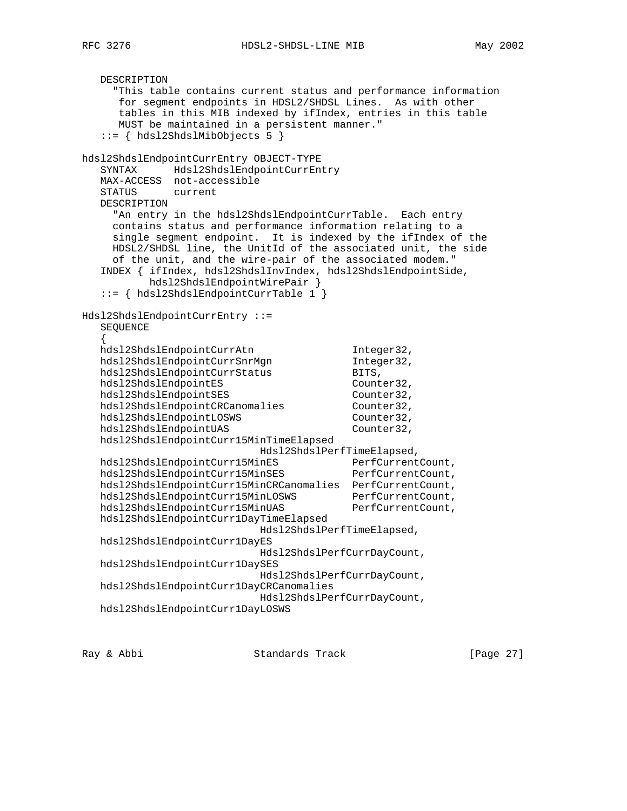DESCRIPTION "This table contains current status and performance information for segment endpoints in HDSL2/SHDSL Lines. As with other tables in this MIB indexed by ifIndex, entries in this table MUST be maintained in a persistent manner." ::= { hdsl2ShdslMibObjects 5 } hdsl2ShdslEndpointCurrEntry OBJECT-TYPE SYNTAX Hdsl2ShdslEndpointCurrEntry MAX-ACCESS not-accessible STATUS current DESCRIPTION "An entry in the hdsl2ShdslEndpointCurrTable. Each entry contains status and performance information relating to a single segment endpoint. It is indexed by the ifIndex of the HDSL2/SHDSL line, the UnitId of the associated unit, the side of the unit, and the wire-pair of the associated modem." INDEX { ifIndex, hdsl2ShdslInvIndex, hdsl2ShdslEndpointSide, hdsl2ShdslEndpointWirePair } ::= { hdsl2ShdslEndpointCurrTable 1 } Hdsl2ShdslEndpointCurrEntry ::= SEQUENCE { hdsl2ShdslEndpointCurrAtn Integer32, hdsl2ShdslEndpointCurrSnrMgn 1nteger32, hdsl2ShdslEndpointCurrStatus BITS, hdsl2ShdslEndpointCurrStatus BITS,<br>hdsl2ShdslEndpointES Counter32,<br>hdsl2ShdslEndpointSES Counter32, hdsl2ShdslEndpointSES Counter32, hdsl2ShdslEndpointCRCanomalies Counter32, hdsl2ShdslEndpointLOSWS Counter32, hdsl2ShdslEndpointUAS Counter32, hdsl2ShdslEndpointCurr15MinTimeElapsed Hdsl2ShdslPerfTimeElapsed, hdsl2ShdslEndpointCurr15MinES hdsl2ShdslEndpointCurr15MinSES hdsl2ShdslEndpointCurr15MinCRCanomalies PerfCurrentCount, hdsl2ShdslEndpointCurr15MinLOSWS PerfCurrentCount, hdsl2ShdslEndpointCurr15MinUAS PerfCurrentCount, hdsl2ShdslEndpointCurr1DayTimeElapsed Hdsl2ShdslPerfTimeElapsed, hdsl2ShdslEndpointCurr1DayES Hdsl2ShdslPerfCurrDayCount, hdsl2ShdslEndpointCurr1DaySES Hdsl2ShdslPerfCurrDayCount, hdsl2ShdslEndpointCurr1DayCRCanomalies Hdsl2ShdslPerfCurrDayCount, hdsl2ShdslEndpointCurr1DayLOSWS

Ray & Abbi Standards Track [Page 27]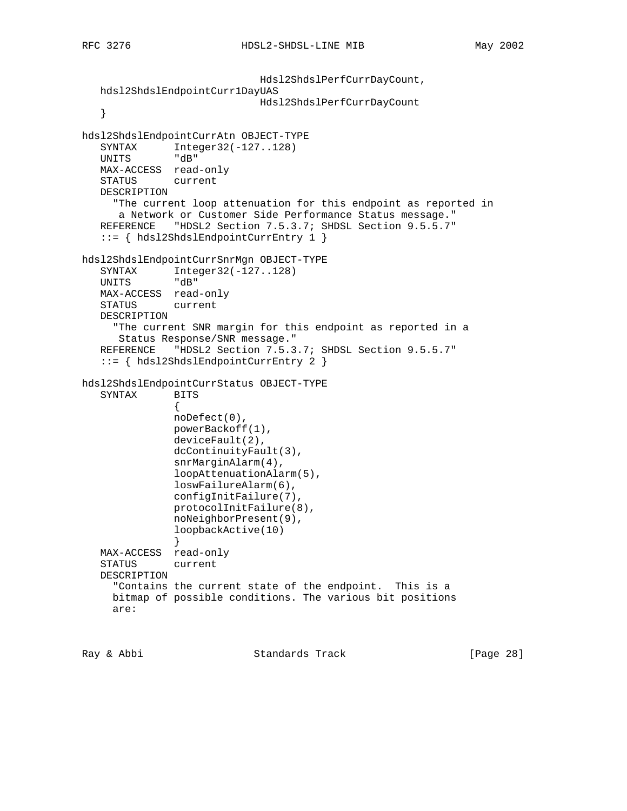```
 Hdsl2ShdslPerfCurrDayCount,
   hdsl2ShdslEndpointCurr1DayUAS
                             Hdsl2ShdslPerfCurrDayCount
    }
hdsl2ShdslEndpointCurrAtn OBJECT-TYPE
  SYNTAX Integer32(-127..128)
   UNITS "dB"
   MAX-ACCESS read-only
   STATUS current
   DESCRIPTION
     "The current loop attenuation for this endpoint as reported in
      a Network or Customer Side Performance Status message."
  REFERENCE "HDSL2 Section 7.5.3.7; SHDSL Section 9.5.5.7"
    ::= { hdsl2ShdslEndpointCurrEntry 1 }
hdsl2ShdslEndpointCurrSnrMgn OBJECT-TYPE
  SYNTAX Integer32(-127..128)<br>UNITS "dB"
  UNITS
   MAX-ACCESS read-only
   STATUS current
   DESCRIPTION
      "The current SNR margin for this endpoint as reported in a
      Status Response/SNR message."
  REFERENCE "HDSL2 Section 7.5.3.7; SHDSL Section 9.5.5.7"
    ::= { hdsl2ShdslEndpointCurrEntry 2 }
hdsl2ShdslEndpointCurrStatus OBJECT-TYPE
   SYNTAX BITS
 {
               noDefect(0),
               powerBackoff(1),
               deviceFault(2),
               dcContinuityFault(3),
               snrMarginAlarm(4),
               loopAttenuationAlarm(5),
               loswFailureAlarm(6),
               configInitFailure(7),
               protocolInitFailure(8),
               noNeighborPresent(9),
               loopbackActive(10)
 }
   MAX-ACCESS read-only
    STATUS current
    DESCRIPTION
      "Contains the current state of the endpoint. This is a
     bitmap of possible conditions. The various bit positions
     are:
```
Ray & Abbi Standards Track [Page 28]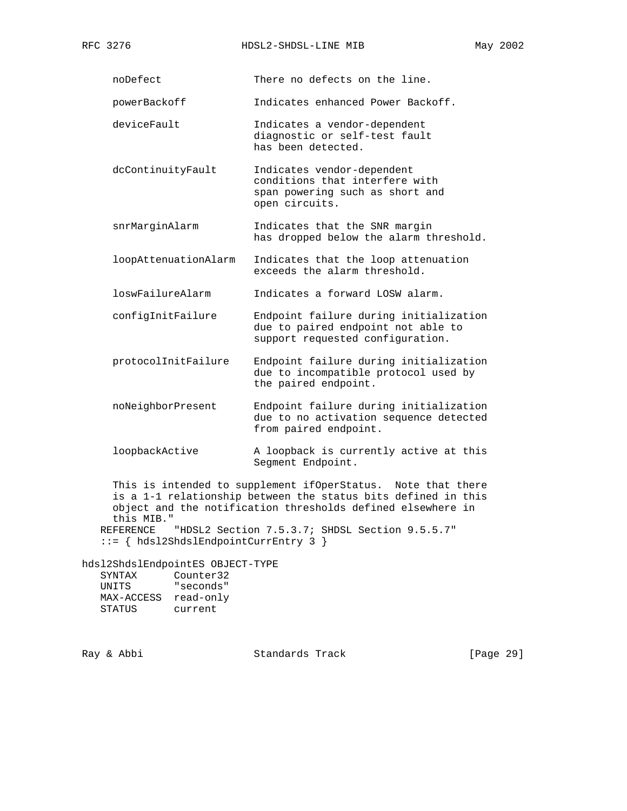noDefect There no defects on the line.

powerBackoff Indicates enhanced Power Backoff.

- deviceFault 1ndicates a vendor-dependent diagnostic or self-test fault has been detected.
- dcContinuityFault Indicates vendor-dependent conditions that interfere with span powering such as short and open circuits.
- snrMarginAlarm Indicates that the SNR margin has dropped below the alarm threshold.
- loopAttenuationAlarm Indicates that the loop attenuation exceeds the alarm threshold.

loswFailureAlarm Indicates a forward LOSW alarm.

 configInitFailure Endpoint failure during initialization due to paired endpoint not able to support requested configuration.

- protocolInitFailure Endpoint failure during initialization due to incompatible protocol used by the paired endpoint.
- noNeighborPresent Endpoint failure during initialization due to no activation sequence detected from paired endpoint.
- loopbackActive A loopback is currently active at this Segment Endpoint.

 This is intended to supplement ifOperStatus. Note that there is a 1-1 relationship between the status bits defined in this object and the notification thresholds defined elsewhere in this MIB." REFERENCE "HDSL2 Section 7.5.3.7; SHDSL Section 9.5.5.7"

::= { hdsl2ShdslEndpointCurrEntry 3 }

hdsl2ShdslEndpointES OBJECT-TYPE SYNTAX Counter32 UNITS "seconds" MAX-ACCESS read-only STATUS current

Ray & Abbi Standards Track [Page 29]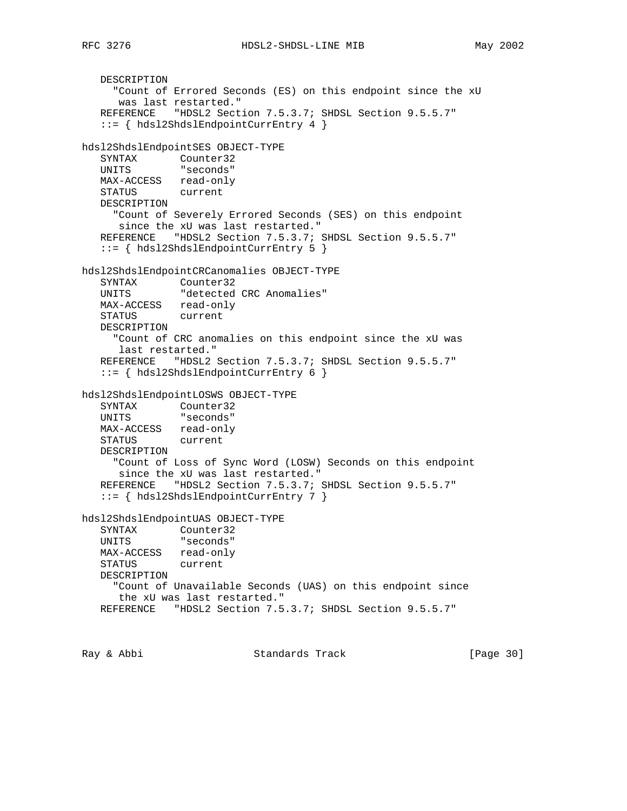```
 DESCRIPTION
      "Count of Errored Seconds (ES) on this endpoint since the xU
      was last restarted."
   REFERENCE "HDSL2 Section 7.5.3.7; SHDSL Section 9.5.5.7"
    ::= { hdsl2ShdslEndpointCurrEntry 4 }
hdsl2ShdslEndpointSES OBJECT-TYPE
 SYNTAX Counter32
 UNITS "seconds"
   MAX-ACCESS read-only
   STATUS current
   DESCRIPTION
     "Count of Severely Errored Seconds (SES) on this endpoint
      since the xU was last restarted."
   REFERENCE "HDSL2 Section 7.5.3.7; SHDSL Section 9.5.5.7"
    ::= { hdsl2ShdslEndpointCurrEntry 5 }
hdsl2ShdslEndpointCRCanomalies OBJECT-TYPE
   SYNTAX Counter32
   UNITS "detected CRC Anomalies"
   MAX-ACCESS read-only
   STATUS current
   DESCRIPTION
      "Count of CRC anomalies on this endpoint since the xU was
      last restarted."
   REFERENCE "HDSL2 Section 7.5.3.7; SHDSL Section 9.5.5.7"
    ::= { hdsl2ShdslEndpointCurrEntry 6 }
hdsl2ShdslEndpointLOSWS OBJECT-TYPE
   SYNTAX Counter32
   UNITS "seconds"
   MAX-ACCESS read-only
   STATUS current
   DESCRIPTION
     "Count of Loss of Sync Word (LOSW) Seconds on this endpoint
      since the xU was last restarted."
  REFERENCE "HDSL2 Section 7.5.3.7; SHDSL Section 9.5.5.7"
    ::= { hdsl2ShdslEndpointCurrEntry 7 }
hdsl2ShdslEndpointUAS OBJECT-TYPE
 SYNTAX Counter32
 UNITS "seconds"
   MAX-ACCESS read-only
   STATUS current
   DESCRIPTION
     "Count of Unavailable Seconds (UAS) on this endpoint since
      the xU was last restarted."
   REFERENCE "HDSL2 Section 7.5.3.7; SHDSL Section 9.5.5.7"
```

```
Ray & Abbi Standards Track [Page 30]
```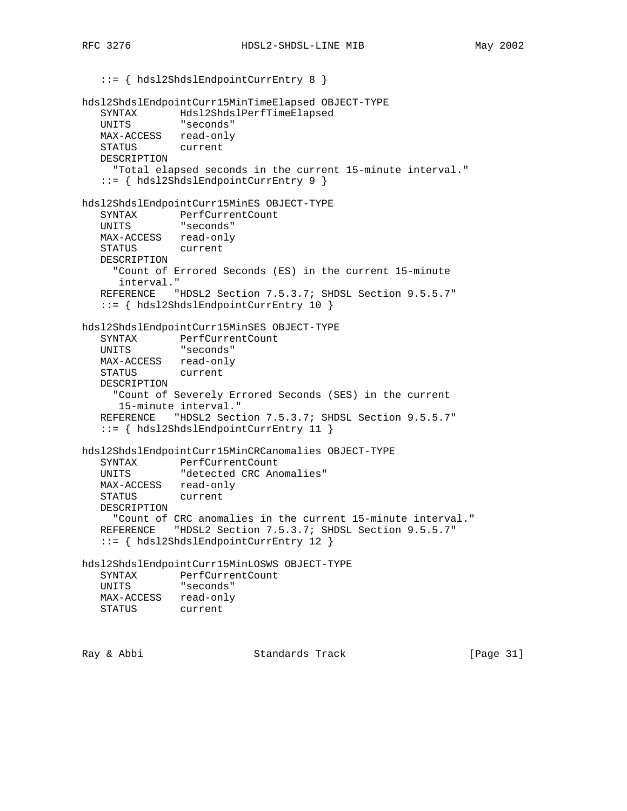::= { hdsl2ShdslEndpointCurrEntry 8 }

```
hdsl2ShdslEndpointCurr15MinTimeElapsed OBJECT-TYPE
   SYNTAX Hdsl2ShdslPerfTimeElapsed
   UNITS "seconds"
 MAX-ACCESS read-only
 STATUS current
   DESCRIPTION
     "Total elapsed seconds in the current 15-minute interval."
    ::= { hdsl2ShdslEndpointCurrEntry 9 }
hdsl2ShdslEndpointCurr15MinES OBJECT-TYPE
 SYNTAX PerfCurrentCount
 UNITS "seconds"
   MAX-ACCESS read-only
   STATUS current
   DESCRIPTION
     "Count of Errored Seconds (ES) in the current 15-minute
      interval."
   REFERENCE "HDSL2 Section 7.5.3.7; SHDSL Section 9.5.5.7"
    ::= { hdsl2ShdslEndpointCurrEntry 10 }
hdsl2ShdslEndpointCurr15MinSES OBJECT-TYPE
 SYNTAX PerfCurrentCount
 UNITS "seconds"
   MAX-ACCESS read-only
   STATUS current
   DESCRIPTION
      "Count of Severely Errored Seconds (SES) in the current
      15-minute interval."
  REFERENCE "HDSL2 Section 7.5.3.7; SHDSL Section 9.5.5.7"
    ::= { hdsl2ShdslEndpointCurrEntry 11 }
hdsl2ShdslEndpointCurr15MinCRCanomalies OBJECT-TYPE
 SYNTAX PerfCurrentCount
 UNITS "detected CRC Anomalies"
  MAX-ACCESS read-only
   STATUS current
   DESCRIPTION
     "Count of CRC anomalies in the current 15-minute interval."
  REFERENCE "HDSL2 Section 7.5.3.7; SHDSL Section 9.5.5.7"
    ::= { hdsl2ShdslEndpointCurrEntry 12 }
hdsl2ShdslEndpointCurr15MinLOSWS OBJECT-TYPE
  SYNTAX PerfCurrentCount<br>
UNITS "seconds"
              "seconds"
   MAX-ACCESS read-only
   STATUS current
```
Ray & Abbi Standards Track [Page 31]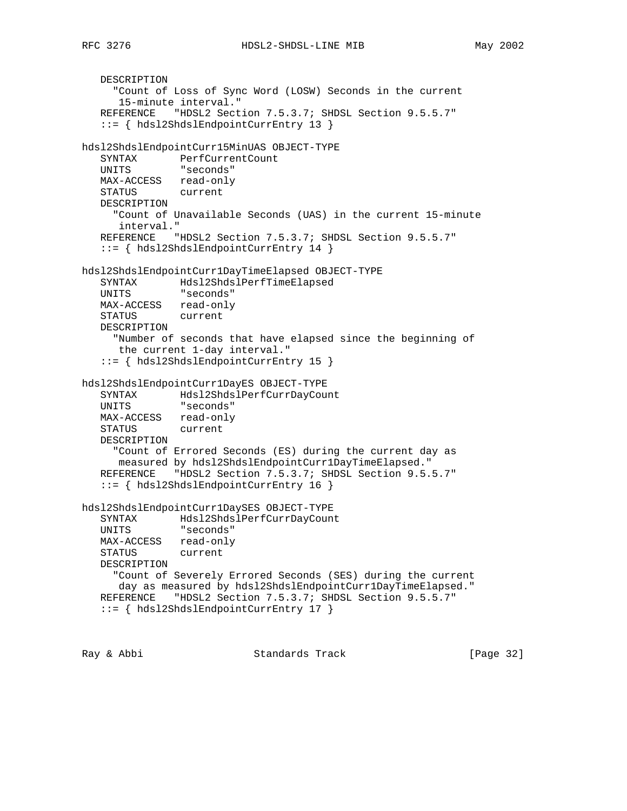```
 DESCRIPTION
      "Count of Loss of Sync Word (LOSW) Seconds in the current
      15-minute interval."
    REFERENCE "HDSL2 Section 7.5.3.7; SHDSL Section 9.5.5.7"
    ::= { hdsl2ShdslEndpointCurrEntry 13 }
hdsl2ShdslEndpointCurr15MinUAS OBJECT-TYPE
 SYNTAX PerfCurrentCount
 UNITS "seconds"
   MAX-ACCESS read-only
   STATUS current
   DESCRIPTION
     "Count of Unavailable Seconds (UAS) in the current 15-minute
      interval."
   REFERENCE "HDSL2 Section 7.5.3.7; SHDSL Section 9.5.5.7"
    ::= { hdsl2ShdslEndpointCurrEntry 14 }
hdsl2ShdslEndpointCurr1DayTimeElapsed OBJECT-TYPE
   SYNTAX Hdsl2ShdslPerfTimeElapsed
   UNITS "seconds"
   MAX-ACCESS read-only
   STATUS current
   DESCRIPTION
     "Number of seconds that have elapsed since the beginning of
      the current 1-day interval."
    ::= { hdsl2ShdslEndpointCurrEntry 15 }
hdsl2ShdslEndpointCurr1DayES OBJECT-TYPE
 SYNTAX Hdsl2ShdslPerfCurrDayCount
 UNITS "seconds"
 MAX-ACCESS read-only
 STATUS current
   DESCRIPTION
     "Count of Errored Seconds (ES) during the current day as
      measured by hdsl2ShdslEndpointCurr1DayTimeElapsed."
   REFERENCE "HDSL2 Section 7.5.3.7; SHDSL Section 9.5.5.7"
    ::= { hdsl2ShdslEndpointCurrEntry 16 }
hdsl2ShdslEndpointCurr1DaySES OBJECT-TYPE
   SYNTAX Hdsl2ShdslPerfCurrDayCount
   UNITS "seconds"
   MAX-ACCESS read-only
   STATUS current
   DESCRIPTION
     "Count of Severely Errored Seconds (SES) during the current
     day as measured by hdsl2ShdslEndpointCurr1DayTimeElapsed."
   REFERENCE "HDSL2 Section 7.5.3.7; SHDSL Section 9.5.5.7"
    ::= { hdsl2ShdslEndpointCurrEntry 17 }
```
Ray & Abbi Standards Track [Page 32]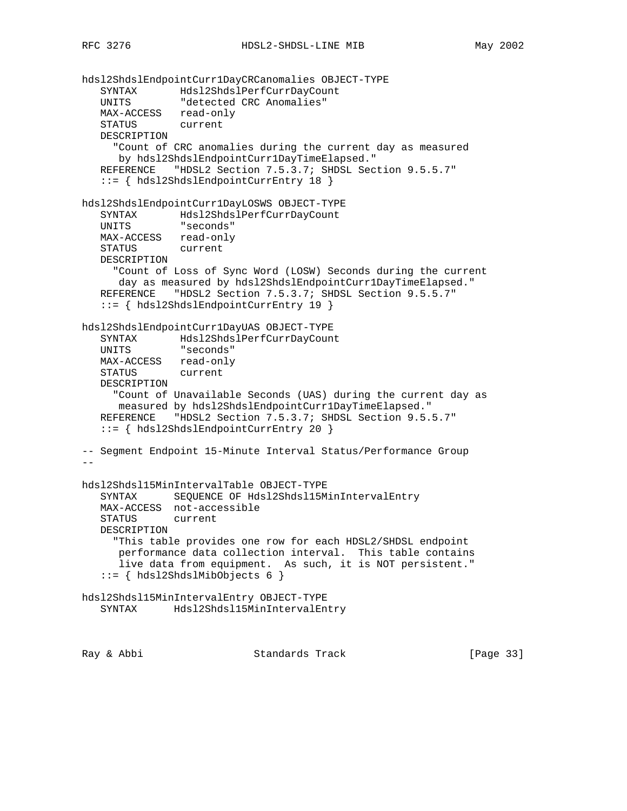```
hdsl2ShdslEndpointCurr1DayCRCanomalies OBJECT-TYPE
 SYNTAX Hdsl2ShdslPerfCurrDayCount
 UNITS "detected CRC Anomalies"
 MAX-ACCESS read-only
 STATUS current
   DESCRIPTION
      "Count of CRC anomalies during the current day as measured
      by hdsl2ShdslEndpointCurr1DayTimeElapsed."
   REFERENCE "HDSL2 Section 7.5.3.7; SHDSL Section 9.5.5.7"
    ::= { hdsl2ShdslEndpointCurrEntry 18 }
hdsl2ShdslEndpointCurr1DayLOSWS OBJECT-TYPE
 SYNTAX Hdsl2ShdslPerfCurrDayCount
 UNITS "seconds"
  MAX-ACCESS read-only<br>STATUS current
  STATUS
   DESCRIPTION
     "Count of Loss of Sync Word (LOSW) Seconds during the current
      day as measured by hdsl2ShdslEndpointCurr1DayTimeElapsed."
   REFERENCE "HDSL2 Section 7.5.3.7; SHDSL Section 9.5.5.7"
    ::= { hdsl2ShdslEndpointCurrEntry 19 }
hdsl2ShdslEndpointCurr1DayUAS OBJECT-TYPE
 SYNTAX Hdsl2ShdslPerfCurrDayCount
 UNITS "seconds"
   MAX-ACCESS read-only
   STATUS current
   DESCRIPTION
      "Count of Unavailable Seconds (UAS) during the current day as
      measured by hdsl2ShdslEndpointCurr1DayTimeElapsed."
   REFERENCE "HDSL2 Section 7.5.3.7; SHDSL Section 9.5.5.7"
    ::= { hdsl2ShdslEndpointCurrEntry 20 }
-- Segment Endpoint 15-Minute Interval Status/Performance Group
--
hdsl2Shdsl15MinIntervalTable OBJECT-TYPE
    SYNTAX SEQUENCE OF Hdsl2Shdsl15MinIntervalEntry
   MAX-ACCESS not-accessible
    STATUS current
   DESCRIPTION
      "This table provides one row for each HDSL2/SHDSL endpoint
      performance data collection interval. This table contains
      live data from equipment. As such, it is NOT persistent."
    ::= { hdsl2ShdslMibObjects 6 }
hdsl2Shdsl15MinIntervalEntry OBJECT-TYPE
   SYNTAX Hdsl2Shdsl15MinIntervalEntry
```
Ray & Abbi Standards Track [Page 33]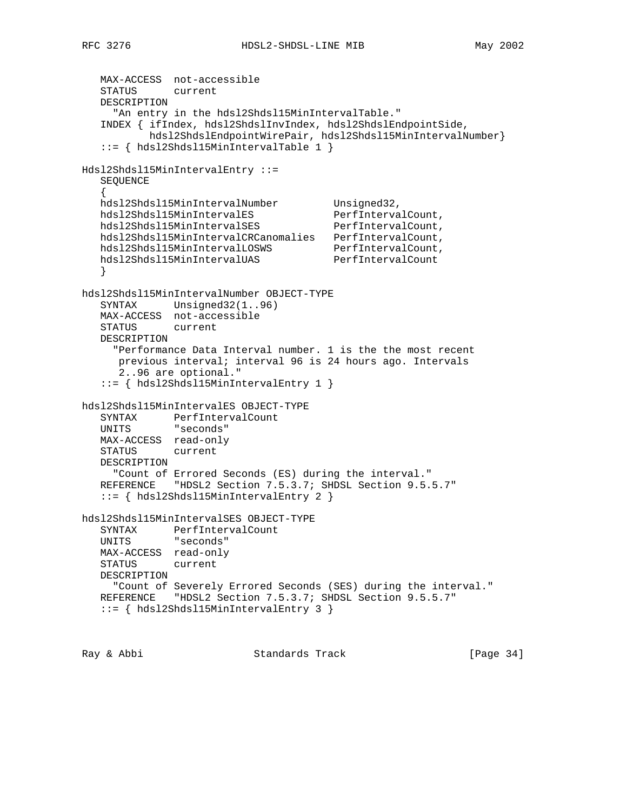MAX-ACCESS not-accessible STATUS current DESCRIPTION "An entry in the hdsl2Shdsl15MinIntervalTable." INDEX { ifIndex, hdsl2ShdslInvIndex, hdsl2ShdslEndpointSide, hdsl2ShdslEndpointWirePair, hdsl2Shdsl15MinIntervalNumber} ::= { hdsl2Shdsl15MinIntervalTable 1 } Hdsl2Shdsl15MinIntervalEntry ::= SEQUENCE  $\{$  \cdot \cdot \cdot \cdot \cdot \cdot \cdot \cdot \cdot \cdot \cdot \cdot \cdot \cdot \cdot \cdot \cdot \cdot \cdot \cdot \cdot \cdot \cdot \cdot \cdot \cdot \cdot \cdot \cdot \cdot \cdot \cdot \cdot \cdot \cdot \cdot hdsl2Shdsl15MinIntervalNumber Unsigned32, hdsl2Shdsl15MinIntervalES PerfIntervalCount, hdsl2Shdsl15MinIntervalSES PerfIntervalCount, hdsl2Shdsl15MinIntervalCRCanomalies PerfIntervalCount, hdsl2Shdsl15MinIntervalLOSWS PerfIntervalCount, hdsl2Shdsl15MinIntervalUAS PerfIntervalCount } hdsl2Shdsl15MinIntervalNumber OBJECT-TYPE SYNTAX Unsigned32(1..96) MAX-ACCESS not-accessible STATUS current DESCRIPTION "Performance Data Interval number. 1 is the the most recent previous interval; interval 96 is 24 hours ago. Intervals 2..96 are optional." ::= { hdsl2Shdsl15MinIntervalEntry 1 } hdsl2Shdsl15MinIntervalES OBJECT-TYPE SYNTAX PerfIntervalCount UNITS "seconds" MAX-ACCESS read-only STATUS current DESCRIPTION "Count of Errored Seconds (ES) during the interval." REFERENCE "HDSL2 Section 7.5.3.7; SHDSL Section 9.5.5.7" ::= { hdsl2Shdsl15MinIntervalEntry 2 } hdsl2Shdsl15MinIntervalSES OBJECT-TYPE SYNTAX PerfIntervalCount UNITS "seconds" MAX-ACCESS read-only STATUS current DESCRIPTION "Count of Severely Errored Seconds (SES) during the interval." REFERENCE "HDSL2 Section 7.5.3.7; SHDSL Section 9.5.5.7" ::= { hdsl2Shdsl15MinIntervalEntry 3 }

Ray & Abbi Standards Track [Page 34]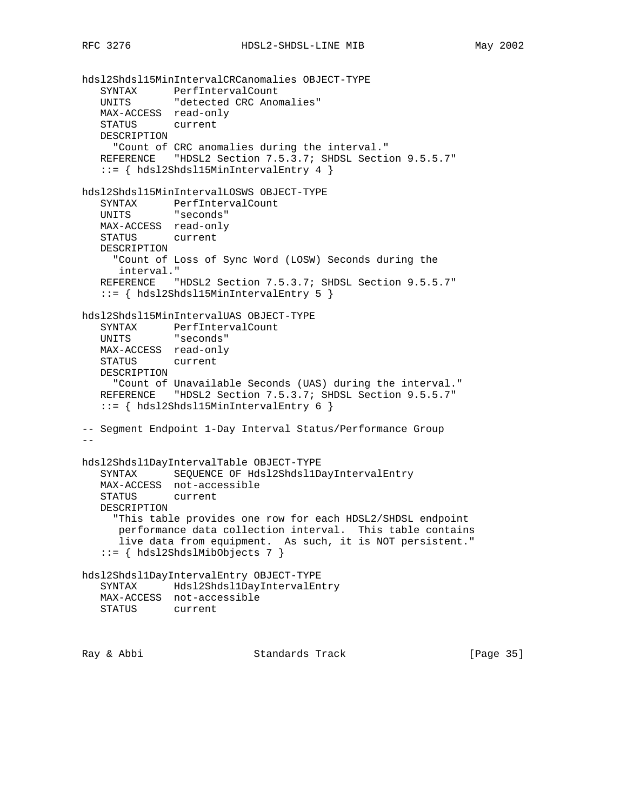```
hdsl2Shdsl15MinIntervalCRCanomalies OBJECT-TYPE
 SYNTAX PerfIntervalCount
 UNITS "detected CRC Anomalies"
   MAX-ACCESS read-only
   STATUS current
   DESCRIPTION
     "Count of CRC anomalies during the interval."
   REFERENCE "HDSL2 Section 7.5.3.7; SHDSL Section 9.5.5.7"
   ::= { hdsl2Shdsl15MinIntervalEntry 4 }
hdsl2Shdsl15MinIntervalLOSWS OBJECT-TYPE
   SYNTAX PerfIntervalCount
   UNITS "seconds"
   MAX-ACCESS read-only
   STATUS current
   DESCRIPTION
     "Count of Loss of Sync Word (LOSW) Seconds during the
      interval."
  REFERENCE "HDSL2 Section 7.5.3.7; SHDSL Section 9.5.5.7"
    ::= { hdsl2Shdsl15MinIntervalEntry 5 }
hdsl2Shdsl15MinIntervalUAS OBJECT-TYPE
 SYNTAX PerfIntervalCount
 UNITS "seconds"
   MAX-ACCESS read-only
   STATUS current
   DESCRIPTION
     "Count of Unavailable Seconds (UAS) during the interval."
   REFERENCE "HDSL2 Section 7.5.3.7; SHDSL Section 9.5.5.7"
   ::= { hdsl2Shdsl15MinIntervalEntry 6 }
-- Segment Endpoint 1-Day Interval Status/Performance Group
--
hdsl2Shdsl1DayIntervalTable OBJECT-TYPE
   SYNTAX SEQUENCE OF Hdsl2Shdsl1DayIntervalEntry
   MAX-ACCESS not-accessible
   STATUS current
   DESCRIPTION
     "This table provides one row for each HDSL2/SHDSL endpoint
      performance data collection interval. This table contains
      live data from equipment. As such, it is NOT persistent."
    ::= { hdsl2ShdslMibObjects 7 }
hdsl2Shdsl1DayIntervalEntry OBJECT-TYPE
   SYNTAX Hdsl2Shdsl1DayIntervalEntry
   MAX-ACCESS not-accessible
   STATUS current
```
Ray & Abbi Standards Track [Page 35]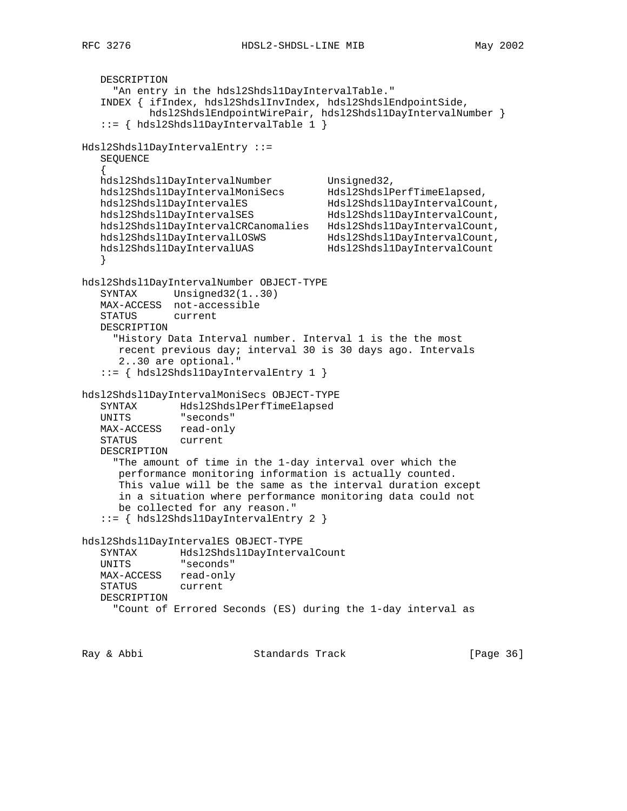```
 DESCRIPTION
     "An entry in the hdsl2Shdsl1DayIntervalTable."
   INDEX { ifIndex, hdsl2ShdslInvIndex, hdsl2ShdslEndpointSide,
           hdsl2ShdslEndpointWirePair, hdsl2Shdsl1DayIntervalNumber }
    ::= { hdsl2Shdsl1DayIntervalTable 1 }
Hdsl2Shdsl1DayIntervalEntry ::=
   SEQUENCE
 {
hdsl2Shdsl1DayIntervalNumber Unsigned32,
 hdsl2Shdsl1DayIntervalMoniSecs Hdsl2ShdslPerfTimeElapsed,
 hdsl2Shdsl1DayIntervalES Hdsl2Shdsl1DayIntervalCount,
 hdsl2Shdsl1DayIntervalSES Hdsl2Shdsl1DayIntervalCount,
 hdsl2Shdsl1DayIntervalCRCanomalies Hdsl2Shdsl1DayIntervalCount,
 hdsl2Shdsl1DayIntervalLOSWS Hdsl2Shdsl1DayIntervalCount,
 hdsl2Shdsl1DayIntervalUAS Hdsl2Shdsl1DayIntervalCount
   }
hdsl2Shdsl1DayIntervalNumber OBJECT-TYPE
  SYNTAX Unsigned32(1..30)
   MAX-ACCESS not-accessible
   STATUS current
   DESCRIPTION
     "History Data Interval number. Interval 1 is the the most
      recent previous day; interval 30 is 30 days ago. Intervals
      2..30 are optional."
    ::= { hdsl2Shdsl1DayIntervalEntry 1 }
hdsl2Shdsl1DayIntervalMoniSecs OBJECT-TYPE
 SYNTAX Hdsl2ShdslPerfTimeElapsed
 UNITS "seconds"
   MAX-ACCESS read-only
   STATUS current
   DESCRIPTION
     "The amount of time in the 1-day interval over which the
      performance monitoring information is actually counted.
      This value will be the same as the interval duration except
      in a situation where performance monitoring data could not
      be collected for any reason."
    ::= { hdsl2Shdsl1DayIntervalEntry 2 }
hdsl2Shdsl1DayIntervalES OBJECT-TYPE
 SYNTAX Hdsl2Shdsl1DayIntervalCount
 UNITS "seconds"
   MAX-ACCESS read-only
   STATUS current
   DESCRIPTION
     "Count of Errored Seconds (ES) during the 1-day interval as
```
Ray & Abbi Standards Track [Page 36]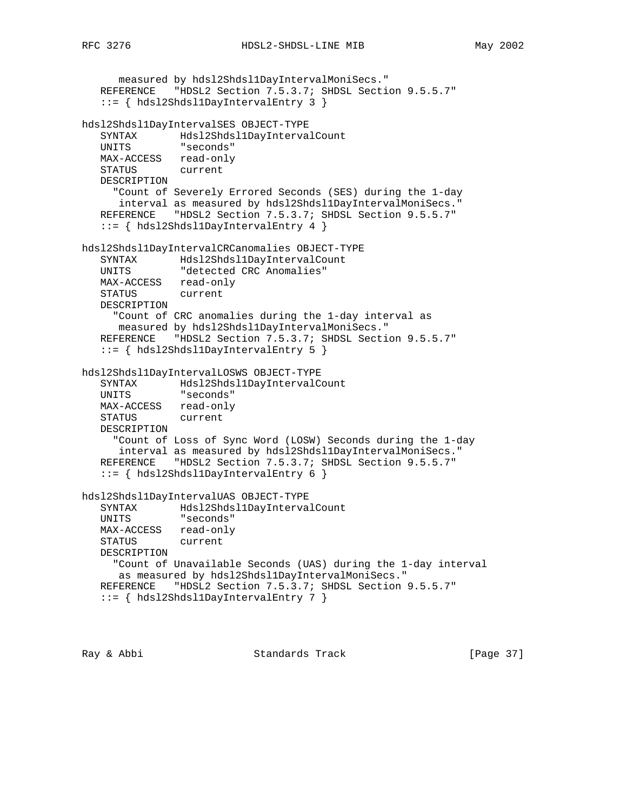```
 measured by hdsl2Shdsl1DayIntervalMoniSecs."
   REFERENCE "HDSL2 Section 7.5.3.7; SHDSL Section 9.5.5.7"
    ::= { hdsl2Shdsl1DayIntervalEntry 3 }
hdsl2Shdsl1DayIntervalSES OBJECT-TYPE
 SYNTAX Hdsl2Shdsl1DayIntervalCount
 UNITS "seconds"
   MAX-ACCESS read-only
   STATUS current
   DESCRIPTION
     "Count of Severely Errored Seconds (SES) during the 1-day
      interval as measured by hdsl2Shdsl1DayIntervalMoniSecs."
   REFERENCE "HDSL2 Section 7.5.3.7; SHDSL Section 9.5.5.7"
    ::= { hdsl2Shdsl1DayIntervalEntry 4 }
hdsl2Shdsl1DayIntervalCRCanomalies OBJECT-TYPE
   SYNTAX Hdsl2Shdsl1DayIntervalCount
   UNITS "detected CRC Anomalies"
   MAX-ACCESS read-only
   STATUS current
   DESCRIPTION
     "Count of CRC anomalies during the 1-day interval as
     measured by hdsl2Shdsl1DayIntervalMoniSecs."
  REFERENCE "HDSL2 Section 7.5.3.7; SHDSL Section 9.5.5.7"
    ::= { hdsl2Shdsl1DayIntervalEntry 5 }
hdsl2Shdsl1DayIntervalLOSWS OBJECT-TYPE
 SYNTAX Hdsl2Shdsl1DayIntervalCount
 UNITS "seconds"
   MAX-ACCESS read-only
   STATUS current
   DESCRIPTION
     "Count of Loss of Sync Word (LOSW) Seconds during the 1-day
      interval as measured by hdsl2Shdsl1DayIntervalMoniSecs."
   REFERENCE "HDSL2 Section 7.5.3.7; SHDSL Section 9.5.5.7"
    ::= { hdsl2Shdsl1DayIntervalEntry 6 }
hdsl2Shdsl1DayIntervalUAS OBJECT-TYPE
 SYNTAX Hdsl2Shdsl1DayIntervalCount
 UNITS "seconds"
   MAX-ACCESS read-only
   STATUS current
   DESCRIPTION
     "Count of Unavailable Seconds (UAS) during the 1-day interval
      as measured by hdsl2Shdsl1DayIntervalMoniSecs."
   REFERENCE "HDSL2 Section 7.5.3.7; SHDSL Section 9.5.5.7"
    ::= { hdsl2Shdsl1DayIntervalEntry 7 }
```
Ray & Abbi Standards Track [Page 37]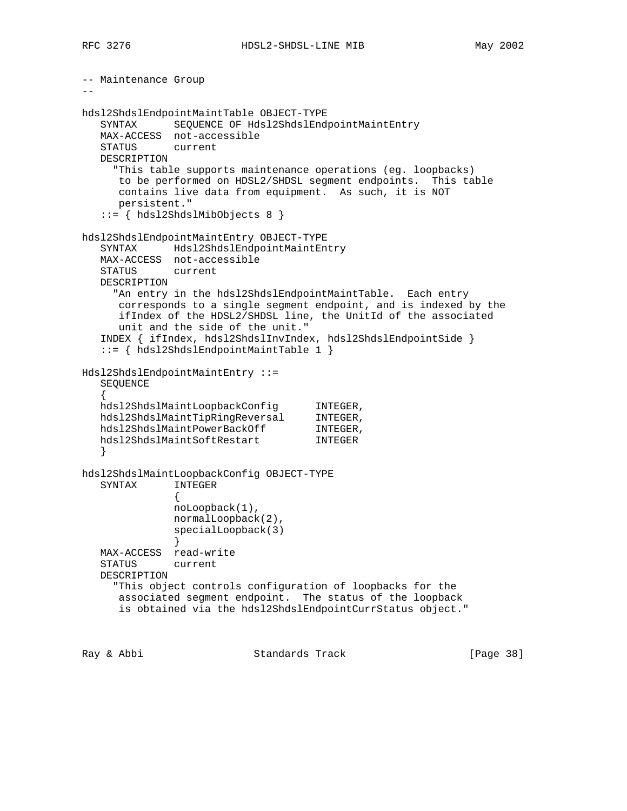```
-- Maintenance Group
- -hdsl2ShdslEndpointMaintTable OBJECT-TYPE
    SYNTAX SEQUENCE OF Hdsl2ShdslEndpointMaintEntry
    MAX-ACCESS not-accessible
    STATUS current
    DESCRIPTION
      "This table supports maintenance operations (eg. loopbacks)
      to be performed on HDSL2/SHDSL segment endpoints. This table
       contains live data from equipment. As such, it is NOT
       persistent."
    ::= { hdsl2ShdslMibObjects 8 }
hdsl2ShdslEndpointMaintEntry OBJECT-TYPE
    SYNTAX Hdsl2ShdslEndpointMaintEntry
    MAX-ACCESS not-accessible
    STATUS current
    DESCRIPTION
     "An entry in the hdsl2ShdslEndpointMaintTable. Each entry
       corresponds to a single segment endpoint, and is indexed by the
       ifIndex of the HDSL2/SHDSL line, the UnitId of the associated
       unit and the side of the unit."
    INDEX { ifIndex, hdsl2ShdslInvIndex, hdsl2ShdslEndpointSide }
    ::= { hdsl2ShdslEndpointMaintTable 1 }
Hdsl2ShdslEndpointMaintEntry ::=
    SEQUENCE
\{ \cdot \cdot \cdot \cdot \cdot \cdot \cdot \cdot \cdot \cdot \cdot \cdot \cdot \cdot \cdot \cdot \cdot \cdot \cdot \cdot \cdot \cdot \cdot \cdot \cdot \cdot \cdot \cdot \cdot \cdot \cdot \cdot \cdot \cdot \cdot \cdot 
 hdsl2ShdslMaintLoopbackConfig INTEGER,
 hdsl2ShdslMaintTipRingReversal INTEGER,
hdsl2ShdslMaintPowerBackOff INTEGER,
 hdsl2ShdslMaintSoftRestart INTEGER
    }
hdsl2ShdslMaintLoopbackConfig OBJECT-TYPE
    SYNTAX INTEGER
 {
                 noLoopback(1),
                 normalLoopback(2),
                 specialLoopback(3)
 }
    MAX-ACCESS read-write
    STATUS current
    DESCRIPTION
      "This object controls configuration of loopbacks for the
       associated segment endpoint. The status of the loopback
       is obtained via the hdsl2ShdslEndpointCurrStatus object."
```
Ray & Abbi Standards Track [Page 38]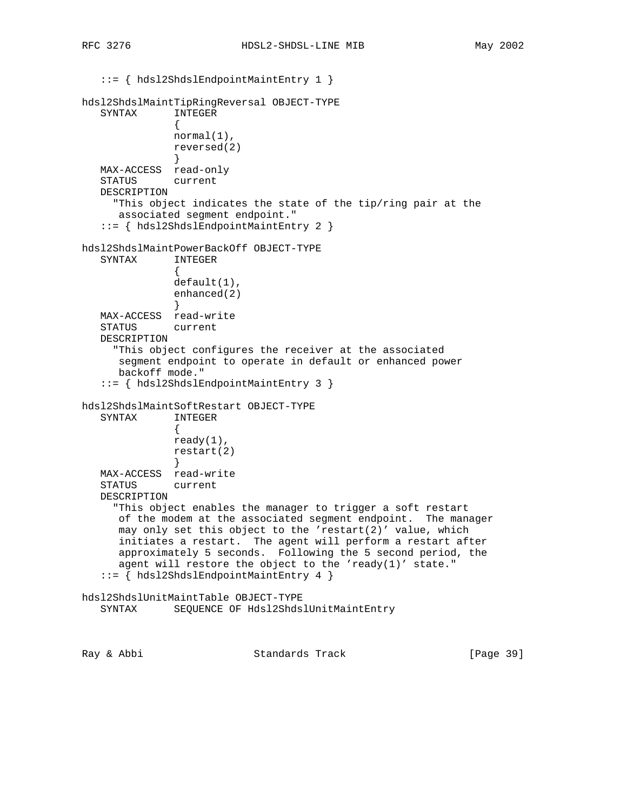::= { hdsl2ShdslEndpointMaintEntry 1 } hdsl2ShdslMaintTipRingReversal OBJECT-TYPE SYNTAX INTEGER { normal(1), reversed(2) } MAX-ACCESS read-only STATUS current DESCRIPTION "This object indicates the state of the tip/ring pair at the associated segment endpoint." ::= { hdsl2ShdslEndpointMaintEntry 2 } hdsl2ShdslMaintPowerBackOff OBJECT-TYPE SYNTAX INTEGER { default(1), enhanced(2) } MAX-ACCESS read-write STATUS current DESCRIPTION "This object configures the receiver at the associated segment endpoint to operate in default or enhanced power backoff mode." ::= { hdsl2ShdslEndpointMaintEntry 3 } hdsl2ShdslMaintSoftRestart OBJECT-TYPE SYNTAX INTEGER { ready(1), restart(2) } MAX-ACCESS read-write STATUS current DESCRIPTION "This object enables the manager to trigger a soft restart of the modem at the associated segment endpoint. The manager may only set this object to the 'restart(2)' value, which initiates a restart. The agent will perform a restart after approximately 5 seconds. Following the 5 second period, the agent will restore the object to the 'ready(1)' state." ::= { hdsl2ShdslEndpointMaintEntry 4 } hdsl2ShdslUnitMaintTable OBJECT-TYPE SYNTAX SEQUENCE OF Hdsl2ShdslUnitMaintEntry

Ray & Abbi Standards Track [Page 39]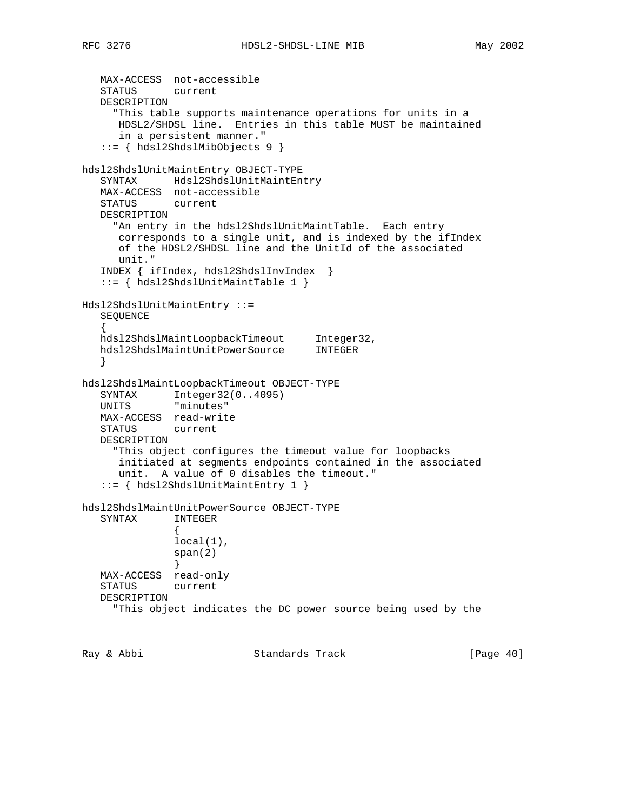```
 MAX-ACCESS not-accessible
    STATUS current
    DESCRIPTION
      "This table supports maintenance operations for units in a
       HDSL2/SHDSL line. Entries in this table MUST be maintained
       in a persistent manner."
    ::= { hdsl2ShdslMibObjects 9 }
hdsl2ShdslUnitMaintEntry OBJECT-TYPE
    SYNTAX Hdsl2ShdslUnitMaintEntry
    MAX-ACCESS not-accessible
    STATUS current
    DESCRIPTION
      "An entry in the hdsl2ShdslUnitMaintTable. Each entry
       corresponds to a single unit, and is indexed by the ifIndex
       of the HDSL2/SHDSL line and the UnitId of the associated
       unit."
    INDEX { ifIndex, hdsl2ShdslInvIndex }
    ::= { hdsl2ShdslUnitMaintTable 1 }
Hdsl2ShdslUnitMaintEntry ::=
    SEQUENCE
\{ \cdot \cdot \cdot \cdot \cdot \cdot \cdot \cdot \cdot \cdot \cdot \cdot \cdot \cdot \cdot \cdot \cdot \cdot \cdot \cdot \cdot \cdot \cdot \cdot \cdot \cdot \cdot \cdot \cdot \cdot \cdot \cdot \cdot \cdot \cdot \cdot 
 hdsl2ShdslMaintLoopbackTimeout Integer32,
 hdsl2ShdslMaintUnitPowerSource INTEGER
 }
hdsl2ShdslMaintLoopbackTimeout OBJECT-TYPE
 SYNTAX Integer32(0..4095)
 UNITS "minutes"
    MAX-ACCESS read-write
    STATUS current
    DESCRIPTION
      "This object configures the timeout value for loopbacks
       initiated at segments endpoints contained in the associated
       unit. A value of 0 disables the timeout."
    ::= { hdsl2ShdslUnitMaintEntry 1 }
hdsl2ShdslMaintUnitPowerSource OBJECT-TYPE
    SYNTAX INTEGER
 {
                local(1),
                 span(2)
 }
    MAX-ACCESS read-only
    STATUS current
    DESCRIPTION
      "This object indicates the DC power source being used by the
```
Ray & Abbi Standards Track [Page 40]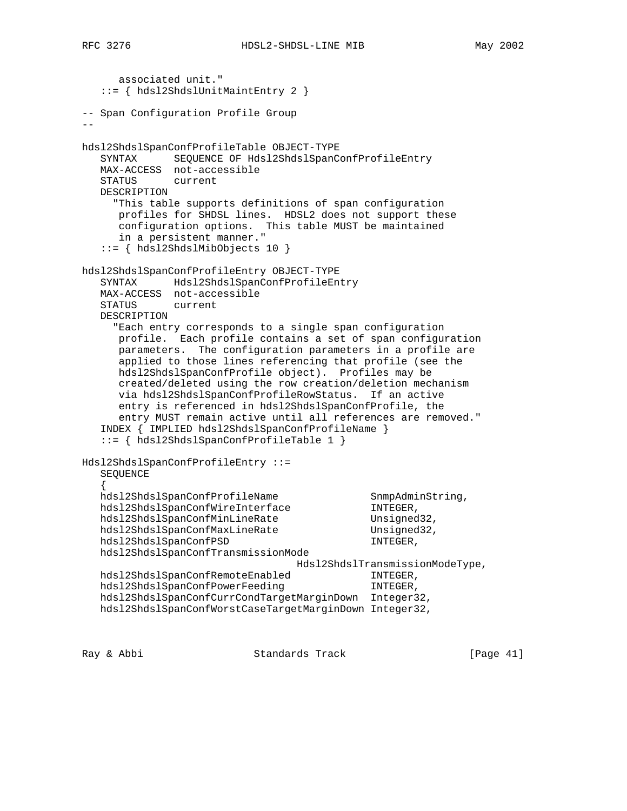```
 associated unit."
    ::= { hdsl2ShdslUnitMaintEntry 2 }
-- Span Configuration Profile Group
--
hdsl2ShdslSpanConfProfileTable OBJECT-TYPE
    SYNTAX SEQUENCE OF Hdsl2ShdslSpanConfProfileEntry
    MAX-ACCESS not-accessible
    STATUS current
    DESCRIPTION
      "This table supports definitions of span configuration
       profiles for SHDSL lines. HDSL2 does not support these
       configuration options. This table MUST be maintained
       in a persistent manner."
    ::= { hdsl2ShdslMibObjects 10 }
hdsl2ShdslSpanConfProfileEntry OBJECT-TYPE
    SYNTAX Hdsl2ShdslSpanConfProfileEntry
    MAX-ACCESS not-accessible
    STATUS current
    DESCRIPTION
      "Each entry corresponds to a single span configuration
       profile. Each profile contains a set of span configuration
       parameters. The configuration parameters in a profile are
       applied to those lines referencing that profile (see the
       hdsl2ShdslSpanConfProfile object). Profiles may be
       created/deleted using the row creation/deletion mechanism
       via hdsl2ShdslSpanConfProfileRowStatus. If an active
       entry is referenced in hdsl2ShdslSpanConfProfile, the
       entry MUST remain active until all references are removed."
    INDEX { IMPLIED hdsl2ShdslSpanConfProfileName }
    ::= { hdsl2ShdslSpanConfProfileTable 1 }
Hdsl2ShdslSpanConfProfileEntry ::=
    SEQUENCE
\{ \cdot \cdot \cdot \cdot \cdot \cdot \cdot \cdot \cdot \cdot \cdot \cdot \cdot \cdot \cdot \cdot \cdot \cdot \cdot \cdot \cdot \cdot \cdot \cdot \cdot \cdot \cdot \cdot \cdot \cdot \cdot \cdot \cdot \cdot \cdot \cdot 
hdsl2ShdslSpanConfProfileName SnmpAdminString,
hdsl2ShdslSpanConfWireInterface INTEGER,
hdsl2ShdslSpanConfMinLineRate Unsigned32,
hdsl2ShdslSpanConfMaxLineRate Unsigned32,
   hdsl2ShdslSpanConfPSD INTEGER,
    hdsl2ShdslSpanConfTransmissionMode
                                    Hdsl2ShdslTransmissionModeType,
hdsl2ShdslSpanConfRemoteEnabled INTEGER,
hdsl2ShdslSpanConfPowerFeeding Form INTEGER,
    hdsl2ShdslSpanConfCurrCondTargetMarginDown Integer32,
    hdsl2ShdslSpanConfWorstCaseTargetMarginDown Integer32,
```
Ray & Abbi Standards Track [Page 41]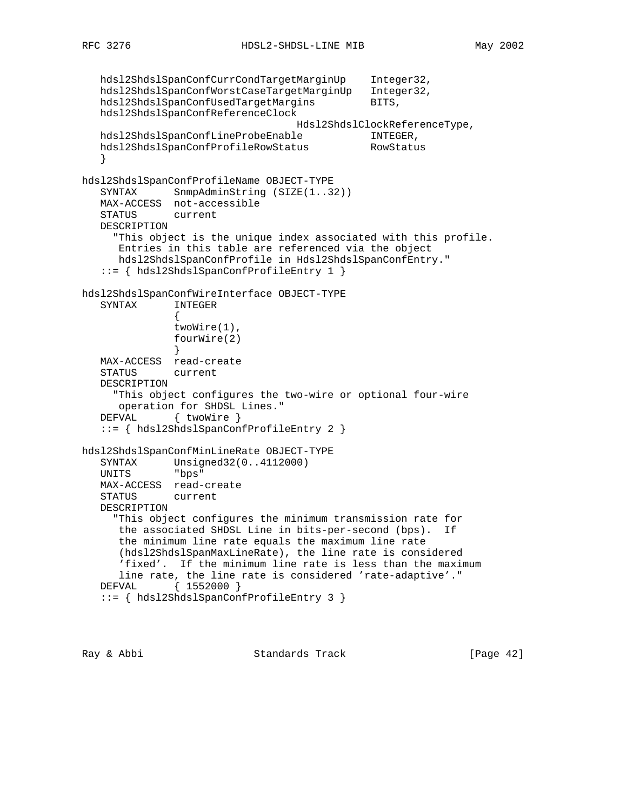```
 hdsl2ShdslSpanConfCurrCondTargetMarginUp Integer32,
  hdsl2ShdslSpanConfWorstCaseTargetMarginUp Integer32,
  hdsl2ShdslSpanConfUsedTargetMargins BITS,
   hdsl2ShdslSpanConfReferenceClock
                                  Hdsl2ShdslClockReferenceType,
   hdsl2ShdslSpanConfLineProbeEnable INTEGER,
   hdsl2ShdslSpanConfProfileRowStatus RowStatus
    }
hdsl2ShdslSpanConfProfileName OBJECT-TYPE
   SYNTAX SnmpAdminString (SIZE(1..32))
   MAX-ACCESS not-accessible
   STATUS current
   DESCRIPTION
     "This object is the unique index associated with this profile.
      Entries in this table are referenced via the object
      hdsl2ShdslSpanConfProfile in Hdsl2ShdslSpanConfEntry."
    ::= { hdsl2ShdslSpanConfProfileEntry 1 }
hdsl2ShdslSpanConfWireInterface OBJECT-TYPE
   SYNTAX INTEGER
 {
              twoWire(1),
              fourWire(2)
 }
 MAX-ACCESS read-create
   STATUS current
   DESCRIPTION
      "This object configures the two-wire or optional four-wire
      operation for SHDSL Lines."
  DEFVAL { twoWire }
    ::= { hdsl2ShdslSpanConfProfileEntry 2 }
hdsl2ShdslSpanConfMinLineRate OBJECT-TYPE
 SYNTAX Unsigned32(0..4112000)
 UNITS "bps"
   MAX-ACCESS read-create
    STATUS current
   DESCRIPTION
      "This object configures the minimum transmission rate for
      the associated SHDSL Line in bits-per-second (bps). If
      the minimum line rate equals the maximum line rate
      (hdsl2ShdslSpanMaxLineRate), the line rate is considered
      'fixed'. If the minimum line rate is less than the maximum
      line rate, the line rate is considered 'rate-adaptive'."
   DEFVAL { 1552000 }
    ::= { hdsl2ShdslSpanConfProfileEntry 3 }
```
Ray & Abbi Standards Track [Page 42]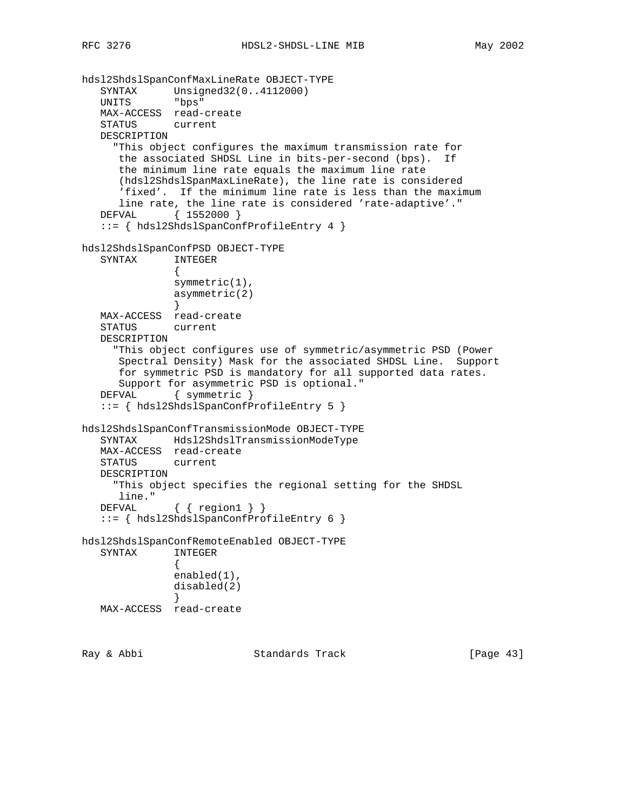```
hdsl2ShdslSpanConfMaxLineRate OBJECT-TYPE
 SYNTAX Unsigned32(0..4112000)
 UNITS "bps"
   MAX-ACCESS read-create
   STATUS current
   DESCRIPTION
      "This object configures the maximum transmission rate for
      the associated SHDSL Line in bits-per-second (bps). If
      the minimum line rate equals the maximum line rate
      (hdsl2ShdslSpanMaxLineRate), the line rate is considered
      'fixed'. If the minimum line rate is less than the maximum
      line rate, the line rate is considered 'rate-adaptive'."
   DEFVAL { 1552000 }
   ::= { hdsl2ShdslSpanConfProfileEntry 4 }
hdsl2ShdslSpanConfPSD OBJECT-TYPE
   SYNTAX INTEGER
 {
              symmetric(1),
              asymmetric(2)
 }
   MAX-ACCESS read-create
   STATUS current
   DESCRIPTION
      "This object configures use of symmetric/asymmetric PSD (Power
      Spectral Density) Mask for the associated SHDSL Line. Support
      for symmetric PSD is mandatory for all supported data rates.
      Support for asymmetric PSD is optional."
  DEFVAL { symmetric }
   ::= { hdsl2ShdslSpanConfProfileEntry 5 }
hdsl2ShdslSpanConfTransmissionMode OBJECT-TYPE
   SYNTAX Hdsl2ShdslTransmissionModeType
   MAX-ACCESS read-create
   STATUS current
   DESCRIPTION
     "This object specifies the regional setting for the SHDSL
      line."
  DEFVAL { { region1 } }
   ::= { hdsl2ShdslSpanConfProfileEntry 6 }
hdsl2ShdslSpanConfRemoteEnabled OBJECT-TYPE
   SYNTAX INTEGER
 {
               enabled(1),
              disabled(2)
 }
   MAX-ACCESS read-create
```
Ray & Abbi Standards Track [Page 43]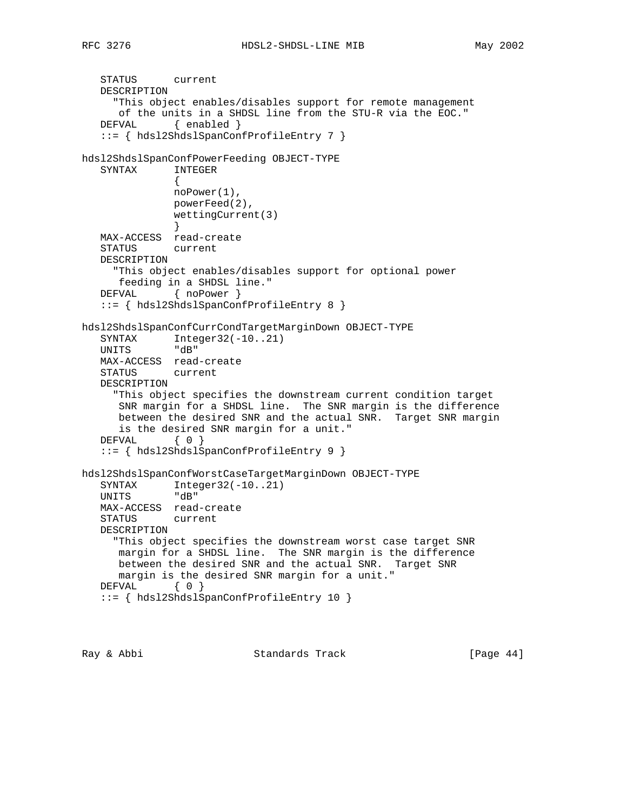```
 STATUS current
   DESCRIPTION
      "This object enables/disables support for remote management
      of the units in a SHDSL line from the STU-R via the EOC."
  DEFVAL { enabled }
   ::= { hdsl2ShdslSpanConfProfileEntry 7 }
hdsl2ShdslSpanConfPowerFeeding OBJECT-TYPE
   SYNTAX INTEGER
 {
              noPower(1),
               powerFeed(2),
               wettingCurrent(3)
 }
 MAX-ACCESS read-create
   STATUS current
   DESCRIPTION
      "This object enables/disables support for optional power
      feeding in a SHDSL line."
   DEFVAL { noPower }
   ::= { hdsl2ShdslSpanConfProfileEntry 8 }
hdsl2ShdslSpanConfCurrCondTargetMarginDown OBJECT-TYPE
SYNTAX Integer32(-10..21)
 UNITS "dB"
   MAX-ACCESS read-create
   STATUS current
   DESCRIPTION
      "This object specifies the downstream current condition target
      SNR margin for a SHDSL line. The SNR margin is the difference
      between the desired SNR and the actual SNR. Target SNR margin
      is the desired SNR margin for a unit."
   DEFVAL { 0 }
   ::= { hdsl2ShdslSpanConfProfileEntry 9 }
hdsl2ShdslSpanConfWorstCaseTargetMarginDown OBJECT-TYPE
SYNTAX Integer32(-10..21)
 UNITS "dB"
   MAX-ACCESS read-create
   STATUS current
   DESCRIPTION
      "This object specifies the downstream worst case target SNR
      margin for a SHDSL line. The SNR margin is the difference
      between the desired SNR and the actual SNR. Target SNR
      margin is the desired SNR margin for a unit."
  DEFVAL { 0 }
   ::= { hdsl2ShdslSpanConfProfileEntry 10 }
```
Ray & Abbi Standards Track [Page 44]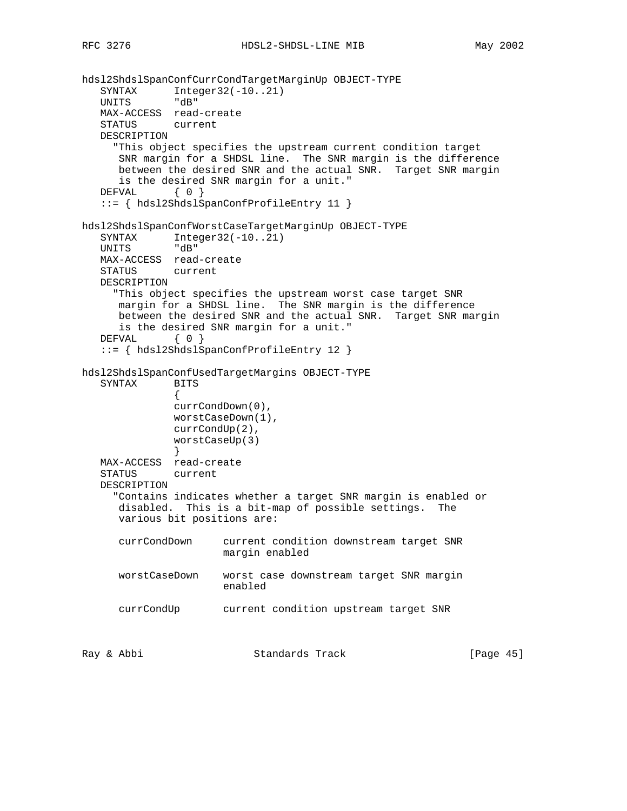```
hdsl2ShdslSpanConfCurrCondTargetMarginUp OBJECT-TYPE
   SYNTAX Integer32(-10..21)<br>UNITS "dB"
   UNITS
   MAX-ACCESS read-create
   STATUS current
   DESCRIPTION
      "This object specifies the upstream current condition target
      SNR margin for a SHDSL line. The SNR margin is the difference
      between the desired SNR and the actual SNR. Target SNR margin
      is the desired SNR margin for a unit."
   DEFVAL { 0 }
    ::= { hdsl2ShdslSpanConfProfileEntry 11 }
hdsl2ShdslSpanConfWorstCaseTargetMarginUp OBJECT-TYPE
  SYNTAX Integer32(-10..21)
   UNITS "dB"
   MAX-ACCESS read-create
   STATUS current
   DESCRIPTION
      "This object specifies the upstream worst case target SNR
      margin for a SHDSL line. The SNR margin is the difference
      between the desired SNR and the actual SNR. Target SNR margin
      is the desired SNR margin for a unit."
  DEFVAL { 0 }
    ::= { hdsl2ShdslSpanConfProfileEntry 12 }
hdsl2ShdslSpanConfUsedTargetMargins OBJECT-TYPE
    SYNTAX BITS
 {
               currCondDown(0),
               worstCaseDown(1),
               currCondUp(2),
               worstCaseUp(3)
 }
   MAX-ACCESS read-create
    STATUS current
   DESCRIPTION
      "Contains indicates whether a target SNR margin is enabled or
      disabled. This is a bit-map of possible settings. The
      various bit positions are:
      currCondDown current condition downstream target SNR
                       margin enabled
      worstCaseDown worst case downstream target SNR margin
                       enabled
      currCondUp current condition upstream target SNR
Ray & Abbi                       Standards Track                     [Page 45]
```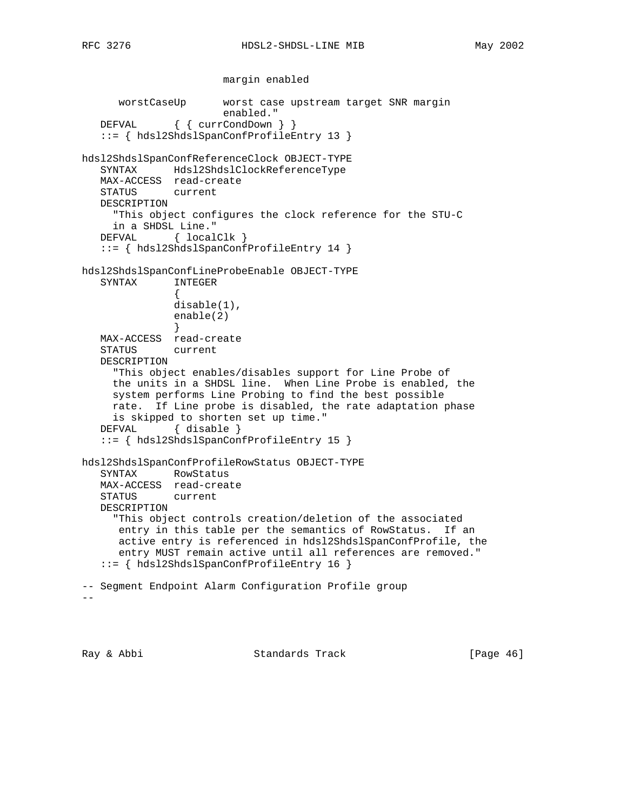```
 margin enabled
      worstCaseUp worst case upstream target SNR margin
                       enabled."
   DEFVAL { { currCondDown } }
    ::= { hdsl2ShdslSpanConfProfileEntry 13 }
hdsl2ShdslSpanConfReferenceClock OBJECT-TYPE
    SYNTAX Hdsl2ShdslClockReferenceType
   MAX-ACCESS read-create
   STATUS current
   DESCRIPTION
     "This object configures the clock reference for the STU-C
     in a SHDSL Line."
   DEFVAL { localClk }
    ::= { hdsl2ShdslSpanConfProfileEntry 14 }
hdsl2ShdslSpanConfLineProbeEnable OBJECT-TYPE
   SYNTAX INTEGER
 {
               disable(1),
               enable(2)
 }
   MAX-ACCESS read-create
   STATUS current
   DESCRIPTION
      "This object enables/disables support for Line Probe of
     the units in a SHDSL line. When Line Probe is enabled, the
     system performs Line Probing to find the best possible
     rate. If Line probe is disabled, the rate adaptation phase
     is skipped to shorten set up time."
    DEFVAL { disable }
    ::= { hdsl2ShdslSpanConfProfileEntry 15 }
hdsl2ShdslSpanConfProfileRowStatus OBJECT-TYPE
    SYNTAX RowStatus
   MAX-ACCESS read-create
   STATUS current
   DESCRIPTION
      "This object controls creation/deletion of the associated
      entry in this table per the semantics of RowStatus. If an
      active entry is referenced in hdsl2ShdslSpanConfProfile, the
      entry MUST remain active until all references are removed."
    ::= { hdsl2ShdslSpanConfProfileEntry 16 }
-- Segment Endpoint Alarm Configuration Profile group
- -
```
Ray & Abbi Standards Track [Page 46]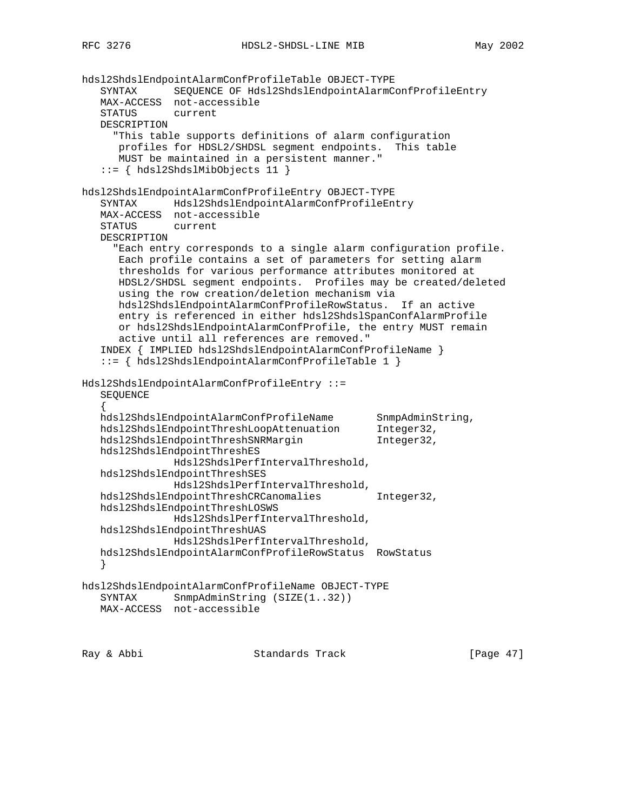```
hdsl2ShdslEndpointAlarmConfProfileTable OBJECT-TYPE
 SYNTAX SEQUENCE OF Hdsl2ShdslEndpointAlarmConfProfileEntry
 MAX-ACCESS not-accessible
    STATUS current
   DESCRIPTION
      "This table supports definitions of alarm configuration
      profiles for HDSL2/SHDSL segment endpoints. This table
      MUST be maintained in a persistent manner."
    ::= { hdsl2ShdslMibObjects 11 }
hdsl2ShdslEndpointAlarmConfProfileEntry OBJECT-TYPE
    SYNTAX Hdsl2ShdslEndpointAlarmConfProfileEntry
   MAX-ACCESS not-accessible
    STATUS current
   DESCRIPTION
      "Each entry corresponds to a single alarm configuration profile.
      Each profile contains a set of parameters for setting alarm
      thresholds for various performance attributes monitored at
      HDSL2/SHDSL segment endpoints. Profiles may be created/deleted
      using the row creation/deletion mechanism via
      hdsl2ShdslEndpointAlarmConfProfileRowStatus. If an active
      entry is referenced in either hdsl2ShdslSpanConfAlarmProfile
      or hdsl2ShdslEndpointAlarmConfProfile, the entry MUST remain
      active until all references are removed."
    INDEX { IMPLIED hdsl2ShdslEndpointAlarmConfProfileName }
    ::= { hdsl2ShdslEndpointAlarmConfProfileTable 1 }
Hdsl2ShdslEndpointAlarmConfProfileEntry ::=
    SEQUENCE
 {
 hdsl2ShdslEndpointAlarmConfProfileName SnmpAdminString,
hdsl2ShdslEndpointThreshLoopAttenuation Integer32,
hdsl2ShdslEndpointThreshSNRMargin 1nteger32,
   hdsl2ShdslEndpointThreshES
               Hdsl2ShdslPerfIntervalThreshold,
   hdsl2ShdslEndpointThreshSES
               Hdsl2ShdslPerfIntervalThreshold,
   hdsl2ShdslEndpointThreshCRCanomalies Integer32,
   hdsl2ShdslEndpointThreshLOSWS
               Hdsl2ShdslPerfIntervalThreshold,
   hdsl2ShdslEndpointThreshUAS
               Hdsl2ShdslPerfIntervalThreshold,
   hdsl2ShdslEndpointAlarmConfProfileRowStatus RowStatus
    }
hdsl2ShdslEndpointAlarmConfProfileName OBJECT-TYPE
  SYNTAX SnmpAdminString (SIZE(1..32))
   MAX-ACCESS not-accessible
```
Ray & Abbi Standards Track [Page 47]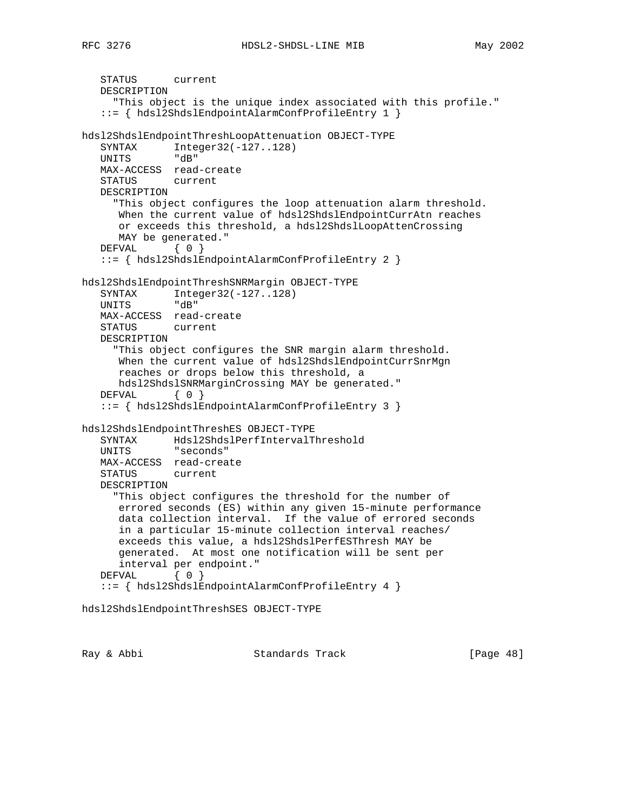```
 STATUS current
   DESCRIPTION
      "This object is the unique index associated with this profile."
    ::= { hdsl2ShdslEndpointAlarmConfProfileEntry 1 }
hdsl2ShdslEndpointThreshLoopAttenuation OBJECT-TYPE
   SYNTAX Integer32(-127..128)
   UNITS "dB"
   MAX-ACCESS read-create
   STATUS current
   DESCRIPTION
      "This object configures the loop attenuation alarm threshold.
      When the current value of hdsl2ShdslEndpointCurrAtn reaches
      or exceeds this threshold, a hdsl2ShdslLoopAttenCrossing
      MAY be generated."
  DEFVAL { 0 }
    ::= { hdsl2ShdslEndpointAlarmConfProfileEntry 2 }
hdsl2ShdslEndpointThreshSNRMargin OBJECT-TYPE
   SYNTAX Integer32(-127..128)
   UNITS "dB"
   MAX-ACCESS read-create
   STATUS current
   DESCRIPTION
      "This object configures the SNR margin alarm threshold.
      When the current value of hdsl2ShdslEndpointCurrSnrMgn
      reaches or drops below this threshold, a
      hdsl2ShdslSNRMarginCrossing MAY be generated."
  DEFVAL { 0 }
    ::= { hdsl2ShdslEndpointAlarmConfProfileEntry 3 }
hdsl2ShdslEndpointThreshES OBJECT-TYPE
    SYNTAX Hdsl2ShdslPerfIntervalThreshold
   UNITS "seconds"
   MAX-ACCESS read-create
   STATUS current
   DESCRIPTION
      "This object configures the threshold for the number of
      errored seconds (ES) within any given 15-minute performance
      data collection interval. If the value of errored seconds
      in a particular 15-minute collection interval reaches/
      exceeds this value, a hdsl2ShdslPerfESThresh MAY be
      generated. At most one notification will be sent per
      interval per endpoint."
   DEFVAL { 0 }
    ::= { hdsl2ShdslEndpointAlarmConfProfileEntry 4 }
```
hdsl2ShdslEndpointThreshSES OBJECT-TYPE

Ray & Abbi Standards Track [Page 48]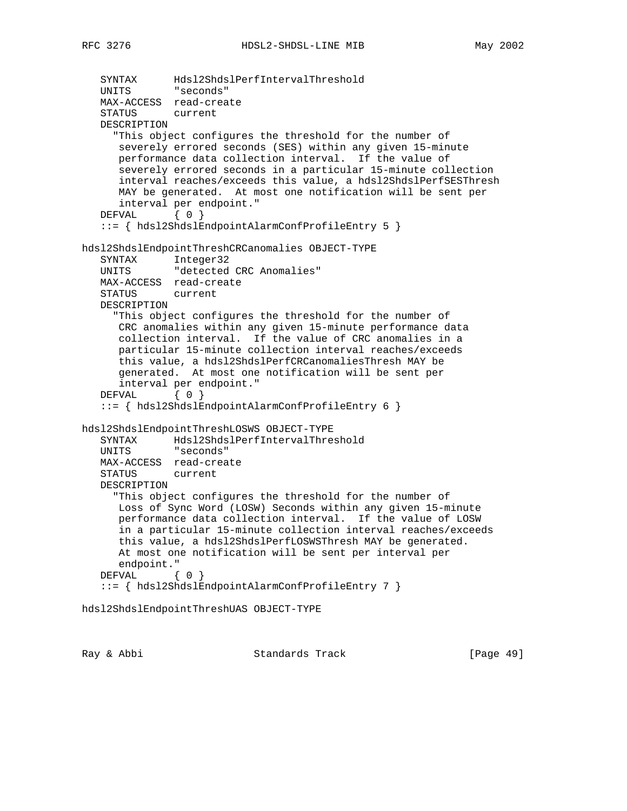```
 SYNTAX Hdsl2ShdslPerfIntervalThreshold
 UNITS "seconds"
   MAX-ACCESS read-create
    STATUS current
   DESCRIPTION
      "This object configures the threshold for the number of
      severely errored seconds (SES) within any given 15-minute
      performance data collection interval. If the value of
      severely errored seconds in a particular 15-minute collection
      interval reaches/exceeds this value, a hdsl2ShdslPerfSESThresh
      MAY be generated. At most one notification will be sent per
      interval per endpoint."
   DEFVAL { 0 }
    ::= { hdsl2ShdslEndpointAlarmConfProfileEntry 5 }
hdsl2ShdslEndpointThreshCRCanomalies OBJECT-TYPE
   SYNTAX Integer32
   UNITS "detected CRC Anomalies"
   MAX-ACCESS read-create
    STATUS current
   DESCRIPTION
      "This object configures the threshold for the number of
      CRC anomalies within any given 15-minute performance data
      collection interval. If the value of CRC anomalies in a
      particular 15-minute collection interval reaches/exceeds
      this value, a hdsl2ShdslPerfCRCanomaliesThresh MAY be
      generated. At most one notification will be sent per
      interval per endpoint."
  DEFVAL { 0 }
    ::= { hdsl2ShdslEndpointAlarmConfProfileEntry 6 }
hdsl2ShdslEndpointThreshLOSWS OBJECT-TYPE
    SYNTAX Hdsl2ShdslPerfIntervalThreshold
   UNITS "seconds"
   MAX-ACCESS read-create
   STATUS current
   DESCRIPTION
      "This object configures the threshold for the number of
      Loss of Sync Word (LOSW) Seconds within any given 15-minute
      performance data collection interval. If the value of LOSW
       in a particular 15-minute collection interval reaches/exceeds
      this value, a hdsl2ShdslPerfLOSWSThresh MAY be generated.
      At most one notification will be sent per interval per
      endpoint."
  DEFVAL { 0 }
    ::= { hdsl2ShdslEndpointAlarmConfProfileEntry 7 }
```
hdsl2ShdslEndpointThreshUAS OBJECT-TYPE

Ray & Abbi Standards Track [Page 49]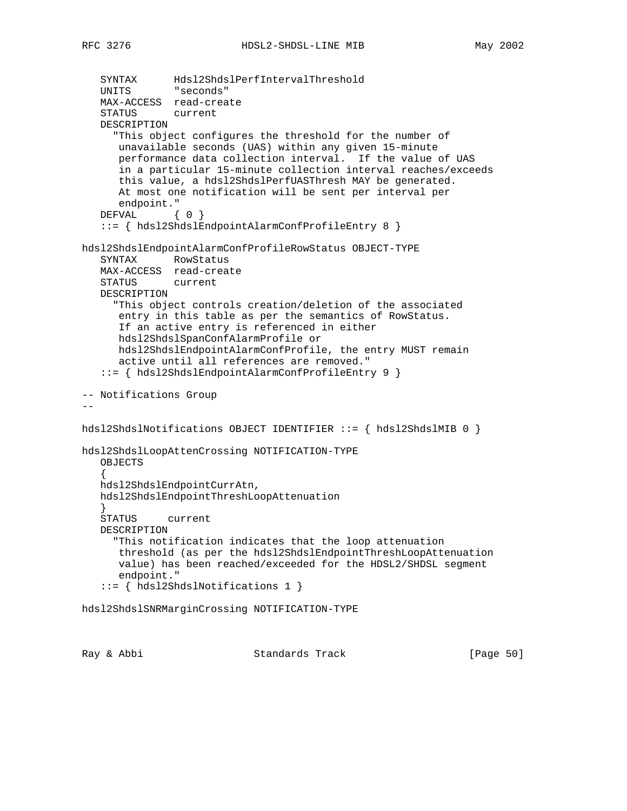```
 SYNTAX Hdsl2ShdslPerfIntervalThreshold
 UNITS "seconds"
    MAX-ACCESS read-create
    STATUS current
   DESCRIPTION
      "This object configures the threshold for the number of
      unavailable seconds (UAS) within any given 15-minute
      performance data collection interval. If the value of UAS
       in a particular 15-minute collection interval reaches/exceeds
       this value, a hdsl2ShdslPerfUASThresh MAY be generated.
      At most one notification will be sent per interval per
      endpoint."
   DEFVAL { 0 }
    ::= { hdsl2ShdslEndpointAlarmConfProfileEntry 8 }
hdsl2ShdslEndpointAlarmConfProfileRowStatus OBJECT-TYPE
    SYNTAX RowStatus
   MAX-ACCESS read-create
    STATUS current
    DESCRIPTION
      "This object controls creation/deletion of the associated
      entry in this table as per the semantics of RowStatus.
      If an active entry is referenced in either
      hdsl2ShdslSpanConfAlarmProfile or
      hdsl2ShdslEndpointAlarmConfProfile, the entry MUST remain
       active until all references are removed."
    ::= { hdsl2ShdslEndpointAlarmConfProfileEntry 9 }
-- Notifications Group
--
hdsl2ShdslNotifications OBJECT IDENTIFIER ::= { hdsl2ShdslMIB 0 }
hdsl2ShdslLoopAttenCrossing NOTIFICATION-TYPE
    OBJECTS
 {
   hdsl2ShdslEndpointCurrAtn,
   hdsl2ShdslEndpointThreshLoopAttenuation
 }
    STATUS current
   DESCRIPTION
      "This notification indicates that the loop attenuation
      threshold (as per the hdsl2ShdslEndpointThreshLoopAttenuation
      value) has been reached/exceeded for the HDSL2/SHDSL segment
       endpoint."
    ::= { hdsl2ShdslNotifications 1 }
hdsl2ShdslSNRMarginCrossing NOTIFICATION-TYPE
```
Ray & Abbi Standards Track [Page 50]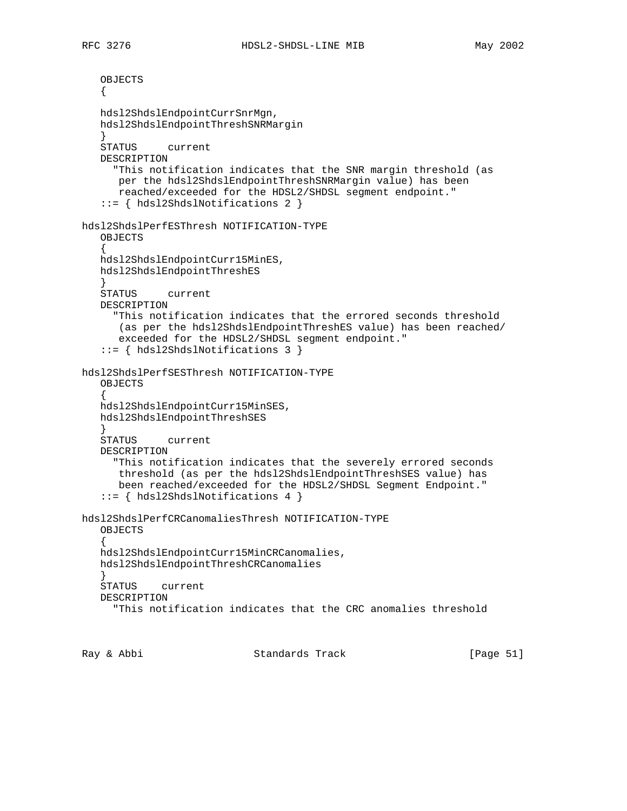OBJECTS  $\left\{ \right.$  hdsl2ShdslEndpointCurrSnrMgn, hdsl2ShdslEndpointThreshSNRMargin } STATUS current DESCRIPTION "This notification indicates that the SNR margin threshold (as per the hdsl2ShdslEndpointThreshSNRMargin value) has been reached/exceeded for the HDSL2/SHDSL segment endpoint." ::= { hdsl2ShdslNotifications 2 } hdsl2ShdslPerfESThresh NOTIFICATION-TYPE OBJECTS  $\{$  \cdot \cdot \cdot \cdot \cdot \cdot \cdot \cdot \cdot \cdot \cdot \cdot \cdot \cdot \cdot \cdot \cdot \cdot \cdot \cdot \cdot \cdot \cdot \cdot \cdot \cdot \cdot \cdot \cdot \cdot \cdot \cdot \cdot \cdot \cdot \cdot hdsl2ShdslEndpointCurr15MinES, hdsl2ShdslEndpointThreshES } STATUS current DESCRIPTION "This notification indicates that the errored seconds threshold (as per the hdsl2ShdslEndpointThreshES value) has been reached/ exceeded for the HDSL2/SHDSL segment endpoint." ::= { hdsl2ShdslNotifications 3 } hdsl2ShdslPerfSESThresh NOTIFICATION-TYPE OBJECTS { hdsl2ShdslEndpointCurr15MinSES, hdsl2ShdslEndpointThreshSES } STATUS current DESCRIPTION "This notification indicates that the severely errored seconds threshold (as per the hdsl2ShdslEndpointThreshSES value) has been reached/exceeded for the HDSL2/SHDSL Segment Endpoint." ::= { hdsl2ShdslNotifications 4 } hdsl2ShdslPerfCRCanomaliesThresh NOTIFICATION-TYPE OBJECTS { hdsl2ShdslEndpointCurr15MinCRCanomalies, hdsl2ShdslEndpointThreshCRCanomalies } STATUS current DESCRIPTION "This notification indicates that the CRC anomalies threshold

Ray & Abbi Standards Track [Page 51]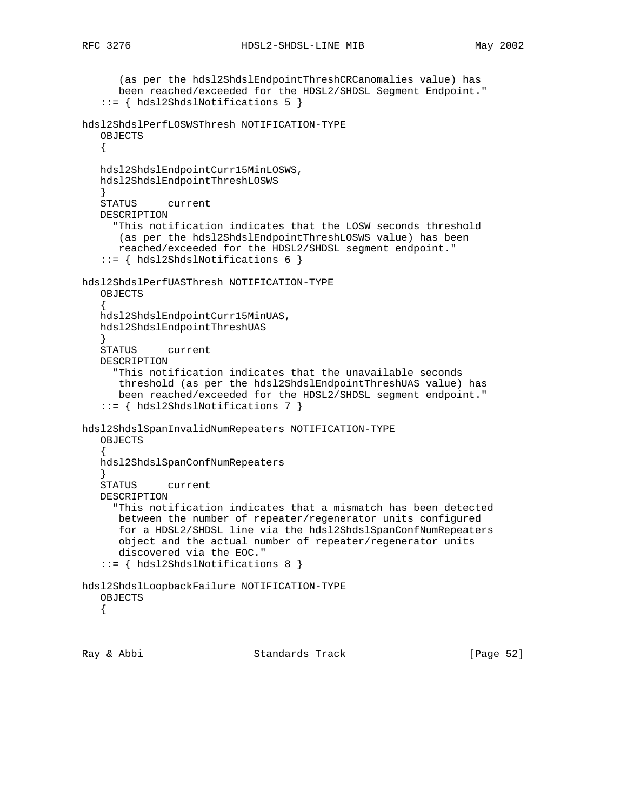```
 (as per the hdsl2ShdslEndpointThreshCRCanomalies value) has
       been reached/exceeded for the HDSL2/SHDSL Segment Endpoint."
    ::= { hdsl2ShdslNotifications 5 }
hdsl2ShdslPerfLOSWSThresh NOTIFICATION-TYPE
   OBJECTS
    {
    hdsl2ShdslEndpointCurr15MinLOSWS,
    hdsl2ShdslEndpointThreshLOSWS
 }
    STATUS current
    DESCRIPTION
      "This notification indicates that the LOSW seconds threshold
       (as per the hdsl2ShdslEndpointThreshLOSWS value) has been
       reached/exceeded for the HDSL2/SHDSL segment endpoint."
    ::= { hdsl2ShdslNotifications 6 }
hdsl2ShdslPerfUASThresh NOTIFICATION-TYPE
    OBJECTS
 {
    hdsl2ShdslEndpointCurr15MinUAS,
    hdsl2ShdslEndpointThreshUAS
 }
    STATUS current
    DESCRIPTION
       "This notification indicates that the unavailable seconds
       threshold (as per the hdsl2ShdslEndpointThreshUAS value) has
       been reached/exceeded for the HDSL2/SHDSL segment endpoint."
    ::= { hdsl2ShdslNotifications 7 }
hdsl2ShdslSpanInvalidNumRepeaters NOTIFICATION-TYPE
    OBJECTS
\{ \cdot \cdot \cdot \cdot \cdot \cdot \cdot \cdot \cdot \cdot \cdot \cdot \cdot \cdot \cdot \cdot \cdot \cdot \cdot \cdot \cdot \cdot \cdot \cdot \cdot \cdot \cdot \cdot \cdot \cdot \cdot \cdot \cdot \cdot \cdot \cdot 
    hdsl2ShdslSpanConfNumRepeaters
 }
    STATUS current
    DESCRIPTION
       "This notification indicates that a mismatch has been detected
       between the number of repeater/regenerator units configured
       for a HDSL2/SHDSL line via the hdsl2ShdslSpanConfNumRepeaters
       object and the actual number of repeater/regenerator units
       discovered via the EOC."
    ::= { hdsl2ShdslNotifications 8 }
hdsl2ShdslLoopbackFailure NOTIFICATION-TYPE
    OBJECTS
    {
```
Ray & Abbi Standards Track [Page 52]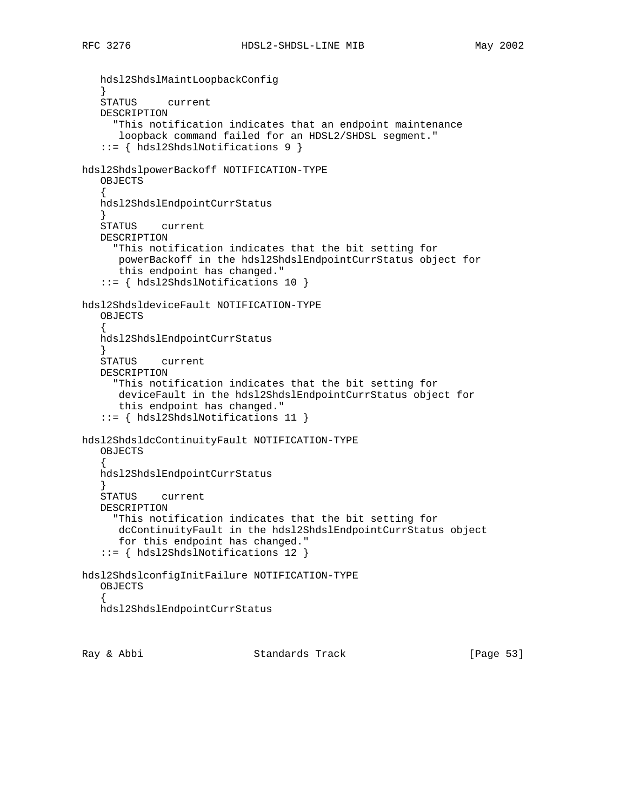hdsl2ShdslMaintLoopbackConfig } STATUS current DESCRIPTION "This notification indicates that an endpoint maintenance loopback command failed for an HDSL2/SHDSL segment." ::= { hdsl2ShdslNotifications 9 } hdsl2ShdslpowerBackoff NOTIFICATION-TYPE OBJECTS  $\{$  \cdot \cdot \cdot \cdot \cdot \cdot \cdot \cdot \cdot \cdot \cdot \cdot \cdot \cdot \cdot \cdot \cdot \cdot \cdot \cdot \cdot \cdot \cdot \cdot \cdot \cdot \cdot \cdot \cdot \cdot \cdot \cdot \cdot \cdot \cdot \cdot hdsl2ShdslEndpointCurrStatus } STATUS current DESCRIPTION "This notification indicates that the bit setting for powerBackoff in the hdsl2ShdslEndpointCurrStatus object for this endpoint has changed." ::= { hdsl2ShdslNotifications 10 } hdsl2ShdsldeviceFault NOTIFICATION-TYPE OBJECTS  $\{$  \cdot \cdot \cdot \cdot \cdot \cdot \cdot \cdot \cdot \cdot \cdot \cdot \cdot \cdot \cdot \cdot \cdot \cdot \cdot \cdot \cdot \cdot \cdot \cdot \cdot \cdot \cdot \cdot \cdot \cdot \cdot \cdot \cdot \cdot \cdot \cdot hdsl2ShdslEndpointCurrStatus } STATUS current DESCRIPTION "This notification indicates that the bit setting for deviceFault in the hdsl2ShdslEndpointCurrStatus object for this endpoint has changed." ::= { hdsl2ShdslNotifications 11 } hdsl2ShdsldcContinuityFault NOTIFICATION-TYPE OBJECTS  $\{$  \cdot \cdot \cdot \cdot \cdot \cdot \cdot \cdot \cdot \cdot \cdot \cdot \cdot \cdot \cdot \cdot \cdot \cdot \cdot \cdot \cdot \cdot \cdot \cdot \cdot \cdot \cdot \cdot \cdot \cdot \cdot \cdot \cdot \cdot \cdot \cdot hdsl2ShdslEndpointCurrStatus } STATUS current DESCRIPTION "This notification indicates that the bit setting for dcContinuityFault in the hdsl2ShdslEndpointCurrStatus object for this endpoint has changed." ::= { hdsl2ShdslNotifications 12 } hdsl2ShdslconfigInitFailure NOTIFICATION-TYPE OBJECTS  $\{$  \cdot \cdot \cdot \cdot \cdot \cdot \cdot \cdot \cdot \cdot \cdot \cdot \cdot \cdot \cdot \cdot \cdot \cdot \cdot \cdot \cdot \cdot \cdot \cdot \cdot \cdot \cdot \cdot \cdot \cdot \cdot \cdot \cdot \cdot \cdot \cdot hdsl2ShdslEndpointCurrStatus

Ray & Abbi Standards Track [Page 53]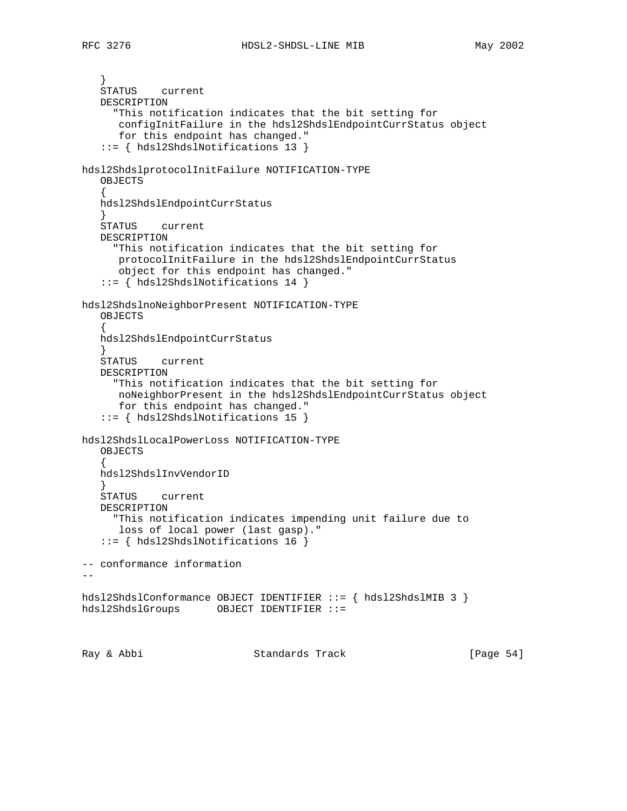} STATUS current DESCRIPTION "This notification indicates that the bit setting for configInitFailure in the hdsl2ShdslEndpointCurrStatus object for this endpoint has changed." ::= { hdsl2ShdslNotifications 13 } hdsl2ShdslprotocolInitFailure NOTIFICATION-TYPE OBJECTS  $\{$  \cdot \cdot \cdot \cdot \cdot \cdot \cdot \cdot \cdot \cdot \cdot \cdot \cdot \cdot \cdot \cdot \cdot \cdot \cdot \cdot \cdot \cdot \cdot \cdot \cdot \cdot \cdot \cdot \cdot \cdot \cdot \cdot \cdot \cdot \cdot \cdot hdsl2ShdslEndpointCurrStatus } STATUS current DESCRIPTION "This notification indicates that the bit setting for protocolInitFailure in the hdsl2ShdslEndpointCurrStatus object for this endpoint has changed." ::= { hdsl2ShdslNotifications 14 } hdsl2ShdslnoNeighborPresent NOTIFICATION-TYPE OBJECTS  $\{$  \cdot \cdot \cdot \cdot \cdot \cdot \cdot \cdot \cdot \cdot \cdot \cdot \cdot \cdot \cdot \cdot \cdot \cdot \cdot \cdot \cdot \cdot \cdot \cdot \cdot \cdot \cdot \cdot \cdot \cdot \cdot \cdot \cdot \cdot \cdot \cdot hdsl2ShdslEndpointCurrStatus } STATUS current DESCRIPTION "This notification indicates that the bit setting for noNeighborPresent in the hdsl2ShdslEndpointCurrStatus object for this endpoint has changed." ::= { hdsl2ShdslNotifications 15 } hdsl2ShdslLocalPowerLoss NOTIFICATION-TYPE OBJECTS  $\{$  \cdot \cdot \cdot \cdot \cdot \cdot \cdot \cdot \cdot \cdot \cdot \cdot \cdot \cdot \cdot \cdot \cdot \cdot \cdot \cdot \cdot \cdot \cdot \cdot \cdot \cdot \cdot \cdot \cdot \cdot \cdot \cdot \cdot \cdot \cdot \cdot hdsl2ShdslInvVendorID } STATUS current DESCRIPTION "This notification indicates impending unit failure due to loss of local power (last gasp)." ::= { hdsl2ShdslNotifications 16 } -- conformance information  $-$ hdsl2ShdslConformance OBJECT IDENTIFIER ::= { hdsl2ShdslMIB 3 } hdsl2ShdslGroups OBJECT IDENTIFIER ::= Ray & Abbi Standards Track [Page 54]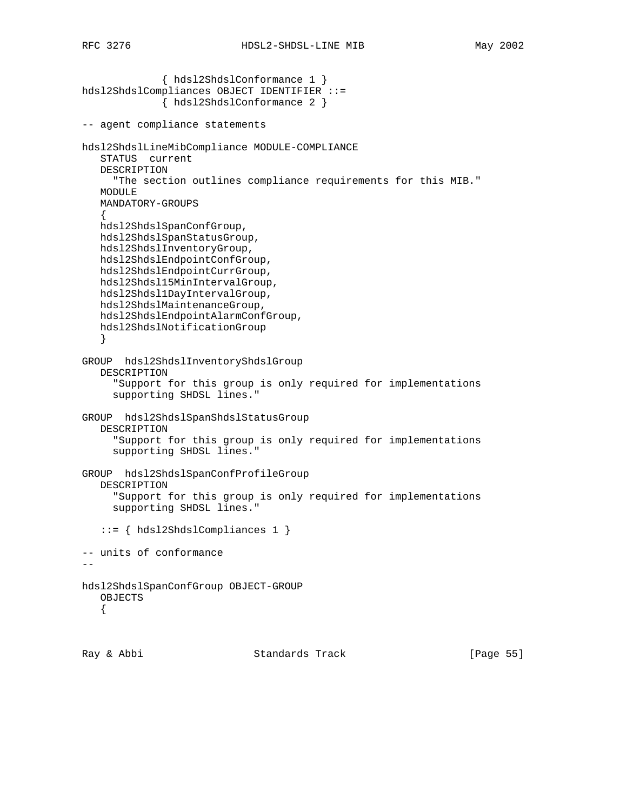{ hdsl2ShdslConformance 1 } hdsl2ShdslCompliances OBJECT IDENTIFIER ::= { hdsl2ShdslConformance 2 } -- agent compliance statements hdsl2ShdslLineMibCompliance MODULE-COMPLIANCE STATUS current DESCRIPTION "The section outlines compliance requirements for this MIB." MODULE MANDATORY-GROUPS  $\{$  \cdot \cdot \cdot \cdot \cdot \cdot \cdot \cdot \cdot \cdot \cdot \cdot \cdot \cdot \cdot \cdot \cdot \cdot \cdot \cdot \cdot \cdot \cdot \cdot \cdot \cdot \cdot \cdot \cdot \cdot \cdot \cdot \cdot \cdot \cdot \cdot hdsl2ShdslSpanConfGroup, hdsl2ShdslSpanStatusGroup, hdsl2ShdslInventoryGroup, hdsl2ShdslEndpointConfGroup, hdsl2ShdslEndpointCurrGroup, hdsl2Shdsl15MinIntervalGroup, hdsl2Shdsl1DayIntervalGroup, hdsl2ShdslMaintenanceGroup, hdsl2ShdslEndpointAlarmConfGroup, hdsl2ShdslNotificationGroup } GROUP hdsl2ShdslInventoryShdslGroup DESCRIPTION "Support for this group is only required for implementations supporting SHDSL lines." GROUP hdsl2ShdslSpanShdslStatusGroup DESCRIPTION "Support for this group is only required for implementations supporting SHDSL lines." GROUP hdsl2ShdslSpanConfProfileGroup DESCRIPTION "Support for this group is only required for implementations supporting SHDSL lines." ::= { hdsl2ShdslCompliances 1 } -- units of conformance - hdsl2ShdslSpanConfGroup OBJECT-GROUP OBJECTS {

Ray & Abbi Standards Track [Page 55]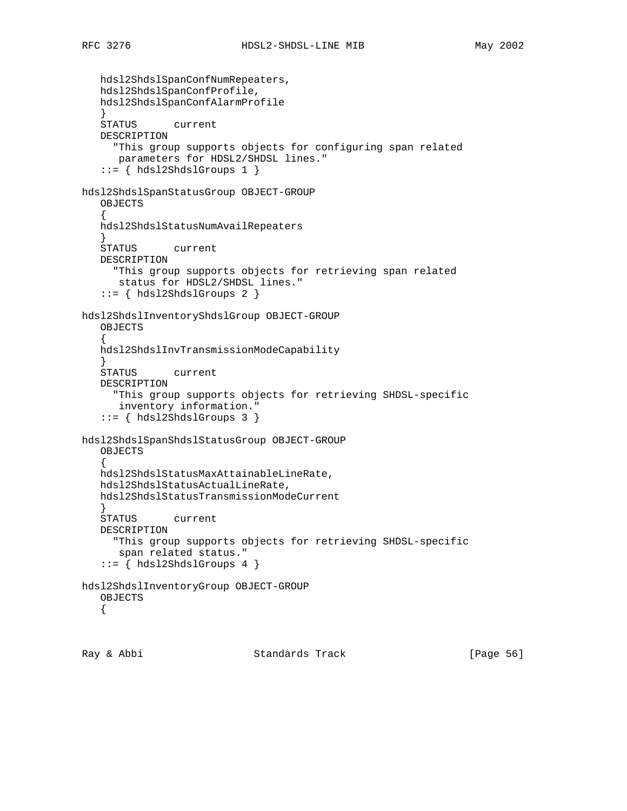```
 hdsl2ShdslSpanConfNumRepeaters,
     hdsl2ShdslSpanConfProfile,
     hdsl2ShdslSpanConfAlarmProfile
     }
     STATUS current
     DESCRIPTION
        "This group supports objects for configuring span related
        parameters for HDSL2/SHDSL lines."
    ::= \{ hds12Shds1Groups 1 \}hdsl2ShdslSpanStatusGroup OBJECT-GROUP
     OBJECTS
\{ \cdot \cdot \cdot \cdot \cdot \cdot \cdot \cdot \cdot \cdot \cdot \cdot \cdot \cdot \cdot \cdot \cdot \cdot \cdot \cdot \cdot \cdot \cdot \cdot \cdot \cdot \cdot \cdot \cdot \cdot \cdot \cdot \cdot \cdot \cdot \cdot 
     hdsl2ShdslStatusNumAvailRepeaters
 }
     STATUS current
     DESCRIPTION
        "This group supports objects for retrieving span related
        status for HDSL2/SHDSL lines."
    ::= \{ hds12Shds1Groups 2 \}hdsl2ShdslInventoryShdslGroup OBJECT-GROUP
     OBJECTS
 {
     hdsl2ShdslInvTransmissionModeCapability
 }
     STATUS current
     DESCRIPTION
        "This group supports objects for retrieving SHDSL-specific
         inventory information."
     ::= { hdsl2ShdslGroups 3 }
hdsl2ShdslSpanShdslStatusGroup OBJECT-GROUP
     OBJECTS
\{ \cdot \cdot \cdot \cdot \cdot \cdot \cdot \cdot \cdot \cdot \cdot \cdot \cdot \cdot \cdot \cdot \cdot \cdot \cdot \cdot \cdot \cdot \cdot \cdot \cdot \cdot \cdot \cdot \cdot \cdot \cdot \cdot \cdot \cdot \cdot \cdot 
     hdsl2ShdslStatusMaxAttainableLineRate,
     hdsl2ShdslStatusActualLineRate,
     hdsl2ShdslStatusTransmissionModeCurrent
 }
     STATUS current
     DESCRIPTION
        "This group supports objects for retrieving SHDSL-specific
        span related status."
    ::= \{ hds12Shds1Groups 4 \}hdsl2ShdslInventoryGroup OBJECT-GROUP
     OBJECTS
     {
Ray & Abbi                       Standards Track                 [Page 56]
```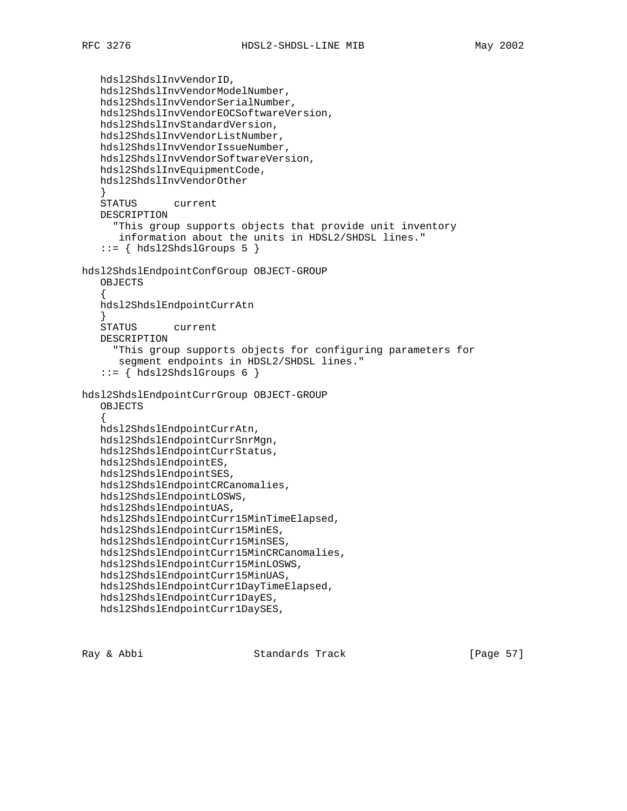hdsl2ShdslInvVendorID, hdsl2ShdslInvVendorModelNumber, hdsl2ShdslInvVendorSerialNumber, hdsl2ShdslInvVendorEOCSoftwareVersion, hdsl2ShdslInvStandardVersion, hdsl2ShdslInvVendorListNumber, hdsl2ShdslInvVendorIssueNumber, hdsl2ShdslInvVendorSoftwareVersion, hdsl2ShdslInvEquipmentCode, hdsl2ShdslInvVendorOther } STATUS current DESCRIPTION "This group supports objects that provide unit inventory information about the units in HDSL2/SHDSL lines."  $::= \{ hds12Shds1Groups 5 \}$ hdsl2ShdslEndpointConfGroup OBJECT-GROUP OBJECTS  $\{$  \cdot \cdot \cdot \cdot \cdot \cdot \cdot \cdot \cdot \cdot \cdot \cdot \cdot \cdot \cdot \cdot \cdot \cdot \cdot \cdot \cdot \cdot \cdot \cdot \cdot \cdot \cdot \cdot \cdot \cdot \cdot \cdot \cdot \cdot \cdot \cdot hdsl2ShdslEndpointCurrAtn } STATUS current DESCRIPTION "This group supports objects for configuring parameters for segment endpoints in HDSL2/SHDSL lines."  $::=$  { hdsl2ShdslGroups 6 } hdsl2ShdslEndpointCurrGroup OBJECT-GROUP OBJECTS { hdsl2ShdslEndpointCurrAtn, hdsl2ShdslEndpointCurrSnrMgn, hdsl2ShdslEndpointCurrStatus, hdsl2ShdslEndpointES, hdsl2ShdslEndpointSES, hdsl2ShdslEndpointCRCanomalies, hdsl2ShdslEndpointLOSWS, hdsl2ShdslEndpointUAS, hdsl2ShdslEndpointCurr15MinTimeElapsed, hdsl2ShdslEndpointCurr15MinES, hdsl2ShdslEndpointCurr15MinSES, hdsl2ShdslEndpointCurr15MinCRCanomalies, hdsl2ShdslEndpointCurr15MinLOSWS, hdsl2ShdslEndpointCurr15MinUAS, hdsl2ShdslEndpointCurr1DayTimeElapsed, hdsl2ShdslEndpointCurr1DayES, hdsl2ShdslEndpointCurr1DaySES,

Ray & Abbi Standards Track [Page 57]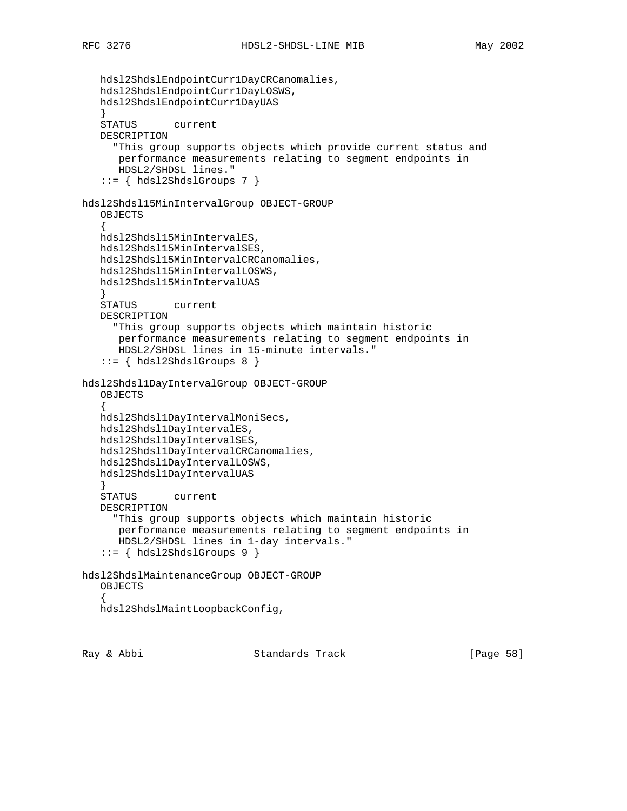```
 hdsl2ShdslEndpointCurr1DayCRCanomalies,
     hdsl2ShdslEndpointCurr1DayLOSWS,
     hdsl2ShdslEndpointCurr1DayUAS
     }
     STATUS current
    DESCRIPTION
        "This group supports objects which provide current status and
        performance measurements relating to segment endpoints in
        HDSL2/SHDSL lines."
    ::= { hdsl2ShdslGroups 7 }
hdsl2Shdsl15MinIntervalGroup OBJECT-GROUP
     OBJECTS
\{ \cdot \cdot \cdot \cdot \cdot \cdot \cdot \cdot \cdot \cdot \cdot \cdot \cdot \cdot \cdot \cdot \cdot \cdot \cdot \cdot \cdot \cdot \cdot \cdot \cdot \cdot \cdot \cdot \cdot \cdot \cdot \cdot \cdot \cdot \cdot \cdot 
    hdsl2Shdsl15MinIntervalES,
    hdsl2Shdsl15MinIntervalSES,
    hdsl2Shdsl15MinIntervalCRCanomalies,
    hdsl2Shdsl15MinIntervalLOSWS,
    hdsl2Shdsl15MinIntervalUAS
 }
    STATUS current
    DESCRIPTION
        "This group supports objects which maintain historic
        performance measurements relating to segment endpoints in
        HDSL2/SHDSL lines in 15-minute intervals."
    ::= \{ hds12Shds1Groups 8 \}hdsl2Shdsl1DayIntervalGroup OBJECT-GROUP
     OBJECTS
     {
    hdsl2Shdsl1DayIntervalMoniSecs,
    hdsl2Shdsl1DayIntervalES,
    hdsl2Shdsl1DayIntervalSES,
    hdsl2Shdsl1DayIntervalCRCanomalies,
    hdsl2Shdsl1DayIntervalLOSWS,
    hdsl2Shdsl1DayIntervalUAS
 }
     STATUS current
    DESCRIPTION
        "This group supports objects which maintain historic
         performance measurements relating to segment endpoints in
         HDSL2/SHDSL lines in 1-day intervals."
     ::= { hdsl2ShdslGroups 9 }
hdsl2ShdslMaintenanceGroup OBJECT-GROUP
     OBJECTS
\{ \cdot \cdot \cdot \cdot \cdot \cdot \cdot \cdot \cdot \cdot \cdot \cdot \cdot \cdot \cdot \cdot \cdot \cdot \cdot \cdot \cdot \cdot \cdot \cdot \cdot \cdot \cdot \cdot \cdot \cdot \cdot \cdot \cdot \cdot \cdot \cdot 
    hdsl2ShdslMaintLoopbackConfig,
```
Ray & Abbi Standards Track [Page 58]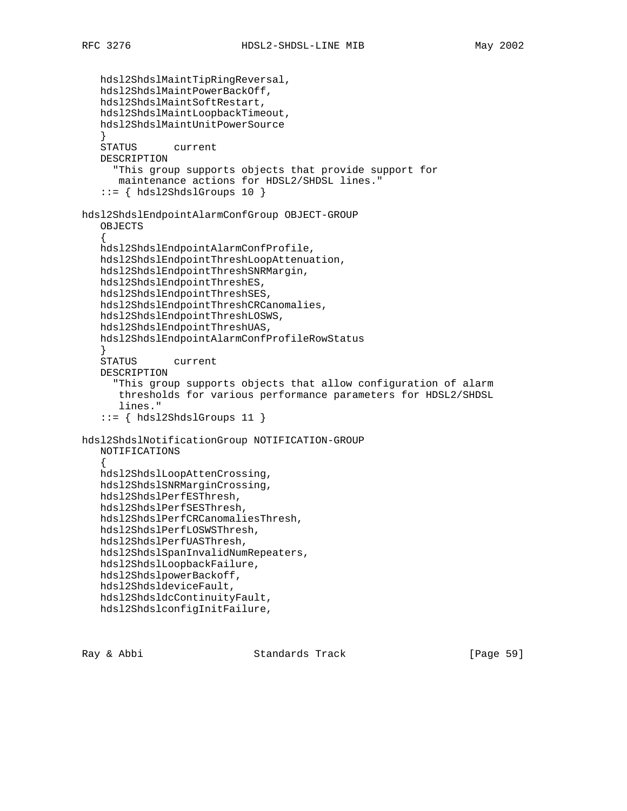```
 hdsl2ShdslMaintTipRingReversal,
    hdsl2ShdslMaintPowerBackOff,
    hdsl2ShdslMaintSoftRestart,
    hdsl2ShdslMaintLoopbackTimeout,
    hdsl2ShdslMaintUnitPowerSource
     }
     STATUS current
    DESCRIPTION
        "This group supports objects that provide support for
        maintenance actions for HDSL2/SHDSL lines."
    ::= { hdsl2ShdslGroups 10 }
hdsl2ShdslEndpointAlarmConfGroup OBJECT-GROUP
     OBJECTS
\{ \cdot \cdot \cdot \cdot \cdot \cdot \cdot \cdot \cdot \cdot \cdot \cdot \cdot \cdot \cdot \cdot \cdot \cdot \cdot \cdot \cdot \cdot \cdot \cdot \cdot \cdot \cdot \cdot \cdot \cdot \cdot \cdot \cdot \cdot \cdot \cdot 
    hdsl2ShdslEndpointAlarmConfProfile,
    hdsl2ShdslEndpointThreshLoopAttenuation,
    hdsl2ShdslEndpointThreshSNRMargin,
    hdsl2ShdslEndpointThreshES,
    hdsl2ShdslEndpointThreshSES,
    hdsl2ShdslEndpointThreshCRCanomalies,
    hdsl2ShdslEndpointThreshLOSWS,
    hdsl2ShdslEndpointThreshUAS,
    hdsl2ShdslEndpointAlarmConfProfileRowStatus
     }
     STATUS current
     DESCRIPTION
        "This group supports objects that allow configuration of alarm
         thresholds for various performance parameters for HDSL2/SHDSL
         lines."
     ::= { hdsl2ShdslGroups 11 }
hdsl2ShdslNotificationGroup NOTIFICATION-GROUP
    NOTIFICATIONS
\{ \cdot \cdot \cdot \cdot \cdot \cdot \cdot \cdot \cdot \cdot \cdot \cdot \cdot \cdot \cdot \cdot \cdot \cdot \cdot \cdot \cdot \cdot \cdot \cdot \cdot \cdot \cdot \cdot \cdot \cdot \cdot \cdot \cdot \cdot \cdot \cdot 
    hdsl2ShdslLoopAttenCrossing,
    hdsl2ShdslSNRMarginCrossing,
    hdsl2ShdslPerfESThresh,
    hdsl2ShdslPerfSESThresh,
    hdsl2ShdslPerfCRCanomaliesThresh,
    hdsl2ShdslPerfLOSWSThresh,
    hdsl2ShdslPerfUASThresh,
    hdsl2ShdslSpanInvalidNumRepeaters,
    hdsl2ShdslLoopbackFailure,
    hdsl2ShdslpowerBackoff,
    hdsl2ShdsldeviceFault,
    hdsl2ShdsldcContinuityFault,
    hdsl2ShdslconfigInitFailure,
```
Ray & Abbi Standards Track [Page 59]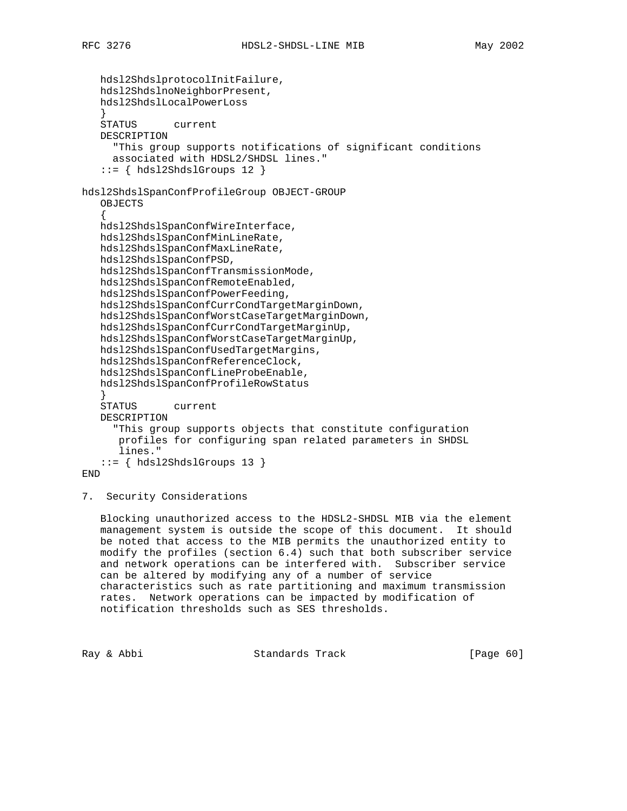hdsl2ShdslprotocolInitFailure, hdsl2ShdslnoNeighborPresent, hdsl2ShdslLocalPowerLoss } STATUS current DESCRIPTION "This group supports notifications of significant conditions associated with HDSL2/SHDSL lines."  $::=$  { hdsl2ShdslGroups 12 } hdsl2ShdslSpanConfProfileGroup OBJECT-GROUP OBJECTS  $\{$  \cdot \cdot \cdot \cdot \cdot \cdot \cdot \cdot \cdot \cdot \cdot \cdot \cdot \cdot \cdot \cdot \cdot \cdot \cdot \cdot \cdot \cdot \cdot \cdot \cdot \cdot \cdot \cdot \cdot \cdot \cdot \cdot \cdot \cdot \cdot \cdot hdsl2ShdslSpanConfWireInterface, hdsl2ShdslSpanConfMinLineRate, hdsl2ShdslSpanConfMaxLineRate, hdsl2ShdslSpanConfPSD, hdsl2ShdslSpanConfTransmissionMode, hdsl2ShdslSpanConfRemoteEnabled, hdsl2ShdslSpanConfPowerFeeding, hdsl2ShdslSpanConfCurrCondTargetMarginDown, hdsl2ShdslSpanConfWorstCaseTargetMarginDown, hdsl2ShdslSpanConfCurrCondTargetMarginUp, hdsl2ShdslSpanConfWorstCaseTargetMarginUp, hdsl2ShdslSpanConfUsedTargetMargins, hdsl2ShdslSpanConfReferenceClock, hdsl2ShdslSpanConfLineProbeEnable, hdsl2ShdslSpanConfProfileRowStatus } STATUS current DESCRIPTION "This group supports objects that constitute configuration profiles for configuring span related parameters in SHDSL lines." ::= { hdsl2ShdslGroups 13 } END

7. Security Considerations

 Blocking unauthorized access to the HDSL2-SHDSL MIB via the element management system is outside the scope of this document. It should be noted that access to the MIB permits the unauthorized entity to modify the profiles (section 6.4) such that both subscriber service and network operations can be interfered with. Subscriber service can be altered by modifying any of a number of service characteristics such as rate partitioning and maximum transmission rates. Network operations can be impacted by modification of notification thresholds such as SES thresholds.

Ray & Abbi Standards Track [Page 60]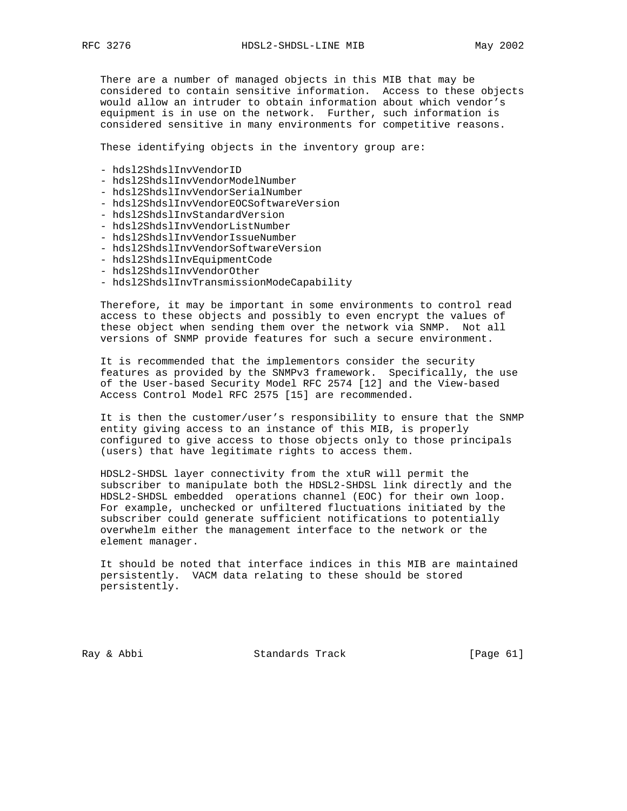There are a number of managed objects in this MIB that may be

 considered to contain sensitive information. Access to these objects would allow an intruder to obtain information about which vendor's equipment is in use on the network. Further, such information is considered sensitive in many environments for competitive reasons.

These identifying objects in the inventory group are:

- hdsl2ShdslInvVendorID
- hdsl2ShdslInvVendorModelNumber
- hdsl2ShdslInvVendorSerialNumber
- hdsl2ShdslInvVendorEOCSoftwareVersion
- hdsl2ShdslInvStandardVersion
- hdsl2ShdslInvVendorListNumber
- hdsl2ShdslInvVendorIssueNumber
- hdsl2ShdslInvVendorSoftwareVersion
- hdsl2ShdslInvEquipmentCode
- hdsl2ShdslInvVendorOther
- hdsl2ShdslInvTransmissionModeCapability

 Therefore, it may be important in some environments to control read access to these objects and possibly to even encrypt the values of these object when sending them over the network via SNMP. Not all versions of SNMP provide features for such a secure environment.

 It is recommended that the implementors consider the security features as provided by the SNMPv3 framework. Specifically, the use of the User-based Security Model RFC 2574 [12] and the View-based Access Control Model RFC 2575 [15] are recommended.

 It is then the customer/user's responsibility to ensure that the SNMP entity giving access to an instance of this MIB, is properly configured to give access to those objects only to those principals (users) that have legitimate rights to access them.

 HDSL2-SHDSL layer connectivity from the xtuR will permit the subscriber to manipulate both the HDSL2-SHDSL link directly and the HDSL2-SHDSL embedded operations channel (EOC) for their own loop. For example, unchecked or unfiltered fluctuations initiated by the subscriber could generate sufficient notifications to potentially overwhelm either the management interface to the network or the element manager.

 It should be noted that interface indices in this MIB are maintained persistently. VACM data relating to these should be stored persistently.

Ray & Abbi Standards Track [Page 61]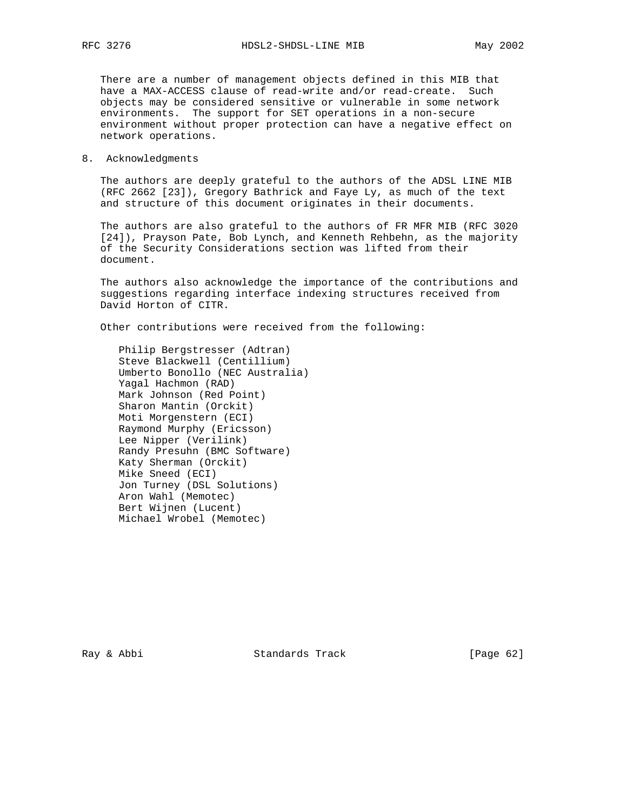There are a number of management objects defined in this MIB that have a MAX-ACCESS clause of read-write and/or read-create. Such objects may be considered sensitive or vulnerable in some network environments. The support for SET operations in a non-secure environment without proper protection can have a negative effect on network operations.

8. Acknowledgments

 The authors are deeply grateful to the authors of the ADSL LINE MIB (RFC 2662 [23]), Gregory Bathrick and Faye Ly, as much of the text and structure of this document originates in their documents.

 The authors are also grateful to the authors of FR MFR MIB (RFC 3020 [24]), Prayson Pate, Bob Lynch, and Kenneth Rehbehn, as the majority of the Security Considerations section was lifted from their document.

 The authors also acknowledge the importance of the contributions and suggestions regarding interface indexing structures received from David Horton of CITR.

Other contributions were received from the following:

 Philip Bergstresser (Adtran) Steve Blackwell (Centillium) Umberto Bonollo (NEC Australia) Yagal Hachmon (RAD) Mark Johnson (Red Point) Sharon Mantin (Orckit) Moti Morgenstern (ECI) Raymond Murphy (Ericsson) Lee Nipper (Verilink) Randy Presuhn (BMC Software) Katy Sherman (Orckit) Mike Sneed (ECI) Jon Turney (DSL Solutions) Aron Wahl (Memotec) Bert Wijnen (Lucent) Michael Wrobel (Memotec)

Ray & Abbi Standards Track [Page 62]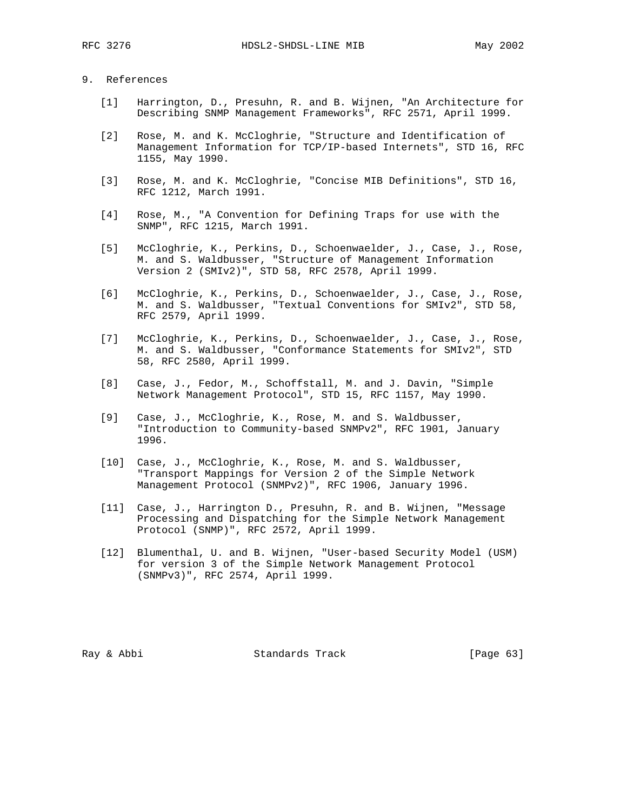# 9. References

- [1] Harrington, D., Presuhn, R. and B. Wijnen, "An Architecture for Describing SNMP Management Frameworks", RFC 2571, April 1999.
- [2] Rose, M. and K. McCloghrie, "Structure and Identification of Management Information for TCP/IP-based Internets", STD 16, RFC 1155, May 1990.
- [3] Rose, M. and K. McCloghrie, "Concise MIB Definitions", STD 16, RFC 1212, March 1991.
- [4] Rose, M., "A Convention for Defining Traps for use with the SNMP", RFC 1215, March 1991.
- [5] McCloghrie, K., Perkins, D., Schoenwaelder, J., Case, J., Rose, M. and S. Waldbusser, "Structure of Management Information Version 2 (SMIv2)", STD 58, RFC 2578, April 1999.
- [6] McCloghrie, K., Perkins, D., Schoenwaelder, J., Case, J., Rose, M. and S. Waldbusser, "Textual Conventions for SMIv2", STD 58, RFC 2579, April 1999.
- [7] McCloghrie, K., Perkins, D., Schoenwaelder, J., Case, J., Rose, M. and S. Waldbusser, "Conformance Statements for SMIv2", STD 58, RFC 2580, April 1999.
- [8] Case, J., Fedor, M., Schoffstall, M. and J. Davin, "Simple Network Management Protocol", STD 15, RFC 1157, May 1990.
- [9] Case, J., McCloghrie, K., Rose, M. and S. Waldbusser, "Introduction to Community-based SNMPv2", RFC 1901, January 1996.
- [10] Case, J., McCloghrie, K., Rose, M. and S. Waldbusser, "Transport Mappings for Version 2 of the Simple Network Management Protocol (SNMPv2)", RFC 1906, January 1996.
- [11] Case, J., Harrington D., Presuhn, R. and B. Wijnen, "Message Processing and Dispatching for the Simple Network Management Protocol (SNMP)", RFC 2572, April 1999.
- [12] Blumenthal, U. and B. Wijnen, "User-based Security Model (USM) for version 3 of the Simple Network Management Protocol (SNMPv3)", RFC 2574, April 1999.

Ray & Abbi Standards Track [Page 63]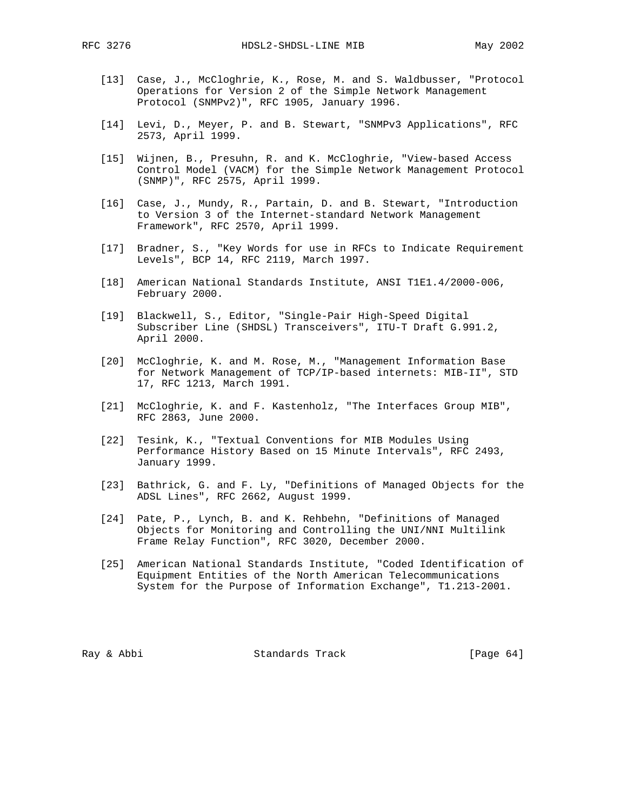- [13] Case, J., McCloghrie, K., Rose, M. and S. Waldbusser, "Protocol Operations for Version 2 of the Simple Network Management Protocol (SNMPv2)", RFC 1905, January 1996.
- [14] Levi, D., Meyer, P. and B. Stewart, "SNMPv3 Applications", RFC 2573, April 1999.
- [15] Wijnen, B., Presuhn, R. and K. McCloghrie, "View-based Access Control Model (VACM) for the Simple Network Management Protocol (SNMP)", RFC 2575, April 1999.
- [16] Case, J., Mundy, R., Partain, D. and B. Stewart, "Introduction to Version 3 of the Internet-standard Network Management Framework", RFC 2570, April 1999.
- [17] Bradner, S., "Key Words for use in RFCs to Indicate Requirement Levels", BCP 14, RFC 2119, March 1997.
- [18] American National Standards Institute, ANSI T1E1.4/2000-006, February 2000.
- [19] Blackwell, S., Editor, "Single-Pair High-Speed Digital Subscriber Line (SHDSL) Transceivers", ITU-T Draft G.991.2, April 2000.
- [20] McCloghrie, K. and M. Rose, M., "Management Information Base for Network Management of TCP/IP-based internets: MIB-II", STD 17, RFC 1213, March 1991.
- [21] McCloghrie, K. and F. Kastenholz, "The Interfaces Group MIB", RFC 2863, June 2000.
- [22] Tesink, K., "Textual Conventions for MIB Modules Using Performance History Based on 15 Minute Intervals", RFC 2493, January 1999.
- [23] Bathrick, G. and F. Ly, "Definitions of Managed Objects for the ADSL Lines", RFC 2662, August 1999.
- [24] Pate, P., Lynch, B. and K. Rehbehn, "Definitions of Managed Objects for Monitoring and Controlling the UNI/NNI Multilink Frame Relay Function", RFC 3020, December 2000.
- [25] American National Standards Institute, "Coded Identification of Equipment Entities of the North American Telecommunications System for the Purpose of Information Exchange", T1.213-2001.

Ray & Abbi Standards Track [Page 64]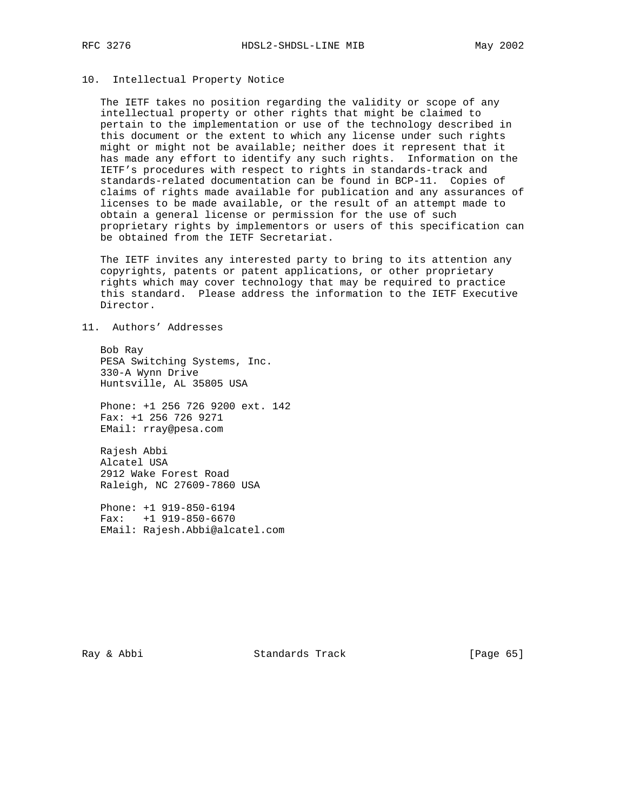# 10. Intellectual Property Notice

 The IETF takes no position regarding the validity or scope of any intellectual property or other rights that might be claimed to pertain to the implementation or use of the technology described in this document or the extent to which any license under such rights might or might not be available; neither does it represent that it has made any effort to identify any such rights. Information on the IETF's procedures with respect to rights in standards-track and standards-related documentation can be found in BCP-11. Copies of claims of rights made available for publication and any assurances of licenses to be made available, or the result of an attempt made to obtain a general license or permission for the use of such proprietary rights by implementors or users of this specification can be obtained from the IETF Secretariat.

 The IETF invites any interested party to bring to its attention any copyrights, patents or patent applications, or other proprietary rights which may cover technology that may be required to practice this standard. Please address the information to the IETF Executive Director.

# 11. Authors' Addresses

 Bob Ray PESA Switching Systems, Inc. 330-A Wynn Drive Huntsville, AL 35805 USA

 Phone: +1 256 726 9200 ext. 142 Fax: +1 256 726 9271 EMail: rray@pesa.com

 Rajesh Abbi Alcatel USA 2912 Wake Forest Road Raleigh, NC 27609-7860 USA

 Phone: +1 919-850-6194 Fax: +1 919-850-6670 EMail: Rajesh.Abbi@alcatel.com

Ray & Abbi Standards Track [Page 65]